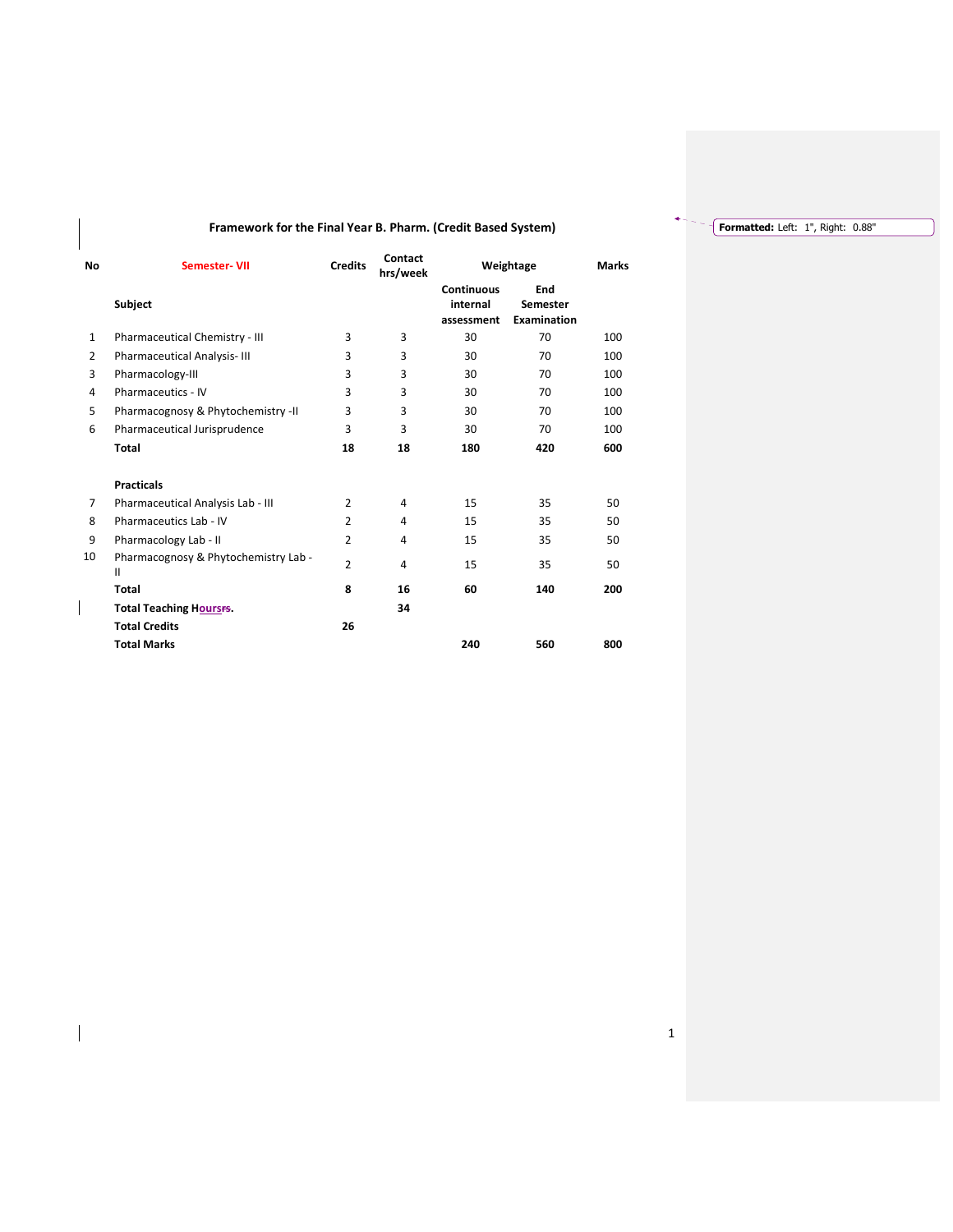## Framework for the Final Year B. Pharm. (Credit Based System)

| <b>No</b>      | Semester-VII                              | <b>Credits</b> | Contact<br>hrs/week |                                             | Weightage                             |     |  |  |
|----------------|-------------------------------------------|----------------|---------------------|---------------------------------------------|---------------------------------------|-----|--|--|
|                | Subject                                   |                |                     | <b>Continuous</b><br>internal<br>assessment | End<br>Semester<br><b>Examination</b> |     |  |  |
| 1              | Pharmaceutical Chemistry - III            | 3              | 3                   | 30                                          | 70                                    | 100 |  |  |
| $\overline{2}$ | <b>Pharmaceutical Analysis-III</b>        | 3              | 3                   | 30                                          | 70                                    | 100 |  |  |
| 3              | Pharmacology-III                          | 3              | 3                   | 30                                          | 70                                    | 100 |  |  |
| 4              | <b>Pharmaceutics - IV</b>                 | 3              | 3                   | 30                                          | 70                                    | 100 |  |  |
| 5              | Pharmacognosy & Phytochemistry -II        | 3              | 3                   | 30                                          | 70                                    | 100 |  |  |
| 6              | Pharmaceutical Jurisprudence              | 3              | 3                   | 30                                          | 70                                    | 100 |  |  |
|                | <b>Total</b>                              | 18             | 18                  | 180                                         | 420                                   | 600 |  |  |
|                | <b>Practicals</b>                         |                |                     |                                             |                                       |     |  |  |
| 7              | Pharmaceutical Analysis Lab - III         | $\overline{2}$ | 4                   | 15                                          | 35                                    | 50  |  |  |
| 8              | Pharmaceutics Lab - IV                    | 2              | 4                   | 15                                          | 35                                    | 50  |  |  |
| 9              | Pharmacology Lab - II                     | $\overline{2}$ | 4                   | 15                                          | 35                                    | 50  |  |  |
| 10             | Pharmacognosy & Phytochemistry Lab -<br>Ш | $\overline{2}$ | 4                   | 15                                          | 35                                    | 50  |  |  |
|                | Total                                     | 8              | 16                  | 60                                          | 140                                   | 200 |  |  |
|                | <b>Total Teaching Hourses.</b>            |                | 34                  |                                             |                                       |     |  |  |
|                | <b>Total Credits</b>                      | 26             |                     |                                             |                                       |     |  |  |
|                | <b>Total Marks</b>                        |                |                     | 240                                         | 560                                   | 800 |  |  |

 $\overline{\phantom{a}}$ 

Formatted: Left: 1", Right: 0.88"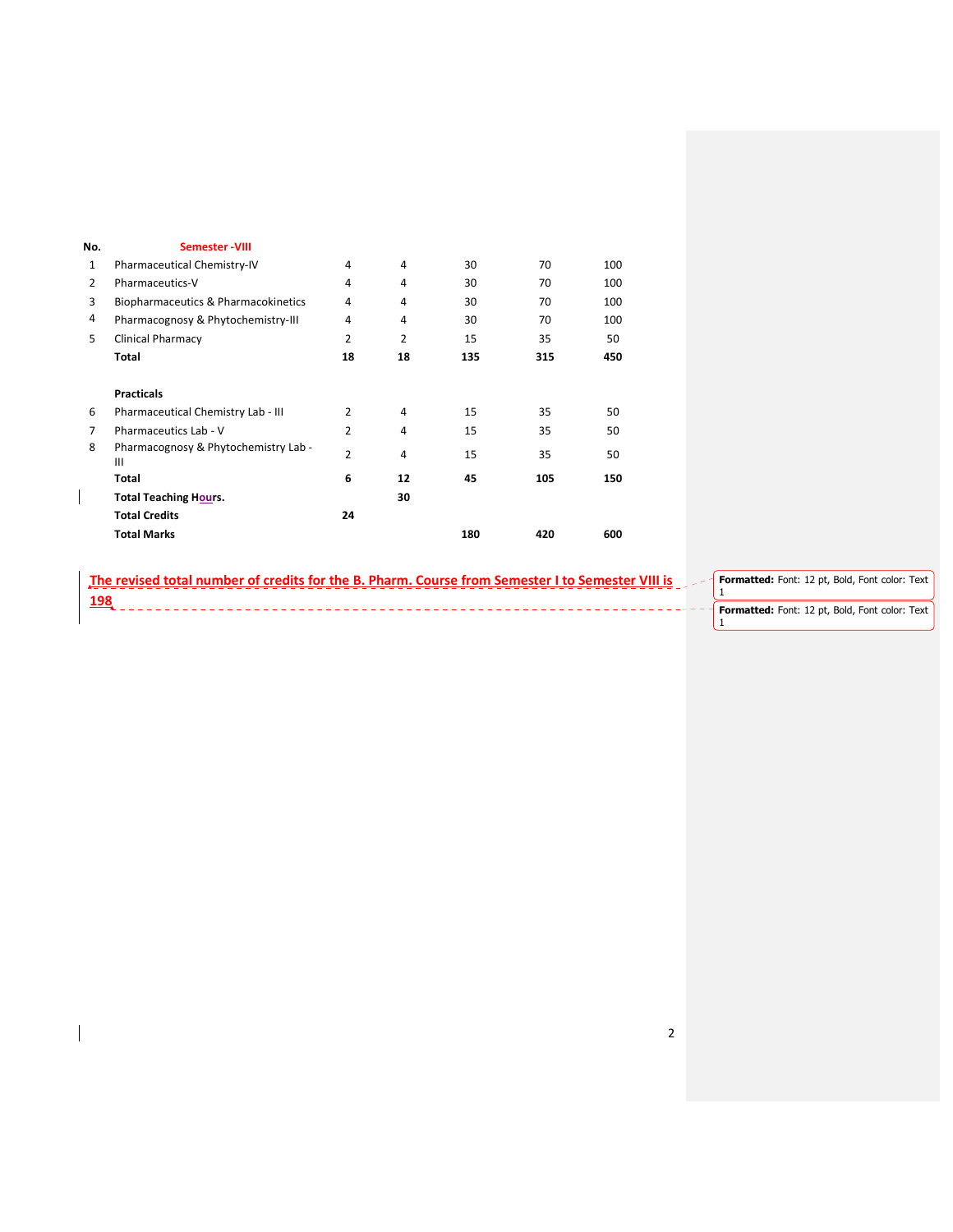| No. | <b>Semester-VIII</b>                      |                |                |     |     |     |
|-----|-------------------------------------------|----------------|----------------|-----|-----|-----|
| 1   | Pharmaceutical Chemistry-IV               | 4              | 4              | 30  | 70  | 100 |
| 2   | Pharmaceutics-V                           | 4              | 4              | 30  | 70  | 100 |
| 3   | Biopharmaceutics & Pharmacokinetics       | 4              | 4              | 30  | 70  | 100 |
| 4   | Pharmacognosy & Phytochemistry-III        | 4              | 4              | 30  | 70  | 100 |
| 5   | <b>Clinical Pharmacy</b>                  | $\overline{2}$ | $\overline{2}$ | 15  | 35  | 50  |
|     | Total                                     | 18             | 18             | 135 | 315 | 450 |
|     | <b>Practicals</b>                         |                |                |     |     |     |
| 6   | Pharmaceutical Chemistry Lab - III        | $\overline{2}$ | 4              | 15  | 35  | 50  |
| 7   | Pharmaceutics Lab - V                     | $\overline{2}$ | 4              | 15  | 35  | 50  |
| 8   | Pharmacognosy & Phytochemistry Lab -<br>Ш | 2              | 4              | 15  | 35  | 50  |
|     | Total                                     | 6              | 12             | 45  | 105 | 150 |
|     | <b>Total Teaching Hours.</b>              |                | 30             |     |     |     |
|     | <b>Total Credits</b>                      | 24             |                |     |     |     |
|     | <b>Total Marks</b>                        |                |                | 180 | 420 | 600 |

| The revised total number of credits for the B. Pharm. Course from Semester I to Semester VIII is | Formatted: Font: 12 pt, Bold, Font color: Text |
|--------------------------------------------------------------------------------------------------|------------------------------------------------|
| 198                                                                                              |                                                |
|                                                                                                  | Formatted: Font: 12 pt, Bold, Font color: Text |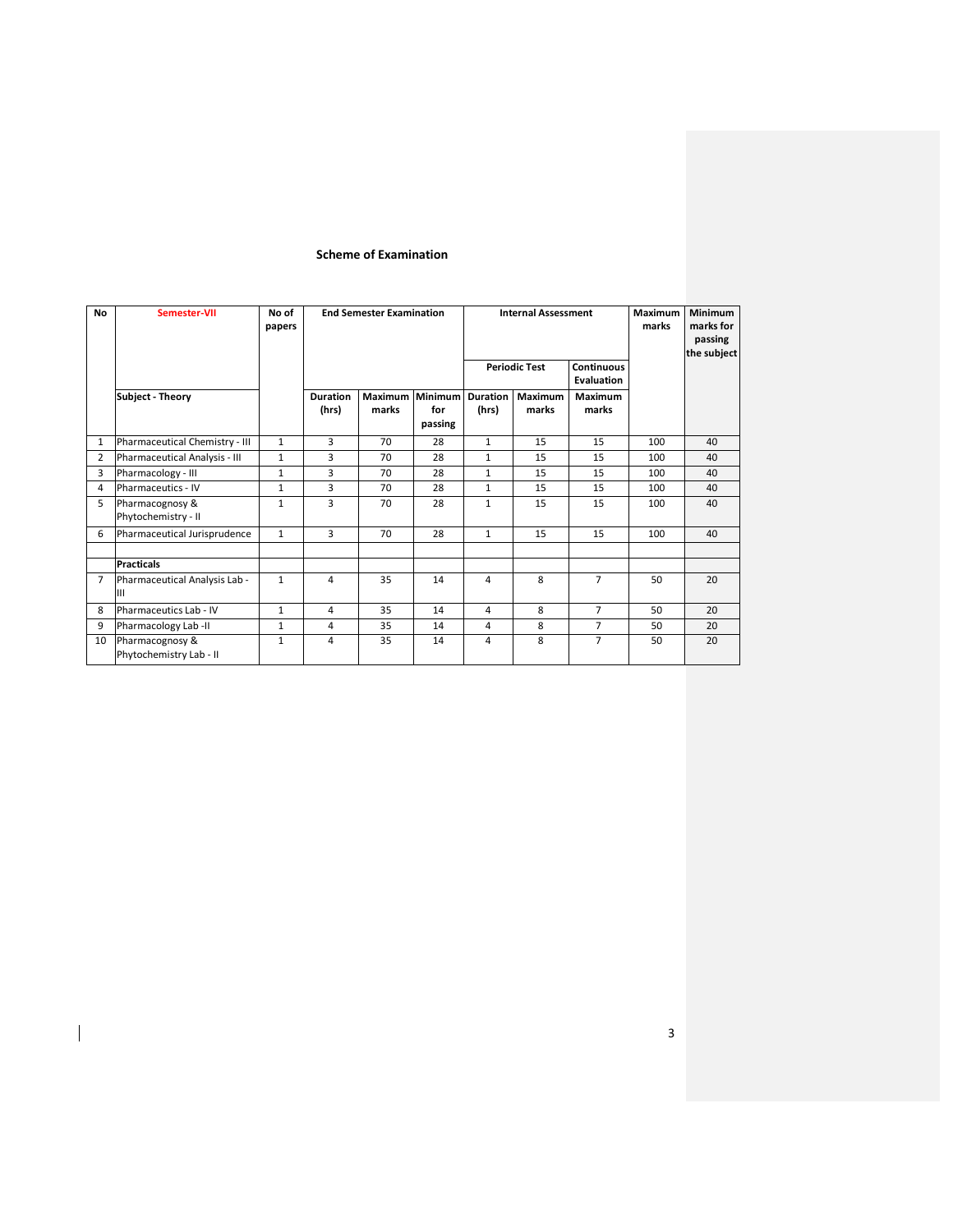## Scheme of Examination

| <b>No</b>      | Semester-VII                               | No of<br>papers |                          | <b>End Semester Examination</b> |                           |                          |                      | <b>Internal Assessment</b> |                          | <b>Minimum</b><br>marks for<br>passing<br>the subject |  |  |
|----------------|--------------------------------------------|-----------------|--------------------------|---------------------------------|---------------------------|--------------------------|----------------------|----------------------------|--------------------------|-------------------------------------------------------|--|--|
|                |                                            |                 |                          |                                 |                           |                          | <b>Periodic Test</b> |                            | Continuous<br>Evaluation |                                                       |  |  |
|                | Subject - Theory                           |                 | <b>Duration</b><br>(hrs) | Maximum<br>marks                | Minimum<br>for<br>passing | <b>Duration</b><br>(hrs) | Maximum<br>marks     | Maximum<br>marks           |                          |                                                       |  |  |
| $\mathbf{1}$   | Pharmaceutical Chemistry - III             | $\mathbf{1}$    | 3                        | 70                              | 28                        | $\mathbf{1}$             | 15                   | 15                         | 100                      | 40                                                    |  |  |
| $\overline{2}$ | Pharmaceutical Analysis - III              | $\mathbf{1}$    | 3                        | 70                              | 28                        | $\mathbf{1}$             | 15                   | 15                         | 100                      | 40                                                    |  |  |
| 3              | Pharmacology - III                         | $\mathbf{1}$    | 3                        | 70                              | 28                        | 1                        | 15                   | 15                         | 100                      | 40                                                    |  |  |
| 4              | Pharmaceutics - IV                         | $\mathbf{1}$    | 3                        | 70                              | 28                        | 1                        | 15                   | 15                         | 100                      | 40                                                    |  |  |
| 5              | Pharmacognosy &<br>Phytochemistry - II     | 1               | 3                        | 70                              | 28                        | $\mathbf{1}$             | 15                   | 15                         | 100                      | 40                                                    |  |  |
| 6              | Pharmaceutical Jurisprudence               | $\mathbf{1}$    | 3                        | 70                              | 28                        | $\mathbf{1}$             | 15                   | 15                         | 100                      | 40                                                    |  |  |
|                |                                            |                 |                          |                                 |                           |                          |                      |                            |                          |                                                       |  |  |
|                | <b>Practicals</b>                          |                 |                          |                                 |                           |                          |                      |                            |                          |                                                       |  |  |
| $\overline{7}$ | Pharmaceutical Analysis Lab -<br>Ш         | $\mathbf{1}$    | 4                        | 35                              | 14                        | 4                        | 8                    | $\overline{7}$             | 50                       | 20                                                    |  |  |
| 8              | Pharmaceutics Lab - IV                     | $\mathbf{1}$    | 4                        | 35                              | 14                        | 4                        | 8                    | $\overline{7}$             | 50                       | 20                                                    |  |  |
| 9              | Pharmacology Lab-II                        | 1               | 4                        | 35                              | 14                        | 4                        | 8                    | $\overline{7}$             | 50                       | 20                                                    |  |  |
| 10             | Pharmacognosy &<br>Phytochemistry Lab - II | $\mathbf{1}$    | 4                        | 35                              | 14                        | 4                        | 8                    | $\overline{7}$             | 50                       | 20                                                    |  |  |

 $\overline{\phantom{a}}$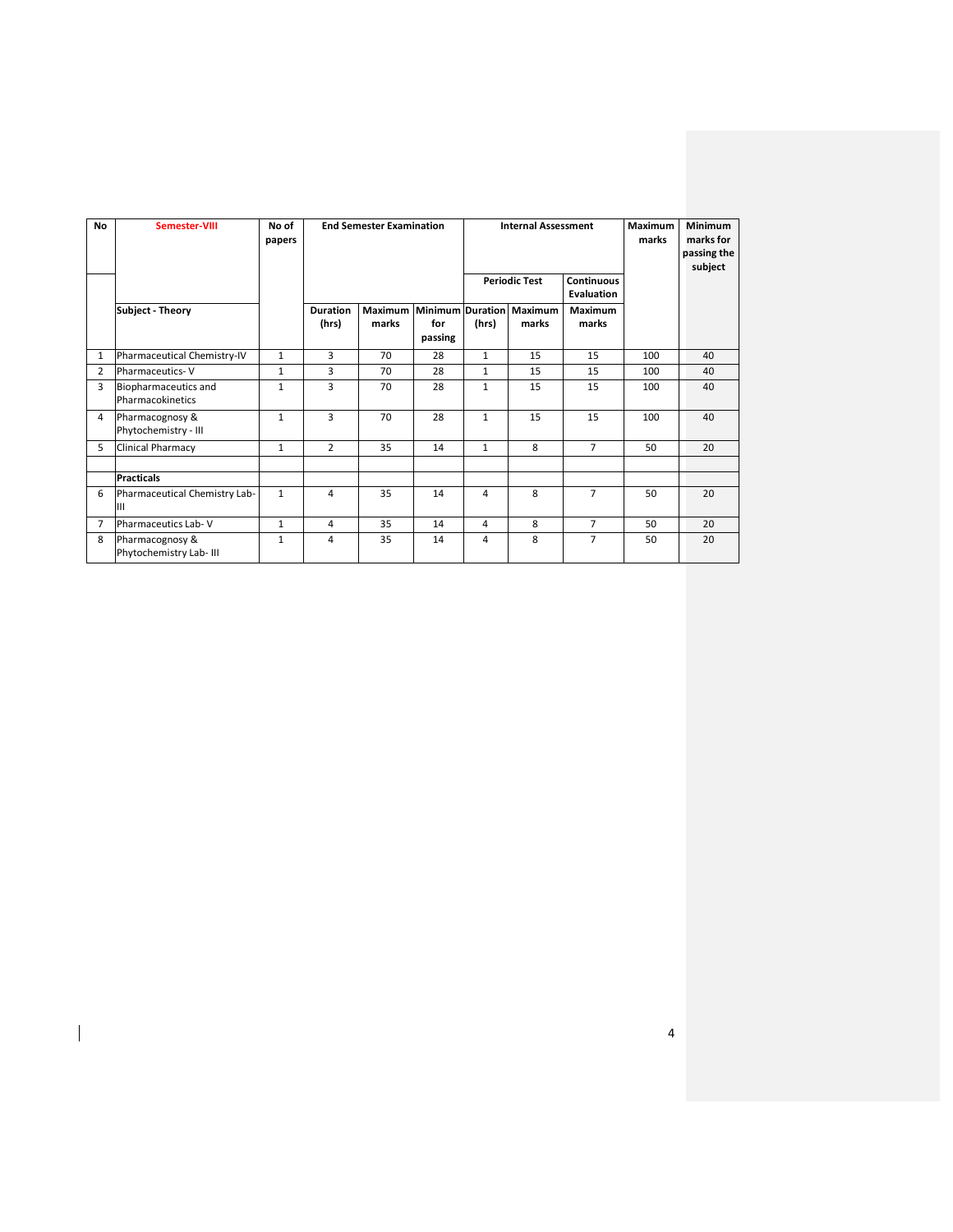| No             | Semester-VIII                              | No of<br>papers | <b>End Semester Examination</b> |                  |                                    |              |                                                         | <b>Internal Assessment</b> |     |    |
|----------------|--------------------------------------------|-----------------|---------------------------------|------------------|------------------------------------|--------------|---------------------------------------------------------|----------------------------|-----|----|
|                |                                            |                 |                                 |                  |                                    |              | <b>Periodic Test</b><br><b>Continuous</b><br>Evaluation |                            |     |    |
|                | Subject - Theory                           |                 | <b>Duration</b><br>(hrs)        | Maximum<br>marks | Minimum Duration<br>for<br>passing | (hrs)        | Maximum<br>marks                                        | Maximum<br>marks           |     |    |
| 1              | Pharmaceutical Chemistry-IV                | $\mathbf{1}$    | 3                               | 70               | 28                                 | $\mathbf{1}$ | 15                                                      | 15                         | 100 | 40 |
| 2              | <b>Pharmaceutics-V</b>                     | $\mathbf{1}$    | 3                               | 70               | 28                                 | $\mathbf{1}$ | 15                                                      | 15                         | 100 | 40 |
| 3              | Biopharmaceutics and<br>Pharmacokinetics   | $\mathbf{1}$    | 3                               | 70               | 28                                 | $\mathbf{1}$ | 15                                                      | 15                         | 100 | 40 |
| 4              | Pharmacognosy &<br>Phytochemistry - III    | $\mathbf{1}$    | 3                               | 70               | 28                                 | $\mathbf{1}$ | 15                                                      | 15                         | 100 | 40 |
| 5              | Clinical Pharmacy                          | $\mathbf{1}$    | $\overline{2}$                  | 35               | 14                                 | $\mathbf{1}$ | 8                                                       | $\overline{7}$             | 50  | 20 |
|                | <b>Practicals</b>                          |                 |                                 |                  |                                    |              |                                                         |                            |     |    |
| 6              | Pharmaceutical Chemistry Lab-<br>Ш         | $\mathbf{1}$    | 4                               | 35               | 14                                 | 4            | 8                                                       | $\overline{7}$             | 50  | 20 |
| $\overline{7}$ | Pharmaceutics Lab-V                        | $\mathbf{1}$    | 4                               | 35               | 14                                 | 4            | 8                                                       | $\overline{7}$             | 50  | 20 |
| 8              | Pharmacognosy &<br>Phytochemistry Lab- III | $\mathbf{1}$    | 4                               | 35               | 14                                 | 4            | 8                                                       | $\overline{7}$             | 50  | 20 |

4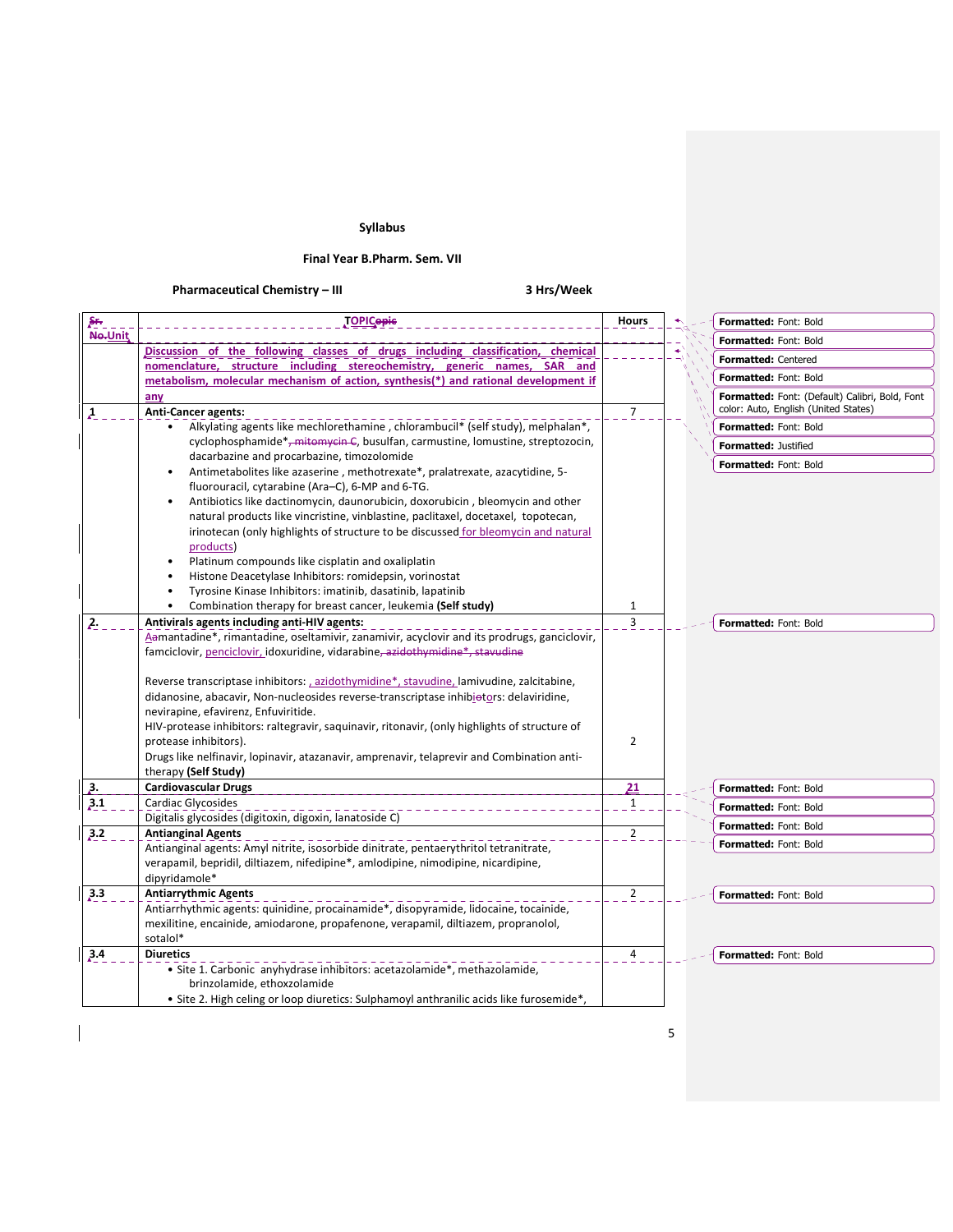# Syllabus

## Final Year B.Pharm. Sem. VII

# Pharmaceutical Chemistry – III 3 Hrs/Week

| ۶ŕ.                    | <u>TOPICopic</u>                                                                                                                                                   | Hours                          | Formatted: Font: Bold                          |
|------------------------|--------------------------------------------------------------------------------------------------------------------------------------------------------------------|--------------------------------|------------------------------------------------|
| No.Unit                |                                                                                                                                                                    |                                | Formatted: Font: Bold                          |
|                        | Discussion of the following classes of drugs including classification, chemical                                                                                    |                                | Formatted: Centered                            |
|                        | nomenclature, structure including stereochemistry, generic names, SAR and                                                                                          |                                | Formatted: Font: Bold                          |
|                        | metabolism, molecular mechanism of action, synthesis(*) and rational development if                                                                                |                                | Formatted: Font: (Default) Calibri, Bold, Font |
| $\boldsymbol{\lambda}$ | any<br><b>Anti-Cancer agents:</b>                                                                                                                                  | $\overline{7}$                 | color: Auto, English (United States)           |
|                        | Alkylating agents like mechlorethamine, chlorambucil* (self study), melphalan*,                                                                                    |                                | Formatted: Font: Bold                          |
|                        | cyclophosphamide* <del>, mitomycin C</del> , busulfan, carmustine, lomustine, streptozocin,                                                                        |                                | <b>Formatted: Justified</b>                    |
|                        | dacarbazine and procarbazine, timozolomide                                                                                                                         |                                | Formatted: Font: Bold                          |
|                        | Antimetabolites like azaserine, methotrexate*, pralatrexate, azacytidine, 5-<br>$\bullet$                                                                          |                                |                                                |
|                        | fluorouracil, cytarabine (Ara-C), 6-MP and 6-TG.                                                                                                                   |                                |                                                |
|                        | Antibiotics like dactinomycin, daunorubicin, doxorubicin, bleomycin and other<br>natural products like vincristine, vinblastine, paclitaxel, docetaxel, topotecan, |                                |                                                |
|                        | irinotecan (only highlights of structure to be discussed for bleomycin and natural                                                                                 |                                |                                                |
|                        | products)                                                                                                                                                          |                                |                                                |
|                        | Platinum compounds like cisplatin and oxaliplatin                                                                                                                  |                                |                                                |
|                        | Histone Deacetylase Inhibitors: romidepsin, vorinostat                                                                                                             |                                |                                                |
|                        | Tyrosine Kinase Inhibitors: imatinib, dasatinib, lapatinib                                                                                                         |                                |                                                |
| 2.                     | Combination therapy for breast cancer, leukemia (Self study)<br>Antivirals agents including anti-HIV agents:                                                       | $\mathbf{1}$<br>$\overline{3}$ |                                                |
|                        | Aamantadine*, rimantadine, oseltamivir, zanamivir, acyclovir and its prodrugs, ganciclovir,                                                                        |                                | Formatted: Font: Bold                          |
|                        | famciclovir, penciclovir, idoxuridine, vidarabine <del>, azidothymidine*, stavudine</del>                                                                          |                                |                                                |
|                        |                                                                                                                                                                    |                                |                                                |
|                        | Reverse transcriptase inhibitors: , azidothymidine*, stavudine, lamivudine, zalcitabine,                                                                           |                                |                                                |
|                        | didanosine, abacavir, Non-nucleosides reverse-transcriptase inhibiotors: delaviridine,                                                                             |                                |                                                |
|                        | nevirapine, efavirenz, Enfuviritide.                                                                                                                               |                                |                                                |
|                        | HIV-protease inhibitors: raltegravir, saquinavir, ritonavir, (only highlights of structure of<br>protease inhibitors).                                             | $\overline{2}$                 |                                                |
|                        | Drugs like nelfinavir, lopinavir, atazanavir, amprenavir, telaprevir and Combination anti-                                                                         |                                |                                                |
|                        | therapy (Self Study)                                                                                                                                               |                                |                                                |
| 2.                     | <b>Cardiovascular Drugs</b>                                                                                                                                        | <u>21</u>                      | Formatted: Font: Bold                          |
| 3.1                    | <b>Cardiac Glycosides</b>                                                                                                                                          | $\mathbf{1}$                   | Formatted: Font: Bold                          |
|                        | Digitalis glycosides (digitoxin, digoxin, lanatoside C)                                                                                                            |                                | <b>Formatted: Font: Bold</b>                   |
| 3.2                    | <b>Antianginal Agents</b><br>Antianginal agents: Amyl nitrite, isosorbide dinitrate, pentaerythritol tetranitrate,                                                 | $\overline{2}$                 | Formatted: Font: Bold                          |
|                        | verapamil, bepridil, diltiazem, nifedipine*, amlodipine, nimodipine, nicardipine,                                                                                  |                                |                                                |
|                        | dipyridamole*                                                                                                                                                      |                                |                                                |
| 3.3                    | <b>Antiarrythmic Agents</b>                                                                                                                                        | $\overline{2}$                 | <b>Formatted: Font: Bold</b>                   |
|                        | Antiarrhythmic agents: quinidine, procainamide*, disopyramide, lidocaine, tocainide,                                                                               |                                |                                                |
|                        | mexilitine, encainide, amiodarone, propafenone, verapamil, diltiazem, propranolol,                                                                                 |                                |                                                |
|                        | sotalol*                                                                                                                                                           |                                |                                                |
| 3.4                    | <b>Diuretics</b><br>· Site 1. Carbonic anyhydrase inhibitors: acetazolamide*, methazolamide,                                                                       | 4                              | <b>Formatted: Font: Bold</b>                   |
|                        | brinzolamide, ethoxzolamide                                                                                                                                        |                                |                                                |
|                        | • Site 2. High celing or loop diuretics: Sulphamoyl anthranilic acids like furosemide*,                                                                            |                                |                                                |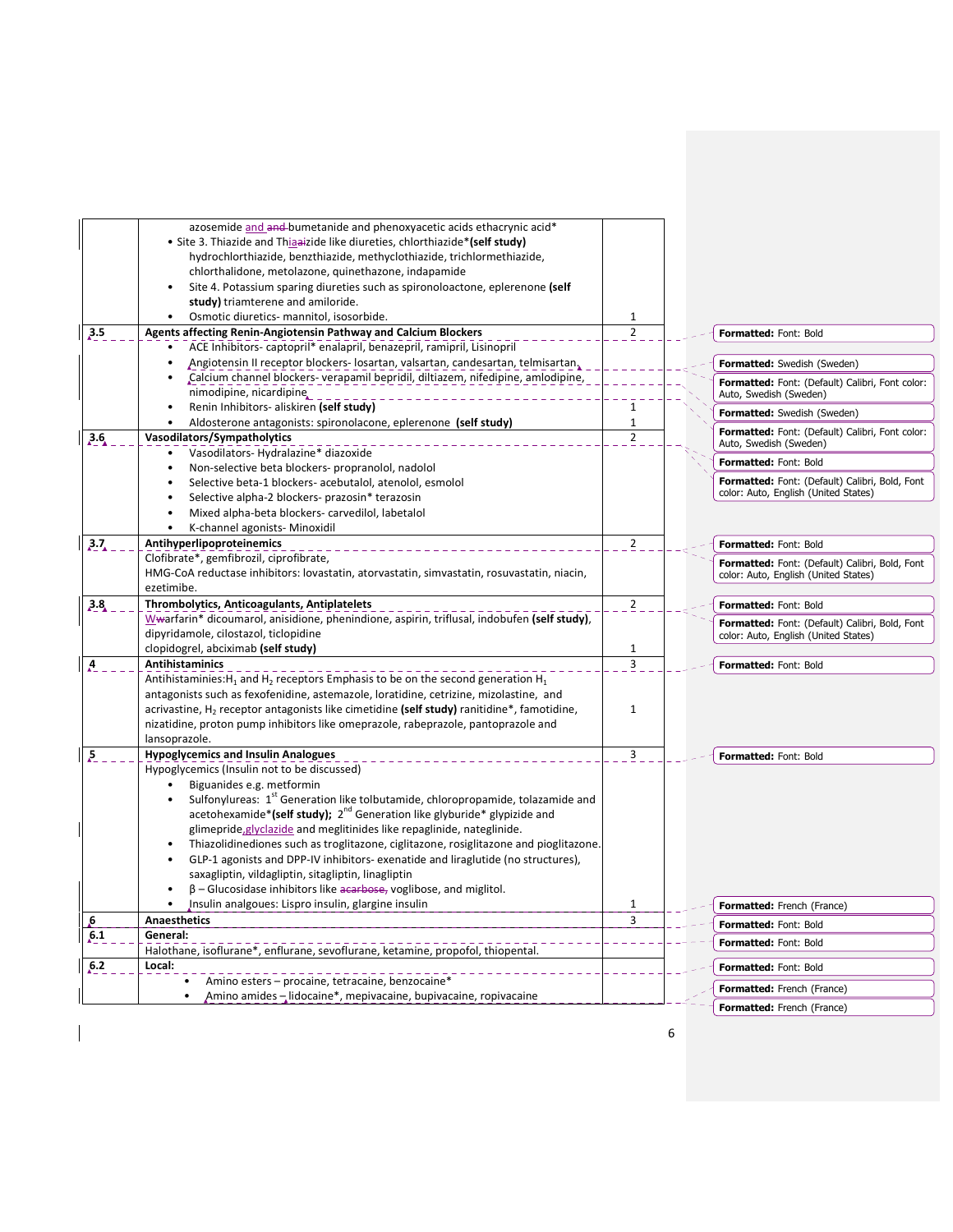|                | azosemide and and bumetanide and phenoxyacetic acids ethacrynic acid*<br>• Site 3. Thiazide and Thiaaizide like diureties, chlorthiazide*(self study)<br>hydrochlorthiazide, benzthiazide, methyclothiazide, trichlormethiazide, |                |                                                                                        |
|----------------|----------------------------------------------------------------------------------------------------------------------------------------------------------------------------------------------------------------------------------|----------------|----------------------------------------------------------------------------------------|
|                | chlorthalidone, metolazone, quinethazone, indapamide<br>Site 4. Potassium sparing diureties such as spironoloactone, eplerenone (self                                                                                            |                |                                                                                        |
|                | study) triamterene and amiloride.<br>Osmotic diuretics- mannitol, isosorbide.                                                                                                                                                    | 1              |                                                                                        |
| 3.5            | <b>Agents affecting Renin-Angiotensin Pathway and Calcium Blockers</b>                                                                                                                                                           | $\overline{2}$ | <b>Formatted: Font: Bold</b>                                                           |
|                | ACE Inhibitors-captopril* enalapril, benazepril, ramipril, Lisinopril                                                                                                                                                            |                |                                                                                        |
|                | Angiotensin II receptor blockers-losartan, valsartan, candesartan, telmisartan,                                                                                                                                                  |                | Formatted: Swedish (Sweden)                                                            |
|                | "Calcium channel blockers- verapamil bepridil, diltiazem, nifedipine, amlodipine,<br>nimodipine, nicardipine,                                                                                                                    |                | Formatted: Font: (Default) Calibri, Font color:<br>Auto, Swedish (Sweden)              |
|                | Renin Inhibitors- aliskiren (self study)                                                                                                                                                                                         | $\mathbf{1}$   | Formatted: Swedish (Sweden)                                                            |
|                | Aldosterone antagonists: spironolacone, eplerenone (self study)<br>$\bullet$                                                                                                                                                     | $\mathbf 1$    | Formatted: Font: (Default) Calibri, Font color:                                        |
| 3.6            | Vasodilators/Sympatholytics<br>Vasodilators-Hydralazine* diazoxide                                                                                                                                                               | $\overline{2}$ | Auto, Swedish (Sweden)                                                                 |
|                | Non-selective beta blockers- propranolol, nadolol                                                                                                                                                                                |                | Formatted: Font: Bold                                                                  |
|                | Selective beta-1 blockers- acebutalol, atenolol, esmolol<br>Selective alpha-2 blockers- prazosin* terazosin                                                                                                                      |                | Formatted: Font: (Default) Calibri, Bold, Font<br>color: Auto, English (United States) |
|                | Mixed alpha-beta blockers-carvedilol, labetalol                                                                                                                                                                                  |                |                                                                                        |
|                | K-channel agonists- Minoxidil<br>$\bullet$                                                                                                                                                                                       |                |                                                                                        |
| 3.7            | Antihyperlipoproteinemics                                                                                                                                                                                                        | $\overline{2}$ | Formatted: Font: Bold                                                                  |
|                | Clofibrate*, gemfibrozil, ciprofibrate,<br>HMG-CoA reductase inhibitors: lovastatin, atorvastatin, simvastatin, rosuvastatin, niacin,                                                                                            |                | Formatted: Font: (Default) Calibri, Bold, Font<br>color: Auto, English (United States) |
|                | ezetimibe.                                                                                                                                                                                                                       |                |                                                                                        |
| 3.8            | Thrombolytics, Anticoagulants, Antiplatelets                                                                                                                                                                                     | $\mathbf 2$    | Formatted: Font: Bold                                                                  |
|                | Wwarfarin* dicoumarol, anisidione, phenindione, aspirin, triflusal, indobufen (self study),<br>dipyridamole, cilostazol, ticlopidine                                                                                             |                | Formatted: Font: (Default) Calibri, Bold, Font                                         |
|                | clopidogrel, abciximab (self study)                                                                                                                                                                                              | $\mathbf{1}$   | color: Auto, English (United States)                                                   |
| A              | <b>Antihistaminics</b>                                                                                                                                                                                                           | 3              | Formatted: Font: Bold                                                                  |
|                | Antihistaminies: H <sub>1</sub> and H <sub>2</sub> receptors Emphasis to be on the second generation H <sub>1</sub>                                                                                                              |                |                                                                                        |
|                | antagonists such as fexofenidine, astemazole, loratidine, cetrizine, mizolastine, and                                                                                                                                            |                |                                                                                        |
|                | acrivastine, $H_2$ receptor antagonists like cimetidine (self study) ranitidine*, famotidine,                                                                                                                                    | 1              |                                                                                        |
|                | nizatidine, proton pump inhibitors like omeprazole, rabeprazole, pantoprazole and                                                                                                                                                |                |                                                                                        |
|                | lansoprazole.                                                                                                                                                                                                                    |                |                                                                                        |
| $\overline{P}$ | <b>Hypoglycemics and Insulin Analogues</b>                                                                                                                                                                                       | 3              | Formatted: Font: Bold                                                                  |
|                | Hypoglycemics (Insulin not to be discussed)                                                                                                                                                                                      |                |                                                                                        |
|                | Biguanides e.g. metformin                                                                                                                                                                                                        |                |                                                                                        |
|                | Sulfonylureas: 1 <sup>st</sup> Generation like tolbutamide, chloropropamide, tolazamide and<br>acetohexamide*(self study); 2 <sup>nd</sup> Generation like glyburide* glypizide and                                              |                |                                                                                        |
|                | glimepride, glyclazide and meglitinides like repaglinide, nateglinide.                                                                                                                                                           |                |                                                                                        |
|                | Thiazolidinediones such as troglitazone, ciglitazone, rosiglitazone and pioglitazone.                                                                                                                                            |                |                                                                                        |
|                | GLP-1 agonists and DPP-IV inhibitors- exenatide and liraglutide (no structures),                                                                                                                                                 |                |                                                                                        |
|                | saxagliptin, vildagliptin, sitagliptin, linagliptin                                                                                                                                                                              |                |                                                                                        |
|                | $\beta$ – Glucosidase inhibitors like acarbose, voglibose, and miglitol.                                                                                                                                                         |                |                                                                                        |
|                | $\bullet$<br>Insulin analgoues: Lispro insulin, glargine insulin                                                                                                                                                                 | $\mathbf{1}$   | Formatted: French (France)                                                             |
| b,             | <b>Anaesthetics</b>                                                                                                                                                                                                              | 3              | Formatted: Font: Bold                                                                  |
| 6.1            | General:                                                                                                                                                                                                                         |                | Formatted: Font: Bold                                                                  |
| 6.2            | Halothane, isoflurane*, enflurane, sevoflurane, ketamine, propofol, thiopental.<br>Local:                                                                                                                                        |                | Formatted: Font: Bold                                                                  |
|                | Amino esters - procaine, tetracaine, benzocaine*                                                                                                                                                                                 |                |                                                                                        |
|                | Amino amides – lidocaine*, mepivacaine, bupivacaine, ropivacaine                                                                                                                                                                 |                | Formatted: French (France)                                                             |
|                |                                                                                                                                                                                                                                  |                | Formatted: French (France)                                                             |

6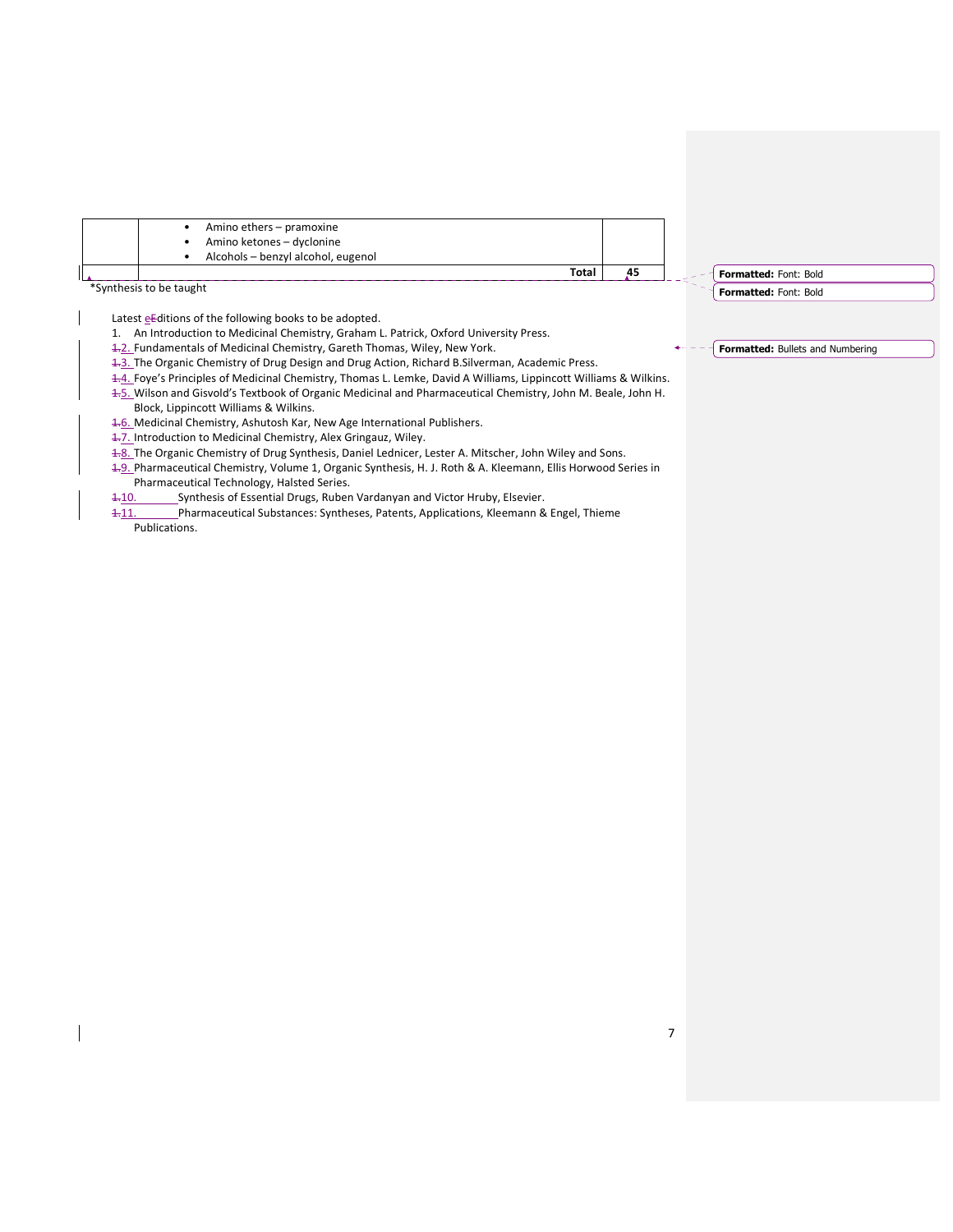

\*Synthesis to be taught

Latest eEditions of the following books to be adopted.

- 1. An Introduction to Medicinal Chemistry, Graham L. Patrick, Oxford University Press.
- 1.2. Fundamentals of Medicinal Chemistry, Gareth Thomas, Wiley, New York.
- 1.3. The Organic Chemistry of Drug Design and Drug Action, Richard B. Silverman, Academic Press.
- 1.4. Foye's Principles of Medicinal Chemistry, Thomas L. Lemke, David A Williams, Lippincott Williams & Wilkins. 1.5. Wilson and Gisvold's Textbook of Organic Medicinal and Pharmaceutical Chemistry, John M. Beale, John H.
- Block, Lippincott Williams & Wilkins.
- 1.6. Medicinal Chemistry, Ashutosh Kar, New Age International Publishers.
- 1.7. Introduction to Medicinal Chemistry, Alex Gringauz, Wiley.
- 1-8. The Organic Chemistry of Drug Synthesis, Daniel Lednicer, Lester A. Mitscher, John Wiley and Sons.
- 1.9. Pharmaceutical Chemistry, Volume 1, Organic Synthesis, H. J. Roth & A. Kleemann, Ellis Horwood Series in Pharmaceutical Technology, Halsted Series.
- 1.10. Synthesis of Essential Drugs, Ruben Vardanyan and Victor Hruby, Elsevier.
- 1.11. Pharmaceutical Substances: Syntheses, Patents, Applications, Kleemann & Engel, Thieme Publications.

**Formatted: Bullets and Numbering**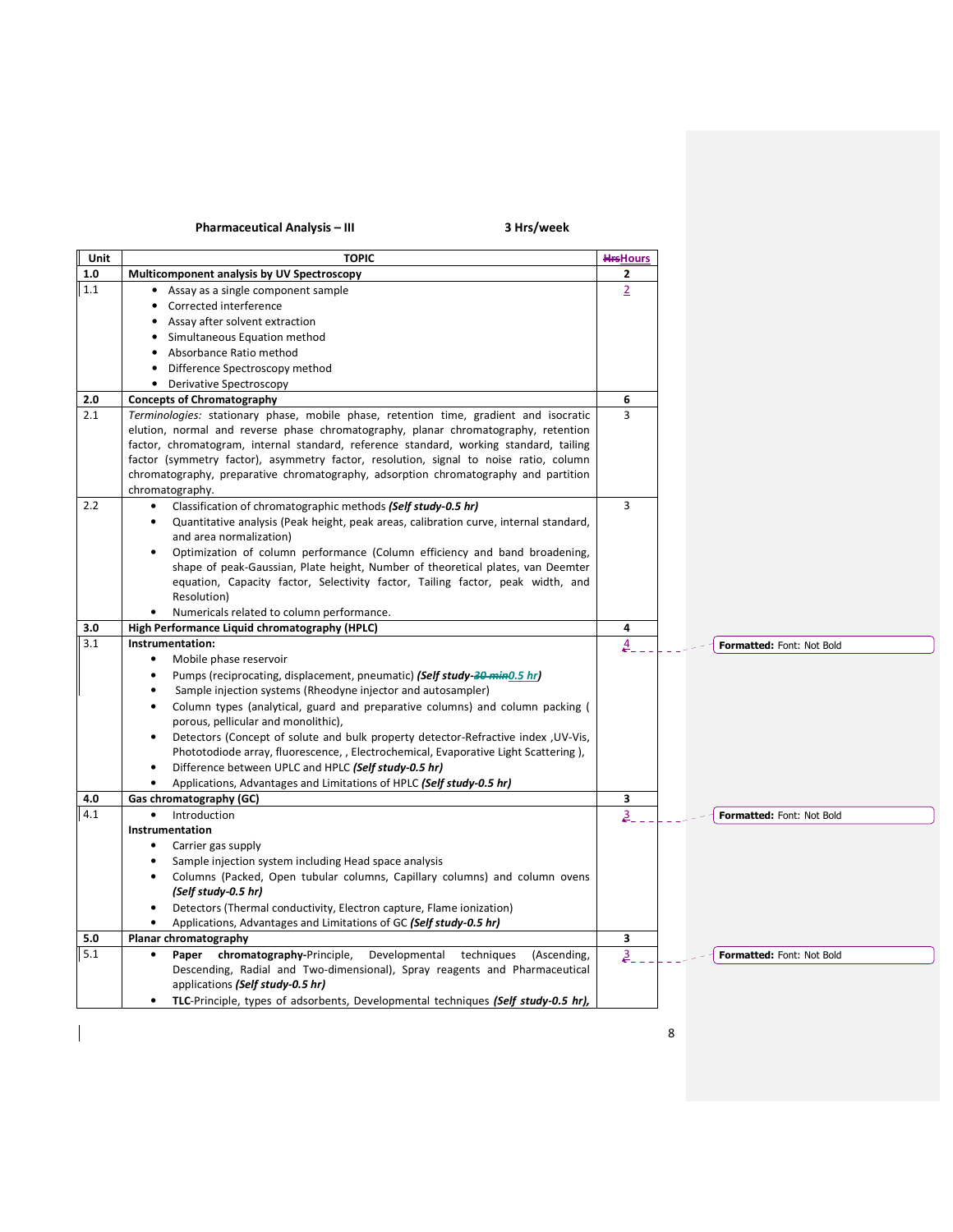# Pharmaceutical Analysis – III 3 Hrs/week

 $\begin{array}{c} \rule{0pt}{2ex} \rule{0pt}{2ex} \rule{0pt}{2ex} \rule{0pt}{2ex} \rule{0pt}{2ex} \rule{0pt}{2ex} \rule{0pt}{2ex} \rule{0pt}{2ex} \rule{0pt}{2ex} \rule{0pt}{2ex} \rule{0pt}{2ex} \rule{0pt}{2ex} \rule{0pt}{2ex} \rule{0pt}{2ex} \rule{0pt}{2ex} \rule{0pt}{2ex} \rule{0pt}{2ex} \rule{0pt}{2ex} \rule{0pt}{2ex} \rule{0pt}{2ex} \rule{0pt}{2ex} \rule{0pt}{2ex} \rule{0pt}{2ex} \rule{0pt}{$ 

| Unit | <b>TOPIC</b>                                                                           | <b>HrsHours</b> |                           |
|------|----------------------------------------------------------------------------------------|-----------------|---------------------------|
| 1.0  | Multicomponent analysis by UV Spectroscopy                                             | 2               |                           |
| 1.1  | • Assay as a single component sample                                                   | $\overline{2}$  |                           |
|      | Corrected interference                                                                 |                 |                           |
|      | • Assay after solvent extraction                                                       |                 |                           |
|      | Simultaneous Equation method                                                           |                 |                           |
|      | • Absorbance Ratio method                                                              |                 |                           |
|      | Difference Spectroscopy method                                                         |                 |                           |
|      | • Derivative Spectroscopy                                                              |                 |                           |
| 2.0  | <b>Concepts of Chromatography</b>                                                      | 6               |                           |
| 2.1  | Terminologies: stationary phase, mobile phase, retention time, gradient and isocratic  | 3               |                           |
|      | elution, normal and reverse phase chromatography, planar chromatography, retention     |                 |                           |
|      | factor, chromatogram, internal standard, reference standard, working standard, tailing |                 |                           |
|      | factor (symmetry factor), asymmetry factor, resolution, signal to noise ratio, column  |                 |                           |
|      | chromatography, preparative chromatography, adsorption chromatography and partition    |                 |                           |
|      | chromatography.                                                                        |                 |                           |
| 2.2  | Classification of chromatographic methods (Self study-0.5 hr)                          | $\overline{3}$  |                           |
|      | Quantitative analysis (Peak height, peak areas, calibration curve, internal standard,  |                 |                           |
|      | and area normalization)                                                                |                 |                           |
|      | Optimization of column performance (Column efficiency and band broadening,             |                 |                           |
|      | shape of peak-Gaussian, Plate height, Number of theoretical plates, van Deemter        |                 |                           |
|      | equation, Capacity factor, Selectivity factor, Tailing factor, peak width, and         |                 |                           |
|      | Resolution)                                                                            |                 |                           |
|      | Numericals related to column performance.                                              |                 |                           |
| 3.0  | High Performance Liquid chromatography (HPLC)                                          | 4               |                           |
| 3.1  | Instrumentation:                                                                       | 4.              | Formatted: Font: Not Bold |
|      | Mobile phase reservoir<br>$\bullet$                                                    |                 |                           |
|      | Pumps (reciprocating, displacement, pneumatic) (Self study 30 min0.5 hr)               |                 |                           |
|      | Sample injection systems (Rheodyne injector and autosampler)<br>$\bullet$              |                 |                           |
|      | Column types (analytical, guard and preparative columns) and column packing (          |                 |                           |
|      | porous, pellicular and monolithic),                                                    |                 |                           |
|      | Detectors (Concept of solute and bulk property detector-Refractive index , UV-Vis,     |                 |                           |
|      | Phototodiode array, fluorescence, , Electrochemical, Evaporative Light Scattering),    |                 |                           |
|      | Difference between UPLC and HPLC (Self study-0.5 hr)                                   |                 |                           |
|      | Applications, Advantages and Limitations of HPLC (Self study-0.5 hr)                   |                 |                           |
| 4.0  | Gas chromatography (GC)                                                                | 3               |                           |
| 4.1  | Introduction<br>$\bullet$                                                              | $\frac{3}{2}$   | Formatted: Font: Not Bold |
|      | Instrumentation                                                                        |                 |                           |
|      | Carrier gas supply                                                                     |                 |                           |
|      | Sample injection system including Head space analysis<br>٠                             |                 |                           |
|      | Columns (Packed, Open tubular columns, Capillary columns) and column ovens             |                 |                           |
|      | (Self study-0.5 hr)                                                                    |                 |                           |
|      | Detectors (Thermal conductivity, Electron capture, Flame ionization)                   |                 |                           |
|      | Applications, Advantages and Limitations of GC (Self study-0.5 hr)<br>$\bullet$        |                 |                           |
| 5.0  | Planar chromatography                                                                  | 3               |                           |
| 5.1  | Paper chromatography-Principle,<br>Developmental techniques<br>(Ascending,             | $\mathbf{a}$    | Formatted: Font: Not Bold |
|      | Descending, Radial and Two-dimensional), Spray reagents and Pharmaceutical             |                 |                           |
|      | applications (Self study-0.5 hr)                                                       |                 |                           |
|      | TLC-Principle, types of adsorbents, Developmental techniques (Self study-0.5 hr),      |                 |                           |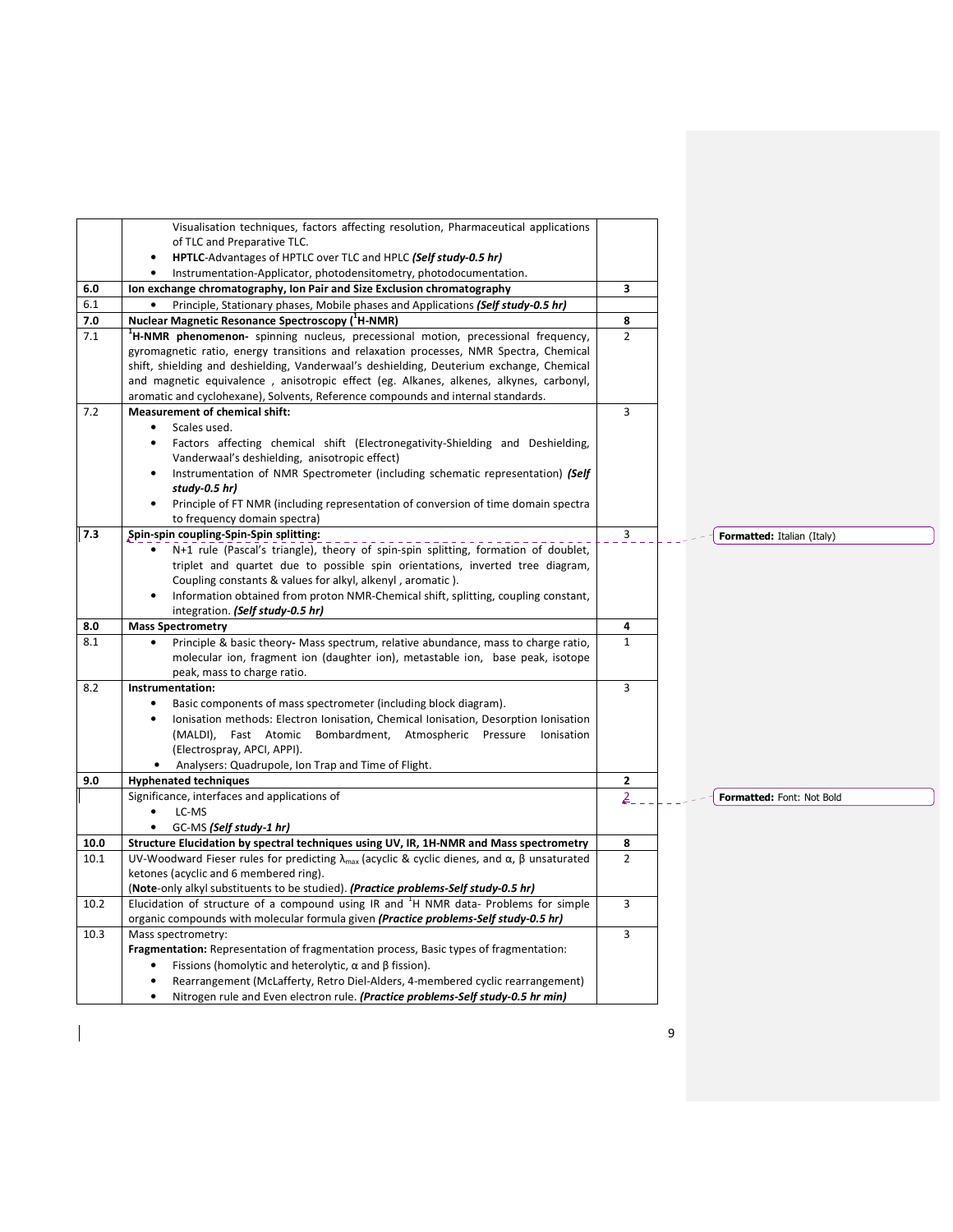|      | Visualisation techniques, factors affecting resolution, Pharmaceutical applications                                         |                |                            |
|------|-----------------------------------------------------------------------------------------------------------------------------|----------------|----------------------------|
|      | of TLC and Preparative TLC.                                                                                                 |                |                            |
|      | HPTLC-Advantages of HPTLC over TLC and HPLC (Self study-0.5 hr)<br>$\bullet$                                                |                |                            |
|      | Instrumentation-Applicator, photodensitometry, photodocumentation.                                                          |                |                            |
| 6.0  | Ion exchange chromatography, Ion Pair and Size Exclusion chromatography                                                     | 3              |                            |
| 6.1  | Principle, Stationary phases, Mobile phases and Applications (Self study-0.5 hr)                                            |                |                            |
| 7.0  | <b>Nuclear Magnetic Resonance Spectroscopy (<sup>1</sup>H-NMR)</b>                                                          | 8              |                            |
| 7.1  | <sup>1</sup> H-NMR phenomenon- spinning nucleus, precessional motion, precessional frequency,                               | $\overline{2}$ |                            |
|      | gyromagnetic ratio, energy transitions and relaxation processes, NMR Spectra, Chemical                                      |                |                            |
|      | shift, shielding and deshielding, Vanderwaal's deshielding, Deuterium exchange, Chemical                                    |                |                            |
|      | and magnetic equivalence, anisotropic effect (eg. Alkanes, alkenes, alkynes, carbonyl,                                      |                |                            |
|      | aromatic and cyclohexane), Solvents, Reference compounds and internal standards.                                            |                |                            |
| 7.2  | <b>Measurement of chemical shift:</b>                                                                                       | 3              |                            |
|      | Scales used.                                                                                                                |                |                            |
|      | Factors affecting chemical shift (Electronegativity-Shielding and Deshielding,                                              |                |                            |
|      | Vanderwaal's deshielding, anisotropic effect)                                                                               |                |                            |
|      | Instrumentation of NMR Spectrometer (including schematic representation) (Self                                              |                |                            |
|      | study-0.5 hr)                                                                                                               |                |                            |
|      | Principle of FT NMR (including representation of conversion of time domain spectra<br>$\bullet$                             |                |                            |
|      | to frequency domain spectra)                                                                                                |                |                            |
| 7.3  | Spin-spin coupling-Spin-Spin splitting:                                                                                     | $\mathbf{3}$   | Formatted: Italian (Italy) |
|      | N+1 rule (Pascal's triangle), theory of spin-spin splitting, formation of doublet,                                          |                |                            |
|      | triplet and quartet due to possible spin orientations, inverted tree diagram,                                               |                |                            |
|      | Coupling constants & values for alkyl, alkenyl, aromatic).                                                                  |                |                            |
|      | Information obtained from proton NMR-Chemical shift, splitting, coupling constant,<br>integration. (Self study-0.5 hr)      |                |                            |
| 8.0  | <b>Mass Spectrometry</b>                                                                                                    | 4              |                            |
| 8.1  | Principle & basic theory- Mass spectrum, relative abundance, mass to charge ratio,                                          | $\mathbf{1}$   |                            |
|      | molecular ion, fragment ion (daughter ion), metastable ion, base peak, isotope                                              |                |                            |
|      | peak, mass to charge ratio.                                                                                                 |                |                            |
| 8.2  | Instrumentation:                                                                                                            | 3              |                            |
|      | Basic components of mass spectrometer (including block diagram).                                                            |                |                            |
|      | Ionisation methods: Electron Ionisation, Chemical Ionisation, Desorption Ionisation                                         |                |                            |
|      | (MALDI), Fast Atomic<br>Bombardment, Atmospheric Pressure<br>Ionisation                                                     |                |                            |
|      | (Electrospray, APCI, APPI).                                                                                                 |                |                            |
|      | Analysers: Quadrupole, Ion Trap and Time of Flight.<br>$\bullet$                                                            |                |                            |
| 9.0  | <b>Hyphenated techniques</b>                                                                                                | $\mathbf{2}$   |                            |
|      | Significance, interfaces and applications of                                                                                | $\overline{2}$ | Formatted: Font: Not Bold  |
|      | LC-MS                                                                                                                       |                |                            |
|      | GC-MS (Self study-1 hr)                                                                                                     |                |                            |
| 10.0 | Structure Elucidation by spectral techniques using UV, IR, 1H-NMR and Mass spectrometry                                     | 8              |                            |
| 10.1 | UV-Woodward Fieser rules for predicting $\lambda_{\text{max}}$ (acyclic & cyclic dienes, and $\alpha$ , $\beta$ unsaturated | $\overline{2}$ |                            |
|      | ketones (acyclic and 6 membered ring).                                                                                      |                |                            |
|      | (Note-only alkyl substituents to be studied). (Practice problems-Self study-0.5 hr)                                         |                |                            |
| 10.2 | Elucidation of structure of a compound using IR and $H$ NMR data- Problems for simple                                       | 3              |                            |
|      | organic compounds with molecular formula given (Practice problems-Self study-0.5 hr)                                        |                |                            |
| 10.3 | Mass spectrometry:                                                                                                          | 3              |                            |
|      | Fragmentation: Representation of fragmentation process, Basic types of fragmentation:                                       |                |                            |
|      | Fissions (homolytic and heterolytic, $\alpha$ and $\beta$ fission).                                                         |                |                            |
|      | Rearrangement (McLafferty, Retro Diel-Alders, 4-membered cyclic rearrangement)                                              |                |                            |
|      | Nitrogen rule and Even electron rule. (Practice problems-Self study-0.5 hr min)                                             |                |                            |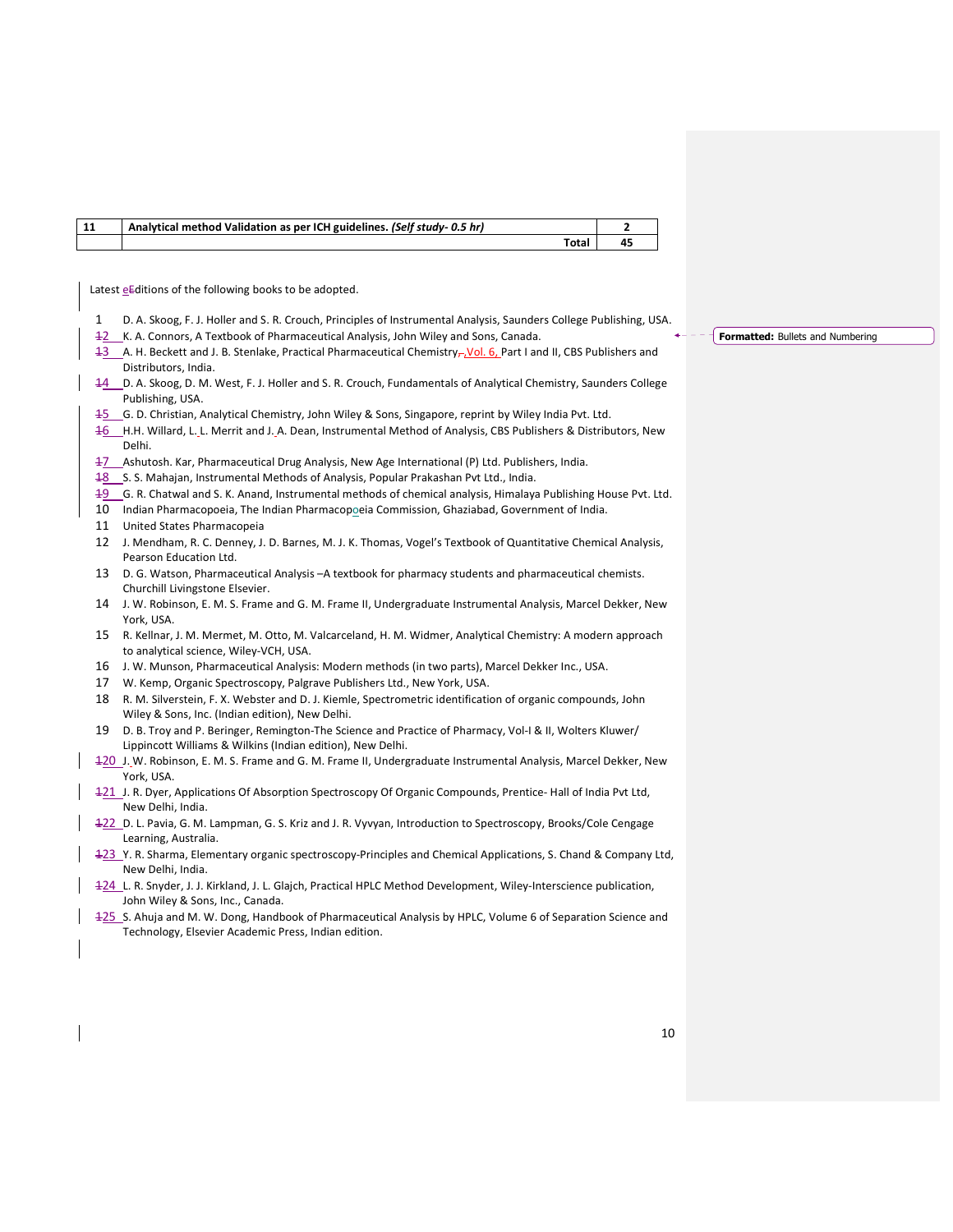| 11 | Analytical method Validation as per ICH guidelines. (Self study-0.5 hr) |    |  |
|----|-------------------------------------------------------------------------|----|--|
|    | Total                                                                   | 45 |  |

Latest  $\underline{e}$  Editions of the following books to be adopted.

- 1 D. A. Skoog, F. J. Holler and S. R. Crouch, Principles of Instrumental Analysis, Saunders College Publishing, USA.
- 12 K. A. Connors, A Textbook of Pharmaceutical Analysis, John Wiley and Sons, Canada.
- 13 A. H. Beckett and J. B. Stenlake, Practical Pharmaceutical Chemistry<sub>r</sub>, Vol. 6, Part I and II, CBS Publishers and Distributors, India.
- 14 D. A. Skoog, D. M. West, F. J. Holler and S. R. Crouch, Fundamentals of Analytical Chemistry, Saunders College Publishing, USA.
- 15 G. D. Christian, Analytical Chemistry, John Wiley & Sons, Singapore, reprint by Wiley India Pvt. Ltd.
- 16 H.H. Willard, L. L. Merrit and J. A. Dean, Instrumental Method of Analysis, CBS Publishers & Distributors, New Delhi.
- 17 Ashutosh. Kar, Pharmaceutical Drug Analysis, New Age International (P) Ltd. Publishers, India.
- 18 S. S. Mahajan, Instrumental Methods of Analysis, Popular Prakashan Pvt Ltd., India.
- 19 G. R. Chatwal and S. K. Anand, Instrumental methods of chemical analysis, Himalaya Publishing House Pvt. Ltd.
- 10 Indian Pharmacopoeia, The Indian Pharmacopoeia Commission, Ghaziabad, Government of India.
- 11 United States Pharmacopeia
- 12 J. Mendham, R. C. Denney, J. D. Barnes, M. J. K. Thomas, Vogel's Textbook of Quantitative Chemical Analysis, Pearson Education Ltd.
- 13 D. G. Watson, Pharmaceutical Analysis –A textbook for pharmacy students and pharmaceutical chemists. Churchill Livingstone Elsevier.
- 14 J. W. Robinson, E. M. S. Frame and G. M. Frame II, Undergraduate Instrumental Analysis, Marcel Dekker, New York, USA.
- 15 R. Kellnar, J. M. Mermet, M. Otto, M. Valcarceland, H. M. Widmer, Analytical Chemistry: A modern approach to analytical science, Wiley-VCH, USA.
- 16 J. W. Munson, Pharmaceutical Analysis: Modern methods (in two parts), Marcel Dekker Inc., USA.
- 17 W. Kemp, Organic Spectroscopy, Palgrave Publishers Ltd., New York, USA.
- 18 R. M. Silverstein, F. X. Webster and D. J. Kiemle, Spectrometric identification of organic compounds, John Wiley & Sons, Inc. (Indian edition), New Delhi.
- 19 D. B. Troy and P. Beringer, Remington-The Science and Practice of Pharmacy, Vol-I & II, Wolters Kluwer/ Lippincott Williams & Wilkins (Indian edition), New Delhi.
- 120 J. W. Robinson, E. M. S. Frame and G. M. Frame II, Undergraduate Instrumental Analysis, Marcel Dekker, New York, USA.
- 121 J. R. Dyer, Applications Of Absorption Spectroscopy Of Organic Compounds, Prentice- Hall of India Pvt Ltd, New Delhi, India.
- 122 D. L. Pavia, G. M. Lampman, G. S. Kriz and J. R. Vyvyan, Introduction to Spectroscopy, Brooks/Cole Cengage Learning, Australia.
- 123 Y. R. Sharma, Elementary organic spectroscopy-Principles and Chemical Applications, S. Chand & Company Ltd, New Delhi, India.
- 124 L. R. Snyder, J. J. Kirkland, J. L. Glajch, Practical HPLC Method Development, Wiley-Interscience publication, John Wiley & Sons, Inc., Canada.
- 125 S. Ahuja and M. W. Dong, Handbook of Pharmaceutical Analysis by HPLC, Volume 6 of Separation Science and Technology, Elsevier Academic Press, Indian edition.

**Formatted:** Bullets and Numbering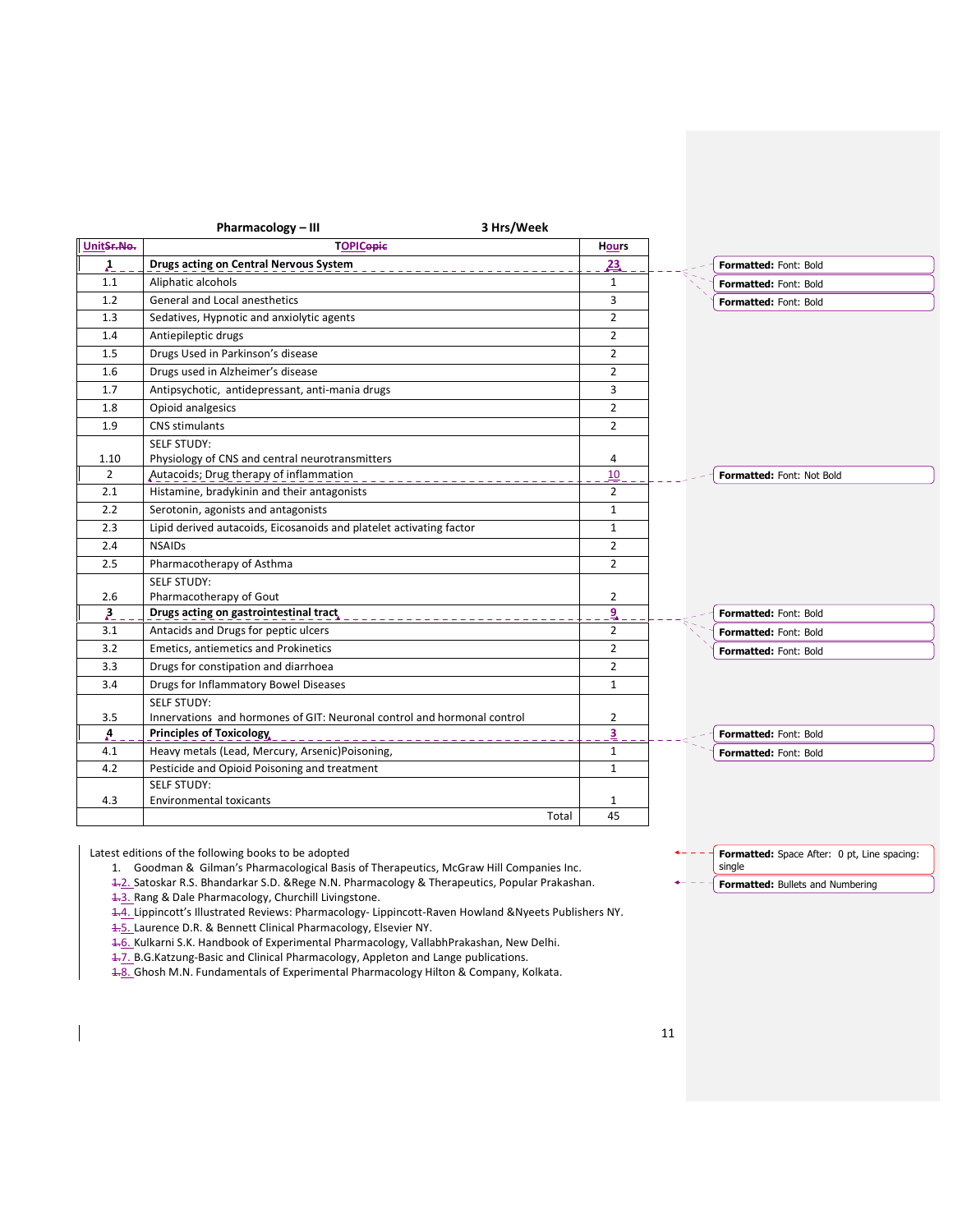|                        | Pharmacology - III<br>3 Hrs/Week                                        |                         |                              |
|------------------------|-------------------------------------------------------------------------|-------------------------|------------------------------|
| UnitSr.No.             | <b>TOPICopic</b>                                                        | <b>Hours</b>            |                              |
| $\lambda$ <sub>-</sub> | Drugs acting on Central Nervous System                                  | 23                      | Formatted: Font: Bold        |
| 1.1                    | Aliphatic alcohols                                                      | $\mathbf{1}$            | Formatted: Font: Bold        |
| 1.2                    | General and Local anesthetics                                           | 3                       | <b>Formatted: Font: Bold</b> |
| 1.3                    | Sedatives, Hypnotic and anxiolytic agents                               | $\overline{2}$          |                              |
| 1.4                    | Antiepileptic drugs                                                     | $\overline{2}$          |                              |
| 1.5                    | Drugs Used in Parkinson's disease                                       | $\overline{2}$          |                              |
| 1.6                    | Drugs used in Alzheimer's disease                                       | $\overline{2}$          |                              |
| 1.7                    | Antipsychotic, antidepressant, anti-mania drugs                         | 3                       |                              |
| 1.8                    | Opioid analgesics                                                       | $\overline{2}$          |                              |
| 1.9                    | CNS stimulants                                                          | $\overline{2}$          |                              |
|                        | <b>SELF STUDY:</b>                                                      |                         |                              |
| 1.10                   | Physiology of CNS and central neurotransmitters                         | 4                       |                              |
| $\overline{2}$         | Autacoids; Drug therapy of inflammation                                 | 10                      | Formatted: Font: Not Bold    |
| 2.1                    | Histamine, bradykinin and their antagonists                             | $\overline{2}$          |                              |
| 2.2                    | Serotonin, agonists and antagonists                                     | 1                       |                              |
| 2.3                    | Lipid derived autacoids, Eicosanoids and platelet activating factor     | $\mathbf{1}$            |                              |
| 2.4                    | <b>NSAIDs</b>                                                           | 2                       |                              |
| 2.5                    | Pharmacotherapy of Asthma                                               | $\overline{2}$          |                              |
|                        | <b>SELF STUDY:</b>                                                      |                         |                              |
| 2.6                    | Pharmacotherapy of Gout                                                 | 2                       |                              |
| $\lambda$              | Drugs acting on gastrointestinal tract                                  | ٩                       |                              |
| 3.1                    | Antacids and Drugs for peptic ulcers                                    | $\overline{2}$          |                              |
| 3.2                    | <b>Emetics, antiemetics and Prokinetics</b>                             | $\overline{2}$          |                              |
| 3.3                    | Drugs for constipation and diarrhoea                                    | $\overline{2}$          |                              |
| 3.4                    | Drugs for Inflammatory Bowel Diseases                                   | $\mathbf{1}$            |                              |
|                        | <b>SELF STUDY:</b>                                                      |                         |                              |
| 3.5                    | Innervations and hormones of GIT: Neuronal control and hormonal control | $\overline{2}$          |                              |
| $\mathbf{A}$           | <b>Principles of Toxicology</b>                                         | $\overline{\mathbf{3}}$ |                              |
| 4.1                    | Heavy metals (Lead, Mercury, Arsenic)Poisoning,                         | 1                       |                              |
| 4.2                    | Pesticide and Opioid Poisoning and treatment                            | $\mathbf{1}$            |                              |
|                        | <b>SELF STUDY:</b>                                                      |                         |                              |
| 4.3                    | <b>Environmental toxicants</b>                                          | 1                       |                              |
|                        | Total                                                                   | 45                      |                              |

Latest editions of the following books to be adopted

- 1. Goodman & Gilman's Pharmacological Basis of Therapeutics, McGraw Hill Companies Inc.
- 1.2. Satoskar R.S. Bhandarkar S.D. &Rege N.N. Pharmacology & Therapeutics, Popular Prakashan.

1.3. Rang & Dale Pharmacology, Churchill Livingstone.

- 1.4. Lippincott's Illustrated Reviews: Pharmacology- Lippincott-Raven Howland &Nyeets Publishers NY.
- 1.5. Laurence D.R. & Bennett Clinical Pharmacology, Elsevier NY.
- 1.6. Kulkarni S.K. Handbook of Experimental Pharmacology, VallabhPrakashan, New Delhi.
- 1.7. B.G.Katzung-Basic and Clinical Pharmacology, Appleton and Lange publications.
- 1.8. Ghosh M.N. Fundamentals of Experimental Pharmacology Hilton & Company, Kolkata.

Formatted: Space After: 0 pt, Line spacing: single Formatted: Bullets and Numbering

11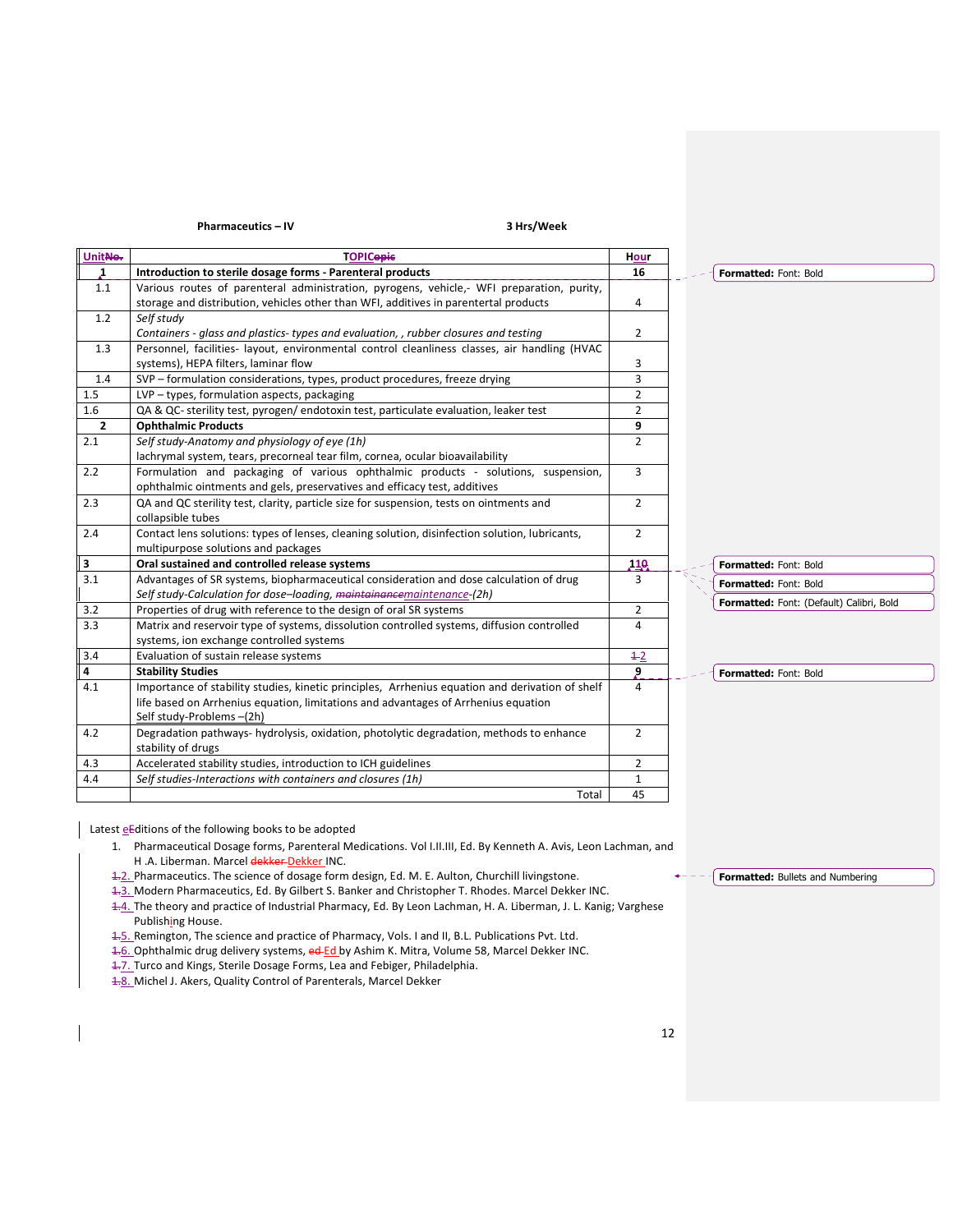Pharmaceutics – IV 3 Hrs/Week

| UnitNo.                 | <b>TOPICopic</b>                                                                                | <b>Hour</b>    |                                          |
|-------------------------|-------------------------------------------------------------------------------------------------|----------------|------------------------------------------|
| 1                       | Introduction to sterile dosage forms - Parenteral products                                      | 16             | Formatted: Font: Bold                    |
| 1.1                     | Various routes of parenteral administration, pyrogens, vehicle,- WFI preparation, purity,       |                |                                          |
|                         | storage and distribution, vehicles other than WFI, additives in parentertal products            | 4              |                                          |
| 1.2                     | Self study                                                                                      |                |                                          |
|                         | Containers - glass and plastics- types and evaluation, , rubber closures and testing            | $\overline{2}$ |                                          |
| 1.3                     | Personnel, facilities- layout, environmental control cleanliness classes, air handling (HVAC    |                |                                          |
|                         | systems), HEPA filters, laminar flow                                                            | 3              |                                          |
| 1.4                     | SVP - formulation considerations, types, product procedures, freeze drying                      | 3              |                                          |
| 1.5                     | LVP - types, formulation aspects, packaging                                                     | $\overline{2}$ |                                          |
| 1.6                     | QA & QC- sterility test, pyrogen/endotoxin test, particulate evaluation, leaker test            | 2              |                                          |
| $\overline{2}$          | <b>Ophthalmic Products</b>                                                                      | 9              |                                          |
| 2.1                     | Self study-Anatomy and physiology of eye (1h)                                                   | $\overline{2}$ |                                          |
|                         | lachrymal system, tears, precorneal tear film, cornea, ocular bioavailability                   |                |                                          |
| 2.2                     | Formulation and packaging of various ophthalmic products - solutions, suspension,               | $\overline{3}$ |                                          |
|                         | ophthalmic ointments and gels, preservatives and efficacy test, additives                       |                |                                          |
| 2.3                     | QA and QC sterility test, clarity, particle size for suspension, tests on ointments and         | $\overline{2}$ |                                          |
|                         | collapsible tubes                                                                               |                |                                          |
| 2.4                     | Contact lens solutions: types of lenses, cleaning solution, disinfection solution, lubricants,  | $\overline{2}$ |                                          |
|                         | multipurpose solutions and packages                                                             |                |                                          |
| 3                       | Oral sustained and controlled release systems                                                   | 110            | Formatted: Font: Bold                    |
| 3.1                     | Advantages of SR systems, biopharmaceutical consideration and dose calculation of drug          | 3              | Formatted: Font: Bold                    |
|                         | Self study-Calculation for dose-loading, maintainancemaintenance-(2h)                           |                | Formatted: Font: (Default) Calibri, Bold |
| 3.2                     | Properties of drug with reference to the design of oral SR systems                              | $\overline{2}$ |                                          |
| 3.3                     | Matrix and reservoir type of systems, dissolution controlled systems, diffusion controlled      | 4              |                                          |
|                         | systems, ion exchange controlled systems                                                        |                |                                          |
| 3.4                     | Evaluation of sustain release systems                                                           | $+2$           |                                          |
| $\overline{\mathbf{4}}$ | <b>Stability Studies</b>                                                                        | 9              | Formatted: Font: Bold                    |
| 4.1                     | Importance of stability studies, kinetic principles, Arrhenius equation and derivation of shelf | 4              |                                          |
|                         | life based on Arrhenius equation, limitations and advantages of Arrhenius equation              |                |                                          |
|                         | Self study-Problems-(2h)                                                                        |                |                                          |
| 4.2                     | Degradation pathways-hydrolysis, oxidation, photolytic degradation, methods to enhance          | $\overline{2}$ |                                          |
|                         | stability of drugs                                                                              |                |                                          |
| 4.3                     | Accelerated stability studies, introduction to ICH guidelines                                   | $\overline{2}$ |                                          |
| 4.4                     | Self studies-Interactions with containers and closures (1h)                                     | 1              |                                          |
|                         | Total                                                                                           | 45             |                                          |

Latest eEditions of the following books to be adopted

- 1. Pharmaceutical Dosage forms, Parenteral Medications. Vol I.II.III, Ed. By Kenneth A. Avis, Leon Lachman, and H .A. Liberman. Marcel dekker-Dekker INC.
- 1.2. Pharmaceutics. The science of dosage form design, Ed. M. E. Aulton, Churchill livingstone.
- 1.3. Modern Pharmaceutics, Ed. By Gilbert S. Banker and Christopher T. Rhodes. Marcel Dekker INC.

1.4. The theory and practice of Industrial Pharmacy, Ed. By Leon Lachman, H. A. Liberman, J. L. Kanig; Varghese Publishing House.

1.5. Remington, The science and practice of Pharmacy, Vols. I and II, B.L. Publications Pvt. Ltd.

1.6. Ophthalmic drug delivery systems, ed Ed by Ashim K. Mitra, Volume 58, Marcel Dekker INC.

1.7. Turco and Kings, Sterile Dosage Forms, Lea and Febiger, Philadelphia.

4.8. Michel J. Akers, Quality Control of Parenterals, Marcel Dekker

 $\overline{\mathsf{F}}$  Formatted: Bullets and Numbering  $\leftarrow -$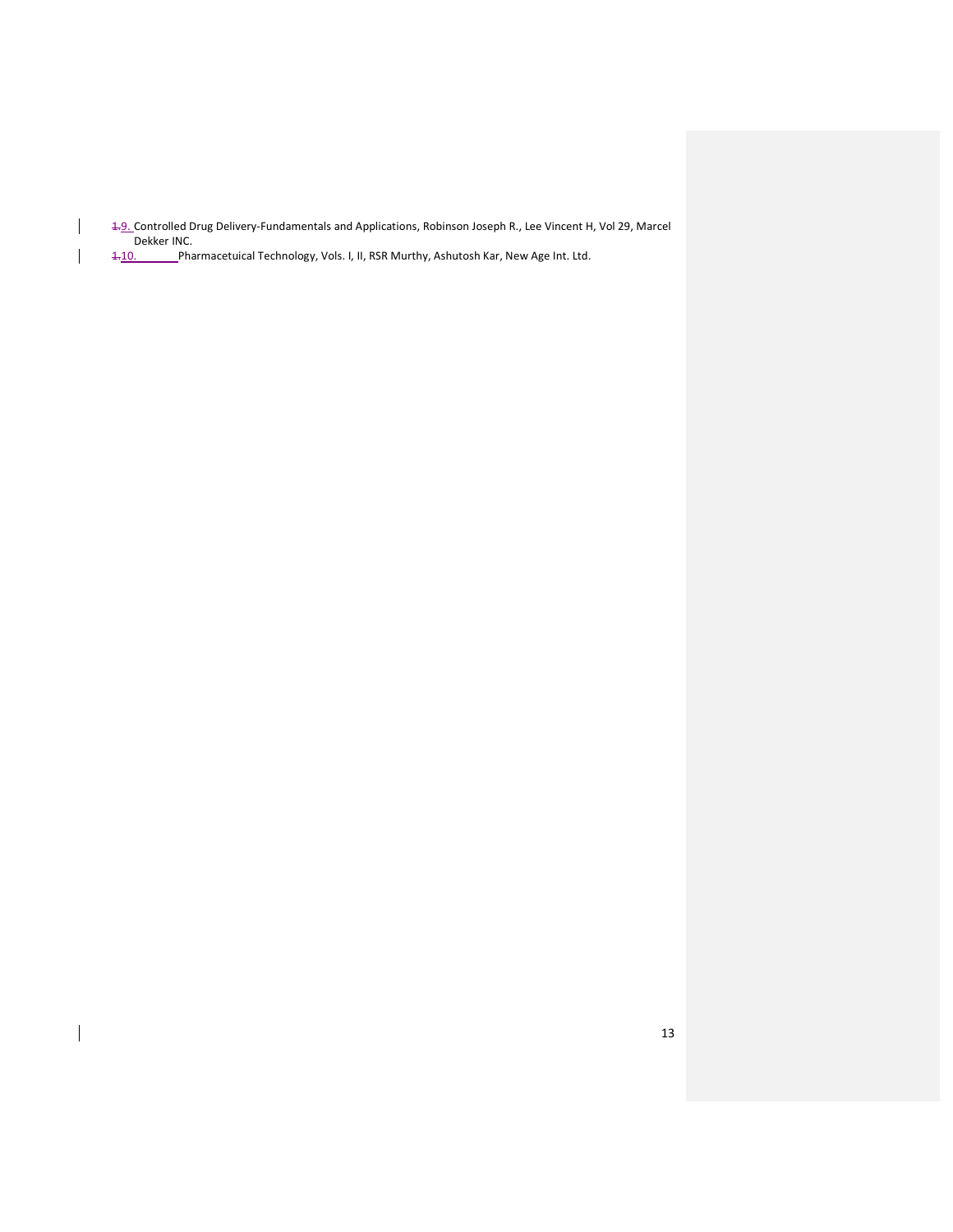1.9. Controlled Drug Delivery-Fundamentals and Applications, Robinson Joseph R., Lee Vincent H, Vol 29, Marcel Dekker INC.<br>1-10. Pha

1.10. Pharmacetuical Technology, Vols. I, II, RSR Murthy, Ashutosh Kar, New Age Int. Ltd.

 $\overline{\phantom{a}}$ 

 $\overline{\phantom{a}}$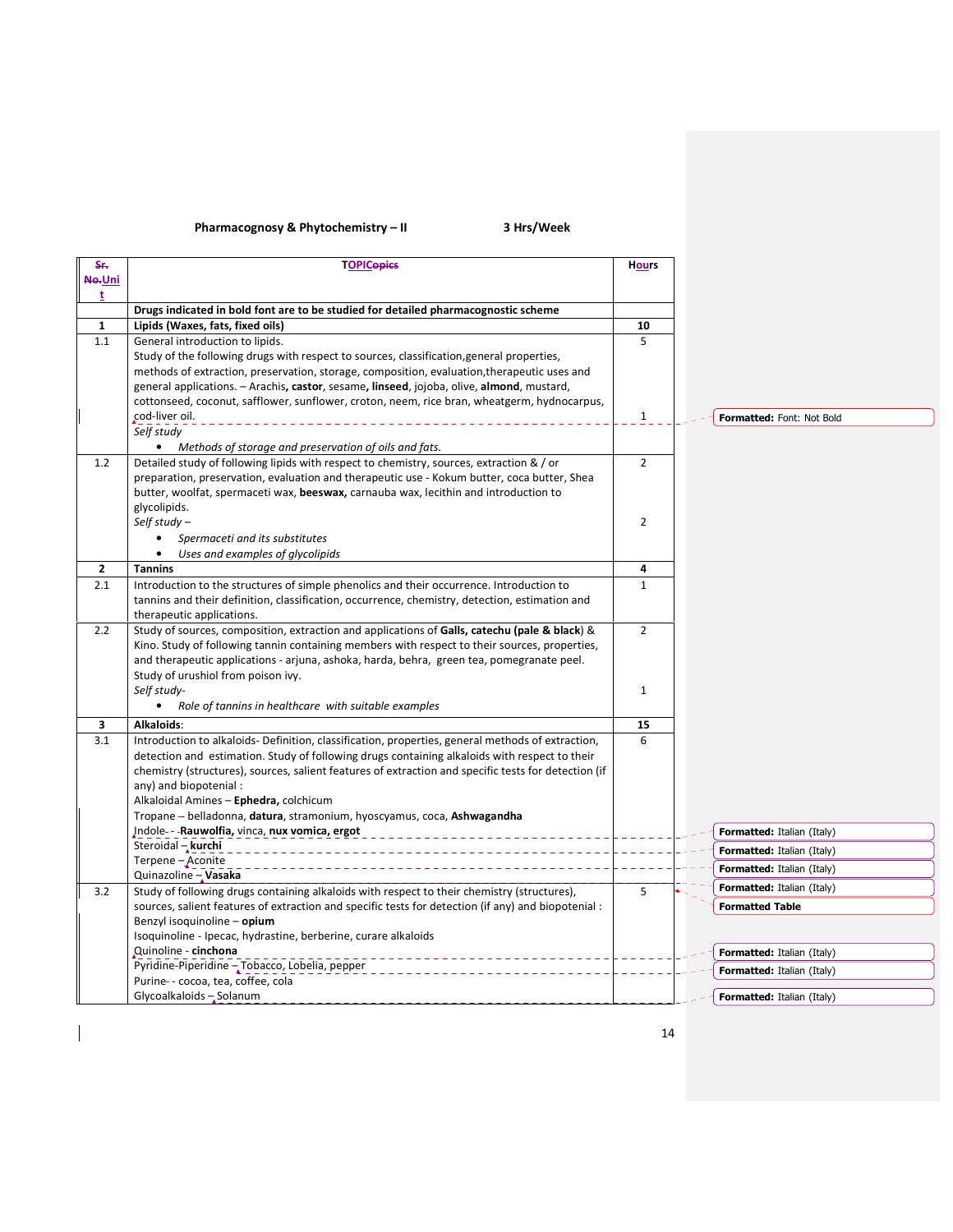# Pharmacognosy & Phytochemistry – II 3 Hrs/Week

 $\overline{\phantom{a}}$ 

| S÷.          | <b>TOPICepies</b>                                                                                                                                                                          | <b>Hours</b>   |                                   |
|--------------|--------------------------------------------------------------------------------------------------------------------------------------------------------------------------------------------|----------------|-----------------------------------|
| No-Uni       |                                                                                                                                                                                            |                |                                   |
| t            |                                                                                                                                                                                            |                |                                   |
| $\mathbf{1}$ | Drugs indicated in bold font are to be studied for detailed pharmacognostic scheme<br>Lipids (Waxes, fats, fixed oils)                                                                     | 10             |                                   |
| 1.1          | General introduction to lipids.                                                                                                                                                            | 5              |                                   |
|              | Study of the following drugs with respect to sources, classification, general properties,                                                                                                  |                |                                   |
|              | methods of extraction, preservation, storage, composition, evaluation, therapeutic uses and                                                                                                |                |                                   |
|              | general applications. - Arachis, castor, sesame, linseed, jojoba, olive, almond, mustard,                                                                                                  |                |                                   |
|              | cottonseed, coconut, safflower, sunflower, croton, neem, rice bran, wheatgerm, hydnocarpus,                                                                                                |                |                                   |
|              | cod-liver oil.                                                                                                                                                                             | $\mathbf{1}$   | Formatted: Font: Not Bold         |
|              | Self study                                                                                                                                                                                 |                |                                   |
|              | • Methods of storage and preservation of oils and fats.                                                                                                                                    |                |                                   |
| 1.2          | Detailed study of following lipids with respect to chemistry, sources, extraction & / or                                                                                                   | $\overline{2}$ |                                   |
|              | preparation, preservation, evaluation and therapeutic use - Kokum butter, coca butter, Shea                                                                                                |                |                                   |
|              | butter, woolfat, spermaceti wax, beeswax, carnauba wax, lecithin and introduction to                                                                                                       |                |                                   |
|              | glycolipids.                                                                                                                                                                               |                |                                   |
|              | Self study $-$                                                                                                                                                                             | $\overline{2}$ |                                   |
|              | Spermaceti and its substitutes<br>$\bullet$                                                                                                                                                |                |                                   |
|              | $\bullet$<br>Uses and examples of glycolipids                                                                                                                                              |                |                                   |
| $\mathbf{2}$ | <b>Tannins</b>                                                                                                                                                                             | 4              |                                   |
| 2.1          | Introduction to the structures of simple phenolics and their occurrence. Introduction to<br>tannins and their definition, classification, occurrence, chemistry, detection, estimation and | $\mathbf{1}$   |                                   |
|              | therapeutic applications.                                                                                                                                                                  |                |                                   |
| 2.2          | Study of sources, composition, extraction and applications of Galls, catechu (pale & black) &                                                                                              | $\overline{2}$ |                                   |
|              | Kino. Study of following tannin containing members with respect to their sources, properties,                                                                                              |                |                                   |
|              | and therapeutic applications - arjuna, ashoka, harda, behra, green tea, pomegranate peel.                                                                                                  |                |                                   |
|              | Study of urushiol from poison ivy.                                                                                                                                                         |                |                                   |
|              | Self study-                                                                                                                                                                                | 1              |                                   |
|              | • Role of tannins in healthcare with suitable examples                                                                                                                                     |                |                                   |
| 3            | Alkaloids:                                                                                                                                                                                 | 15             |                                   |
| 3.1          | Introduction to alkaloids- Definition, classification, properties, general methods of extraction,                                                                                          | 6              |                                   |
|              | detection and estimation. Study of following drugs containing alkaloids with respect to their                                                                                              |                |                                   |
|              | chemistry (structures), sources, salient features of extraction and specific tests for detection (if                                                                                       |                |                                   |
|              | any) and biopotenial:                                                                                                                                                                      |                |                                   |
|              | Alkaloidal Amines - Ephedra, colchicum                                                                                                                                                     |                |                                   |
|              | Tropane -- belladonna, datura, stramonium, hyoscyamus, coca, Ashwagandha<br>Indole- - - Rauwolfia, vinca, nux vomica, ergot                                                                |                |                                   |
|              | Steroidal - kurchi                                                                                                                                                                         |                | <b>Formatted:</b> Italian (Italy) |
|              | Terpene-Aconite                                                                                                                                                                            |                | Formatted: Italian (Italy)        |
|              | Quinazoline - Vasaka                                                                                                                                                                       |                | <b>Formatted:</b> Italian (Italy) |
| 3.2          | Study of following drugs containing alkaloids with respect to their chemistry (structures),                                                                                                | 5              | Formatted: Italian (Italy)        |
|              | sources, salient features of extraction and specific tests for detection (if any) and biopotenial :                                                                                        |                | <b>Formatted Table</b>            |
|              | Benzyl isoquinoline - opium                                                                                                                                                                |                |                                   |
|              | Isoquinoline - Ipecac, hydrastine, berberine, curare alkaloids                                                                                                                             |                |                                   |
|              | Quinoline - cinchona                                                                                                                                                                       |                | Formatted: Italian (Italy)        |
|              | Pyridine-Piperidine - Tobacco, Lobelia, pepper                                                                                                                                             |                | <b>Formatted:</b> Italian (Italy) |
|              | Purine- - cocoa, tea, coffee, cola                                                                                                                                                         |                |                                   |
|              | Glycoalkaloids - Solanum                                                                                                                                                                   |                | Formatted: Italian (Italy)        |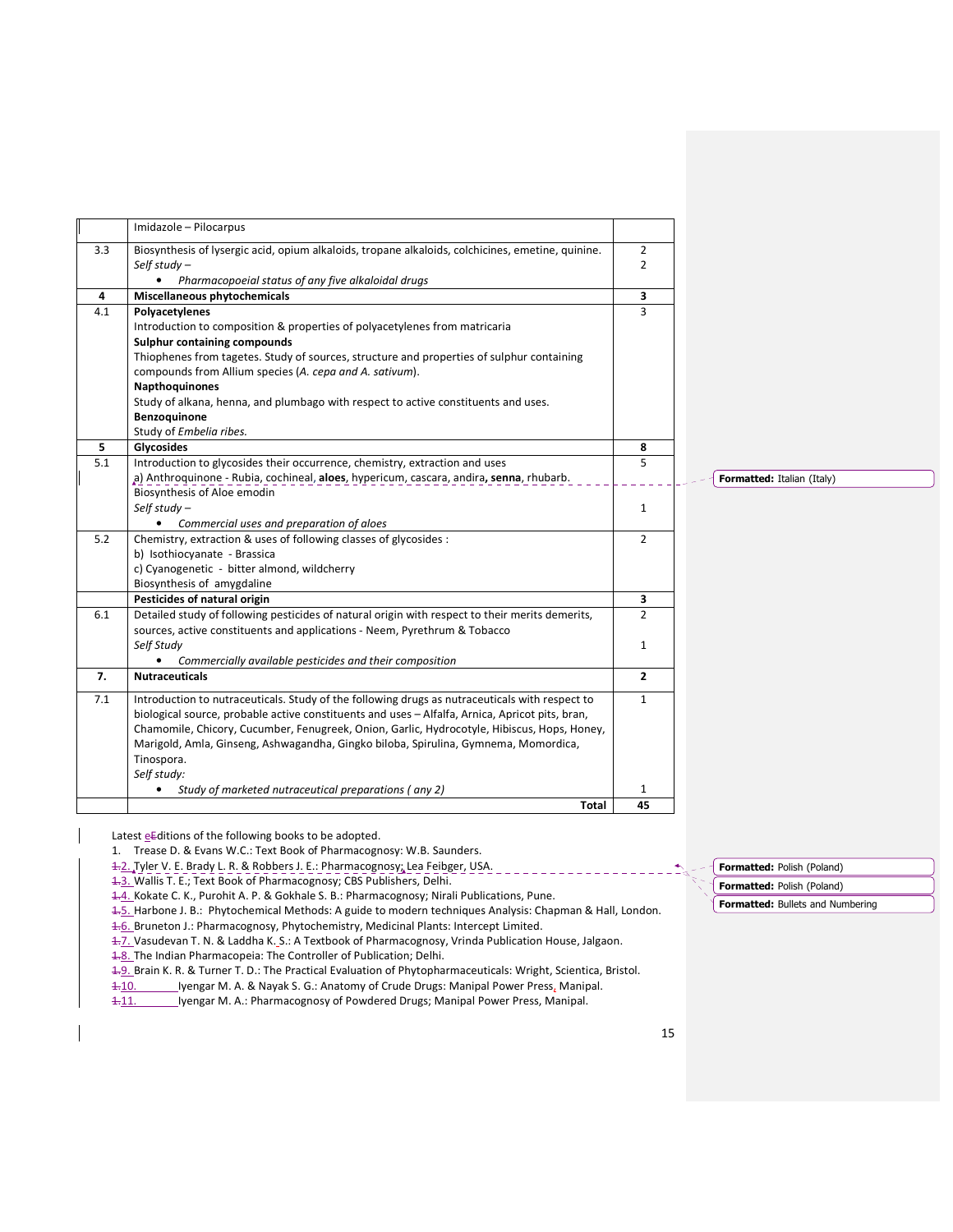|     | Imidazole - Pilocarpus                                                                                                                                                                                                                                                                                                                                                                                                                  |                                  |                            |
|-----|-----------------------------------------------------------------------------------------------------------------------------------------------------------------------------------------------------------------------------------------------------------------------------------------------------------------------------------------------------------------------------------------------------------------------------------------|----------------------------------|----------------------------|
| 3.3 | Biosynthesis of lysergic acid, opium alkaloids, tropane alkaloids, colchicines, emetine, quinine.<br>Self study $-$<br>Pharmacopoeial status of any five alkaloidal drugs<br>$\bullet$                                                                                                                                                                                                                                                  | $\overline{2}$<br>$\overline{2}$ |                            |
| 4   | Miscellaneous phytochemicals                                                                                                                                                                                                                                                                                                                                                                                                            | 3                                |                            |
| 4.1 | Polyacetylenes<br>Introduction to composition & properties of polyacetylenes from matricaria<br>Sulphur containing compounds<br>Thiophenes from tagetes. Study of sources, structure and properties of sulphur containing<br>compounds from Allium species (A. cepa and A. sativum).<br>Napthoquinones<br>Study of alkana, henna, and plumbago with respect to active constituents and uses.<br>Benzoquinone<br>Study of Embelia ribes. | 3                                |                            |
| 5   | Glycosides                                                                                                                                                                                                                                                                                                                                                                                                                              | 8                                |                            |
| 5.1 | Introduction to glycosides their occurrence, chemistry, extraction and uses<br>a) Anthroquinone - Rubia, cochineal, aloes, hypericum, cascara, andira, senna, rhubarb.                                                                                                                                                                                                                                                                  | 5                                | Formatted: Italian (Italy) |
|     | Biosynthesis of Aloe emodin<br>Self study $-$<br>Commercial uses and preparation of aloes                                                                                                                                                                                                                                                                                                                                               | $\mathbf{1}$                     |                            |
| 5.2 | Chemistry, extraction & uses of following classes of glycosides :<br>b) Isothiocyanate - Brassica<br>c) Cyanogenetic - bitter almond, wildcherry<br>Biosynthesis of amygdaline                                                                                                                                                                                                                                                          | $\overline{2}$                   |                            |
|     | Pesticides of natural origin                                                                                                                                                                                                                                                                                                                                                                                                            | 3                                |                            |
| 6.1 | Detailed study of following pesticides of natural origin with respect to their merits demerits,<br>sources, active constituents and applications - Neem, Pyrethrum & Tobacco                                                                                                                                                                                                                                                            | $\overline{2}$                   |                            |
|     | Self Study<br>Commercially available pesticides and their composition                                                                                                                                                                                                                                                                                                                                                                   | 1                                |                            |
| 7.  | <b>Nutraceuticals</b>                                                                                                                                                                                                                                                                                                                                                                                                                   | $\overline{2}$                   |                            |
| 7.1 | Introduction to nutraceuticals. Study of the following drugs as nutraceuticals with respect to<br>biological source, probable active constituents and uses - Alfalfa, Arnica, Apricot pits, bran,<br>Chamomile, Chicory, Cucumber, Fenugreek, Onion, Garlic, Hydrocotyle, Hibiscus, Hops, Honey,<br>Marigold, Amla, Ginseng, Ashwagandha, Gingko biloba, Spirulina, Gymnema, Momordica,<br>Tinospora.<br>Self study:                    | $\mathbf{1}$                     |                            |
|     | Study of marketed nutraceutical preparations (any 2)                                                                                                                                                                                                                                                                                                                                                                                    | 1                                |                            |
|     | Total                                                                                                                                                                                                                                                                                                                                                                                                                                   | 45                               |                            |

Latest eEditions of the following books to be adopted.

- 1. Trease D. & Evans W.C.: Text Book of Pharmacognosy: W.B. Saunders.
- 1.2. Tyler V. E. Brady L. R. & Robbers J. E.: Pharmacognosy; Lea Feibger, USA.

1.3. Wallis T. E.; Text Book of Pharmacognosy; CBS Publishers, Delhi.

1.4. Kokate C. K., Purohit A. P. & Gokhale S. B.: Pharmacognosy; Nirali Publications, Pune.

1.5. Harbone J. B.: Phytochemical Methods: A guide to modern techniques Analysis: Chapman & Hall, London.

1.6. Bruneton J.: Pharmacognosy, Phytochemistry, Medicinal Plants: Intercept Limited.

1.7. Vasudevan T. N. & Laddha K. S.: A Textbook of Pharmacognosy, Vrinda Publication House, Jalgaon.

4.8. The Indian Pharmacopeia: The Controller of Publication; Delhi.

1.9. Brain K. R. & Turner T. D.: The Practical Evaluation of Phytopharmaceuticals: Wright, Scientica, Bristol.

1.10. Iyengar M. A. & Nayak S. G.: Anatomy of Crude Drugs: Manipal Power Press, Manipal.

1-11. Iyengar M. A.: Pharmacognosy of Powdered Drugs; Manipal Power Press, Manipal.

Formatted: Polish (Poland) Formatted: Bullets and Numbering Formatted: Polish (Poland)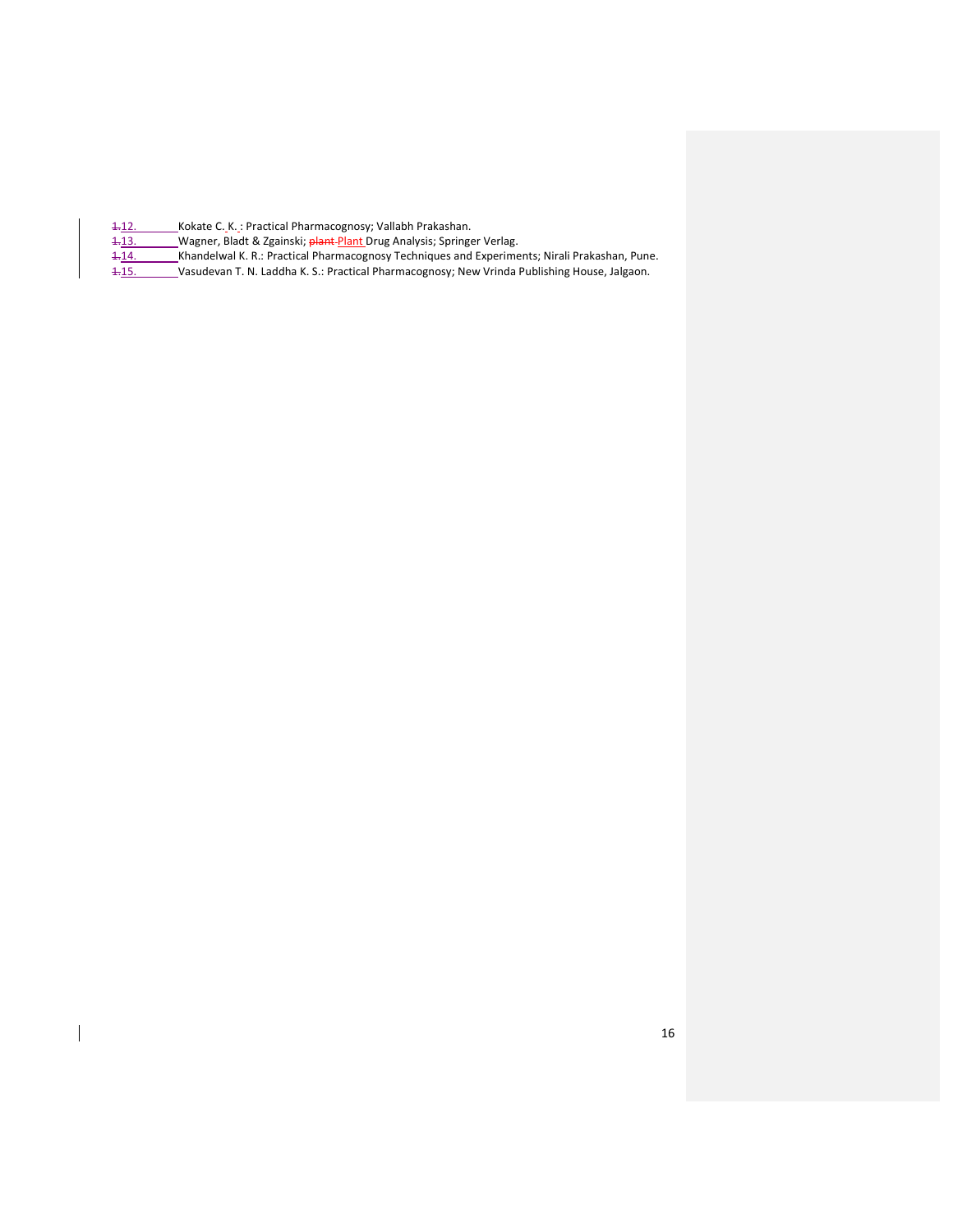- 4.12. Kokate C.K.: Practical Pharmacognosy; Vallabh Prakashan.
- 1.13. Wagner, Bladt & Zgainski; plant Plant Drug Analysis; Springer Verlag.
- 1.14. Khandelwal K. R.: Practical Pharmacognosy Techniques and Experiments; Nirali Prakashan, Pune.<br>1.15. Vasudevan T. N. Laddha K. S.: Practical Pharmacognosy; New Vrinda Publishing House, Jalgaon.
- 1.15. Vasudevan T. N. Laddha K. S.: Practical Pharmacognosy; New Vrinda Publishing House, Jalgaon.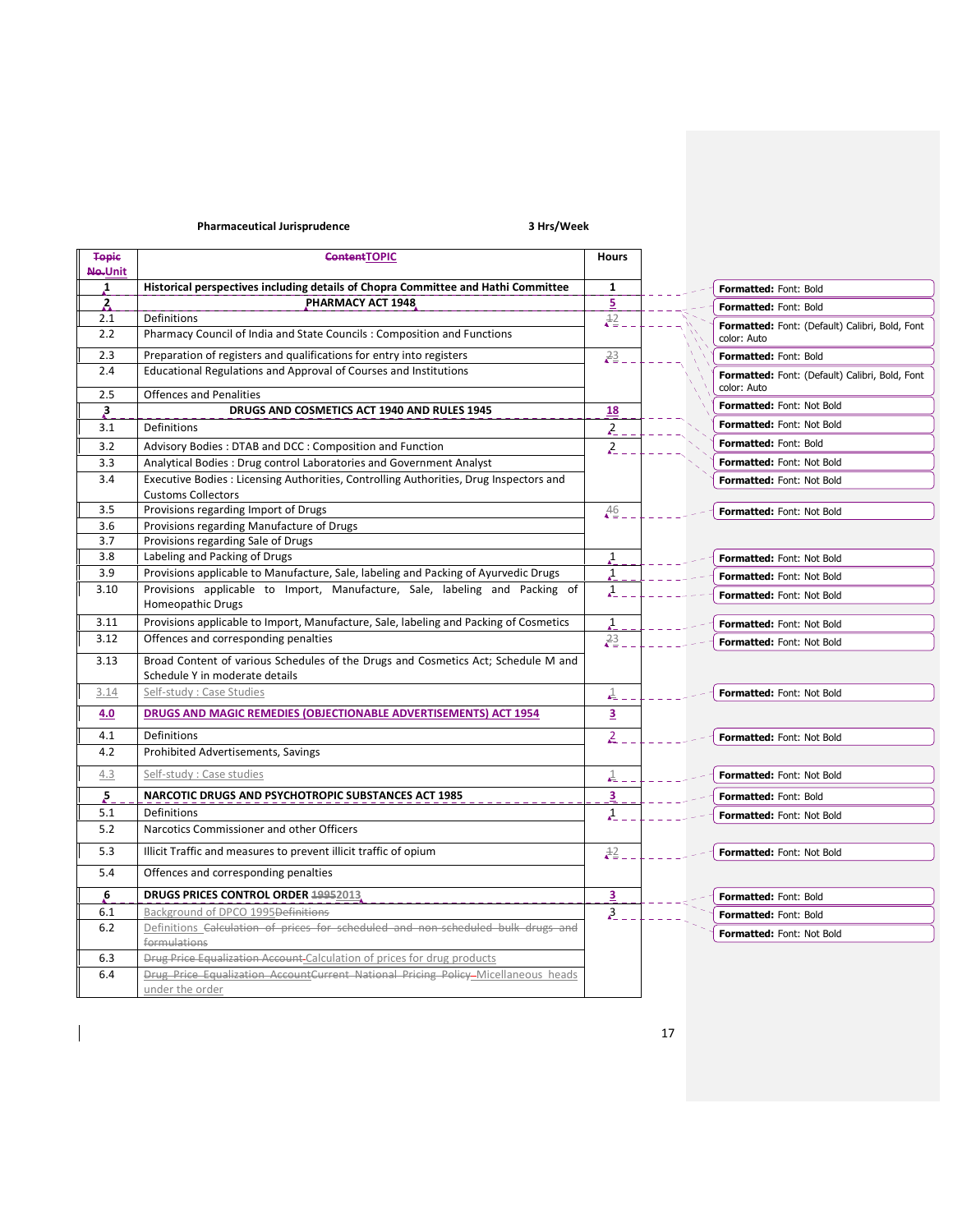## Pharmaceutical Jurisprudence **3 Hrs** / Week

 $\overline{\phantom{a}}$ 

| <b>Topic</b>        | <b>ContentTOPIC</b>                                                                                                 | <b>Hours</b>            |                                                               |
|---------------------|---------------------------------------------------------------------------------------------------------------------|-------------------------|---------------------------------------------------------------|
| Ne-Unit             |                                                                                                                     |                         |                                                               |
| $\mathbf{1}$        | Historical perspectives including details of Chopra Committee and Hathi Committee<br>PHARMACY ACT 1948              | $\mathbf{1}$<br>5       | Formatted: Font: Bold                                         |
| $\mathbf{z}$<br>2.1 | Definitions                                                                                                         | $\frac{12}{5}$          | Formatted: Font: Bold                                         |
| 2.2                 | Pharmacy Council of India and State Councils: Composition and Functions                                             |                         | Formatted: Font: (Default) Calibri, Bold, Font<br>color: Auto |
| 2.3                 | Preparation of registers and qualifications for entry into registers                                                | 23                      | Formatted: Font: Bold                                         |
| 2.4                 | Educational Regulations and Approval of Courses and Institutions                                                    |                         | Formatted: Font: (Default) Calibri, Bold, Font<br>color: Auto |
| 2.5                 | <b>Offences and Penalities</b>                                                                                      |                         | Formatted: Font: Not Bold                                     |
| $\mathbf{3}$        | DRUGS AND COSMETICS ACT 1940 AND RULES 1945                                                                         | <u>18</u>               |                                                               |
| 3.1                 | Definitions                                                                                                         | $\lambda$               | Formatted: Font: Not Bold                                     |
| 3.2                 | Advisory Bodies: DTAB and DCC: Composition and Function                                                             | $\mathcal{Z}_{-}$       | Formatted: Font: Bold                                         |
| 3.3                 | Analytical Bodies : Drug control Laboratories and Government Analyst                                                |                         | Formatted: Font: Not Bold                                     |
| 3.4                 | Executive Bodies : Licensing Authorities, Controlling Authorities, Drug Inspectors and<br><b>Customs Collectors</b> |                         | <b>Formatted: Font: Not Bold</b>                              |
| 3.5                 | Provisions regarding Import of Drugs                                                                                | $\frac{46}{4}$          | Formatted: Font: Not Bold                                     |
| 3.6                 | Provisions regarding Manufacture of Drugs                                                                           |                         |                                                               |
| 3.7                 | Provisions regarding Sale of Drugs                                                                                  |                         |                                                               |
| 3.8                 | Labeling and Packing of Drugs                                                                                       | $\mathbf{1}$            | Formatted: Font: Not Bold                                     |
| 3.9                 | Provisions applicable to Manufacture, Sale, labeling and Packing of Ayurvedic Drugs                                 | $\mathbf{1}$            | <b>Formatted: Font: Not Bold</b>                              |
| 3.10                | Provisions applicable to Import, Manufacture, Sale, labeling and Packing of<br><b>Homeopathic Drugs</b>             | $\mathbf{A}$            | <b>Formatted: Font: Not Bold</b>                              |
| 3.11                | Provisions applicable to Import, Manufacture, Sale, labeling and Packing of Cosmetics                               | $\mathbf{1}$            | Formatted: Font: Not Bold                                     |
| 3.12                | Offences and corresponding penalties                                                                                | 23                      | <b>Formatted: Font: Not Bold</b>                              |
| 3.13                | Broad Content of various Schedules of the Drugs and Cosmetics Act; Schedule M and<br>Schedule Y in moderate details |                         |                                                               |
| 3.14                | Self-study: Case Studies                                                                                            | $\mathbf{1}$            | Formatted: Font: Not Bold                                     |
| 4.0                 | DRUGS AND MAGIC REMEDIES (OBJECTIONABLE ADVERTISEMENTS) ACT 1954                                                    | $\overline{\mathbf{3}}$ |                                                               |
| 4.1                 | Definitions                                                                                                         | $\overline{2}$          | Formatted: Font: Not Bold                                     |
| 4.2                 | Prohibited Advertisements, Savings                                                                                  |                         |                                                               |
| 4.3                 | Self-study : Case studies                                                                                           | $\frac{1}{\sqrt{2}}$ .  | Formatted: Font: Not Bold                                     |
| 5                   | NARCOTIC DRUGS AND PSYCHOTROPIC SUBSTANCES ACT 1985                                                                 | 3                       | Formatted: Font: Bold                                         |
| 5.1                 | Definitions                                                                                                         | $\lambda$               | Formatted: Font: Not Bold                                     |
| 5.2                 | Narcotics Commissioner and other Officers                                                                           |                         |                                                               |
| 5.3                 | Illicit Traffic and measures to prevent illicit traffic of opium                                                    | $\frac{12}{5}$          | Formatted: Font: Not Bold                                     |
| 5.4                 | Offences and corresponding penalties                                                                                |                         |                                                               |
| 6                   | DRUGS PRICES CONTROL ORDER 19952013                                                                                 | $\overline{a}$          | Formatted: Font: Bold                                         |
| 6.1                 | Background of DPCO 1995 <del>Definitions</del>                                                                      | $\lambda$ <sub>2</sub>  | Formatted: Font: Bold                                         |
| $6.2$               | Definitions Calculation of prices for scheduled and non-scheduled bulk drugs and                                    |                         | <b>Formatted: Font: Not Bold</b>                              |
|                     | formulations                                                                                                        |                         |                                                               |
| 6.3                 | Drug Price Equalization Account-Calculation of prices for drug products                                             |                         |                                                               |
| 6.4                 | Drug Price Equalization AccountCurrent National Pricing Policy Micellaneous heads<br>under the order                |                         |                                                               |
|                     |                                                                                                                     |                         |                                                               |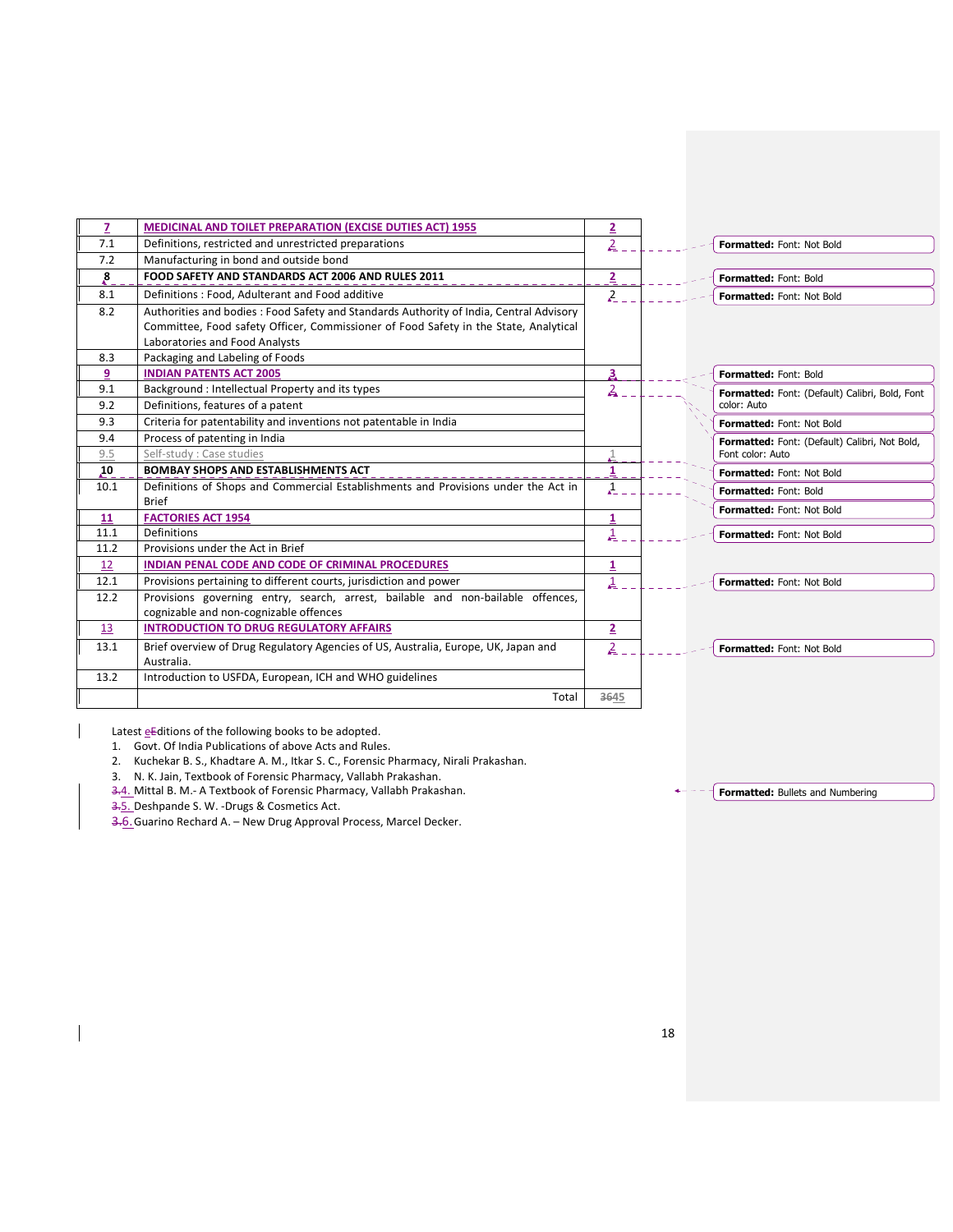| $\overline{7}$ | MEDICINAL AND TOILET PREPARATION (EXCISE DUTIES ACT) 1955                                                              | 2                       |                                                                   |  |
|----------------|------------------------------------------------------------------------------------------------------------------------|-------------------------|-------------------------------------------------------------------|--|
| 7.1            | Definitions, restricted and unrestricted preparations                                                                  | $\overline{2}$          | Formatted: Font: Not Bold                                         |  |
| 7.2            | Manufacturing in bond and outside bond                                                                                 |                         |                                                                   |  |
| 8.             | FOOD SAFETY AND STANDARDS ACT 2006 AND RULES 2011                                                                      | $\overline{z}$          | Formatted: Font: Bold                                             |  |
| 8.1            | Definitions: Food, Adulterant and Food additive                                                                        | 2                       | Formatted: Font: Not Bold                                         |  |
| 8.2            | Authorities and bodies: Food Safety and Standards Authority of India, Central Advisory                                 |                         |                                                                   |  |
|                | Committee, Food safety Officer, Commissioner of Food Safety in the State, Analytical<br>Laboratories and Food Analysts |                         |                                                                   |  |
| 8.3            | Packaging and Labeling of Foods                                                                                        |                         |                                                                   |  |
| 9              | <b>INDIAN PATENTS ACT 2005</b>                                                                                         | 3                       | Formatted: Font: Bold                                             |  |
| 9.1            | Background: Intellectual Property and its types                                                                        | 2                       |                                                                   |  |
| 9.2            | Definitions, features of a patent                                                                                      |                         | Formatted: Font: (Default) Calibri, Bold, Font<br>color: Auto     |  |
| 9.3            | Criteria for patentability and inventions not patentable in India                                                      |                         |                                                                   |  |
| 9.4            | Process of patenting in India                                                                                          |                         | Formatted: Font: Not Bold                                         |  |
| 9.5            | Self-study : Case studies                                                                                              |                         | Formatted: Font: (Default) Calibri, Not Bold,<br>Font color: Auto |  |
| 10             | <b>BOMBAY SHOPS AND ESTABLISHMENTS ACT</b>                                                                             | $\mathbf{1}$            | Formatted: Font: Not Bold                                         |  |
| 10.1           | Definitions of Shops and Commercial Establishments and Provisions under the Act in                                     | $\mathbf{A}$            |                                                                   |  |
|                | <b>Brief</b>                                                                                                           |                         | Formatted: Font: Bold                                             |  |
| 11             | <b>FACTORIES ACT 1954</b>                                                                                              | 1                       | Formatted: Font: Not Bold                                         |  |
| 11.1           | Definitions                                                                                                            | 1                       | Formatted: Font: Not Bold                                         |  |
| 11.2           | Provisions under the Act in Brief                                                                                      |                         |                                                                   |  |
| 12             | INDIAN PENAL CODE AND CODE OF CRIMINAL PROCEDURES                                                                      | $\overline{\mathbf{1}}$ |                                                                   |  |
| 12.1           | Provisions pertaining to different courts, jurisdiction and power                                                      | 1                       | Formatted: Font: Not Bold                                         |  |
| 12.2           | Provisions governing entry, search, arrest, bailable and non-bailable offences,                                        |                         |                                                                   |  |
|                | cognizable and non-cognizable offences                                                                                 |                         |                                                                   |  |
| 13             | <b>INTRODUCTION TO DRUG REGULATORY AFFAIRS</b>                                                                         | $\overline{2}$          |                                                                   |  |
| 13.1           | Brief overview of Drug Regulatory Agencies of US, Australia, Europe, UK, Japan and                                     | 2                       | Formatted: Font: Not Bold                                         |  |
|                | Australia.                                                                                                             |                         |                                                                   |  |
| 13.2           | Introduction to USFDA, European, ICH and WHO guidelines                                                                |                         |                                                                   |  |
|                | Total                                                                                                                  | 3645                    |                                                                   |  |

Latest  $\underline{e}$  Editions of the following books to be adopted.

1. Govt. Of India Publications of above Acts and Rules.

2. Kuchekar B. S., Khadtare A. M., Itkar S. C., Forensic Pharmacy, Nirali Prakashan.

3. N. K. Jain, Textbook of Forensic Pharmacy, Vallabh Prakashan.

3.4. Mittal B. M. - A Textbook of Forensic Pharmacy, Vallabh Prakashan.

3.5. Deshpande S. W. -Drugs & Cosmetics Act.

3.6. Guarino Rechard A. - New Drug Approval Process, Marcel Decker.

 $\overline{\mathcal{F}}$  Formatted: Bullets and Numbering  $\frac{1}{2} \frac{1}{2} \frac{1}{2} \frac{1}{2} \frac{1}{2} \frac{1}{2} \frac{1}{2} \frac{1}{2} \frac{1}{2} \frac{1}{2} \frac{1}{2} \frac{1}{2} \frac{1}{2} \frac{1}{2} \frac{1}{2} \frac{1}{2} \frac{1}{2} \frac{1}{2} \frac{1}{2} \frac{1}{2} \frac{1}{2} \frac{1}{2} \frac{1}{2} \frac{1}{2} \frac{1}{2} \frac{1}{2} \frac{1}{2} \frac{1}{2} \frac{1}{2} \frac{1}{2} \frac{1}{2} \frac{$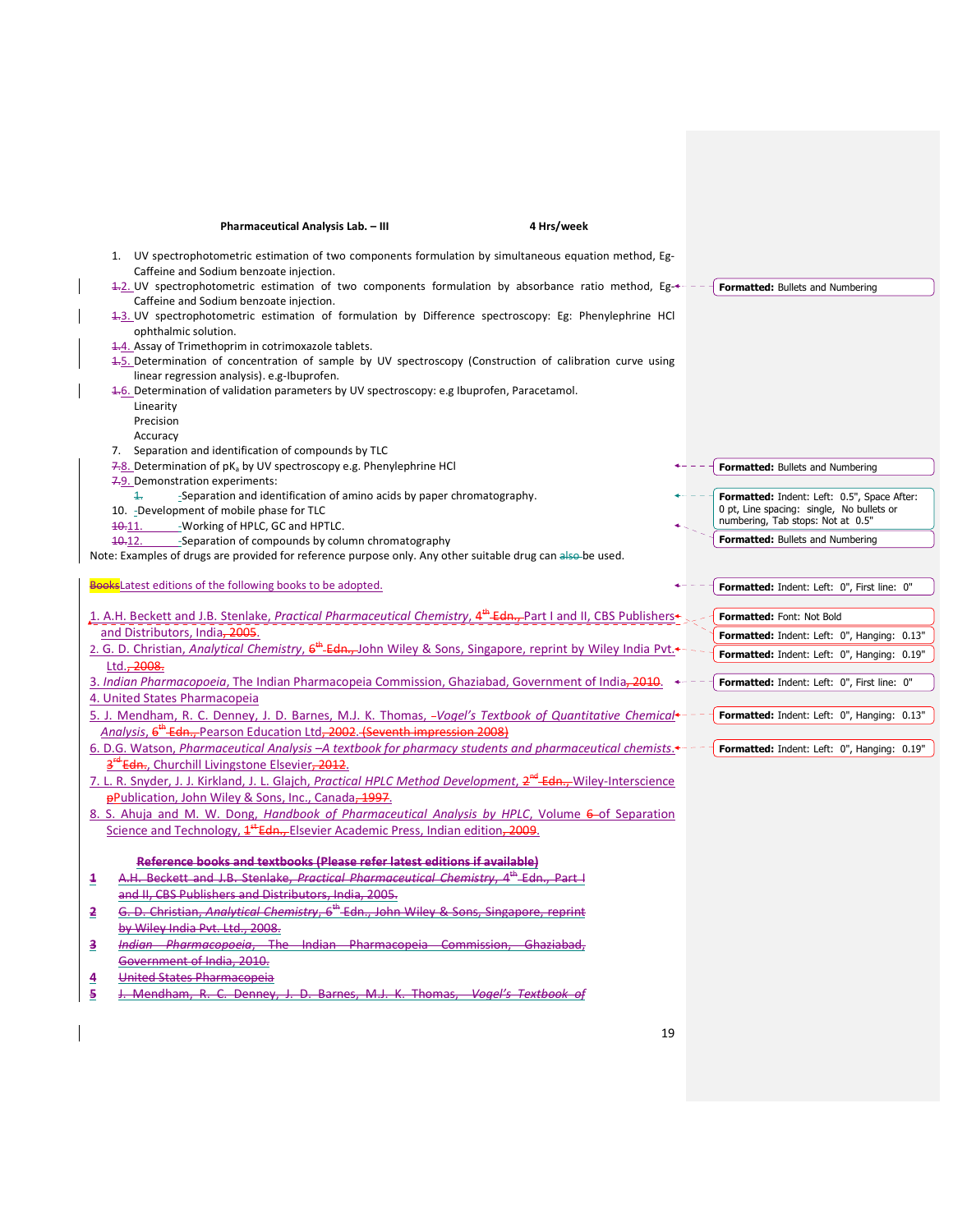| 4 Hrs/week<br>Pharmaceutical Analysis Lab. - III                                                                                                                                                 |                                                                                                                               |
|--------------------------------------------------------------------------------------------------------------------------------------------------------------------------------------------------|-------------------------------------------------------------------------------------------------------------------------------|
| 1. UV spectrophotometric estimation of two components formulation by simultaneous equation method, Eg-<br>Caffeine and Sodium benzoate injection.                                                |                                                                                                                               |
| 1-2. UV spectrophotometric estimation of two components formulation by absorbance ratio method, Eg-<br>Caffeine and Sodium benzoate injection.                                                   | Formatted: Bullets and Numbering                                                                                              |
| 1.3. UV spectrophotometric estimation of formulation by Difference spectroscopy: Eg: Phenylephrine HCl<br>ophthalmic solution.                                                                   |                                                                                                                               |
| 4.4. Assay of Trimethoprim in cotrimoxazole tablets.<br>4.5. Determination of concentration of sample by UV spectroscopy (Construction of calibration curve using                                |                                                                                                                               |
| linear regression analysis). e.g-Ibuprofen.<br>4.6. Determination of validation parameters by UV spectroscopy: e.g Ibuprofen, Paracetamol.                                                       |                                                                                                                               |
| Linearity<br>Precision                                                                                                                                                                           |                                                                                                                               |
| Accuracy                                                                                                                                                                                         |                                                                                                                               |
| 7. Separation and identification of compounds by TLC<br>7.8. Determination of pK <sub>a</sub> by UV spectroscopy e.g. Phenylephrine HCl                                                          | Formatted: Bullets and Numbering                                                                                              |
| 7.9. Demonstration experiments:                                                                                                                                                                  |                                                                                                                               |
| $\ddagger$<br>-Separation and identification of amino acids by paper chromatography.<br>10. - Development of mobile phase for TLC<br>-Working of HPLC, GC and HPTLC.<br>40.11.                   | Formatted: Indent: Left: 0.5", Space After:<br>0 pt, Line spacing: single, No bullets or<br>numbering, Tab stops: Not at 0.5" |
| -Separation of compounds by column chromatography<br><del>10.</del> 12.                                                                                                                          | Formatted: Bullets and Numbering                                                                                              |
| Note: Examples of drugs are provided for reference purpose only. Any other suitable drug can also be used.                                                                                       |                                                                                                                               |
| BooksLatest editions of the following books to be adopted.                                                                                                                                       | Formatted: Indent: Left: 0", First line: 0"                                                                                   |
| 1. A.H. Beckett and J.B. Stenlake, Practical Pharmaceutical Chemistry, 4 <sup>th</sup> Edn., Part I and II, CBS Publishers <sup>+</sup> .                                                        | Formatted: Font: Not Bold                                                                                                     |
| and Distributors, India, 2005.                                                                                                                                                                   | Formatted: Indent: Left: 0", Hanging: 0.13"                                                                                   |
| 2. G. D. Christian, Analytical Chemistry, 6 <sup>th</sup> -Edn., John Wiley & Sons, Singapore, reprint by Wiley India Pvt.<br>Ltd., 2008.                                                        | Formatted: Indent: Left: 0", Hanging: 0.19"                                                                                   |
| 3. Indian Pharmacopoeia, The Indian Pharmacopeia Commission, Ghaziabad, Government of India-2010.                                                                                                | Formatted: Indent: Left: 0", First line: 0"                                                                                   |
| 4. United States Pharmacopeia                                                                                                                                                                    |                                                                                                                               |
| 5. J. Mendham, R. C. Denney, J. D. Barnes, M.J. K. Thomas, -Vogel's Textbook of Quantitative Chemical+<br>Analysis, 6 <sup>th</sup> Edn., Pearson Education Ltd, 2002. (Seventh impression 2008) | Formatted: Indent: Left: 0", Hanging: 0.13"                                                                                   |
| 6. D.G. Watson, Pharmaceutical Analysis - A textbook for pharmacy students and pharmaceutical chemists.                                                                                          | Formatted: Indent: Left: 0", Hanging: 0.19"                                                                                   |
| 3 <sup>rd</sup> Edn., Churchill Livingstone Elsevier, 2012.                                                                                                                                      |                                                                                                                               |
| 7. L. R. Snyder, J. J. Kirkland, J. L. Glajch, Practical HPLC Method Development, 2 <sup>nd</sup> Edn., Wiley-Interscience                                                                       |                                                                                                                               |
| <b>pPublication, John Wiley &amp; Sons, Inc., Canada, 1997.</b>                                                                                                                                  |                                                                                                                               |
| 8. S. Ahuja and M. W. Dong, Handbook of Pharmaceutical Analysis by HPLC, Volume 6-of Separation                                                                                                  |                                                                                                                               |
| Science and Technology, $4^{\frac{1}{2}}$ Edn., Elsevier Academic Press, Indian edition, 2009.                                                                                                   |                                                                                                                               |
| Reference books and textbooks (Please refer latest editions if available)                                                                                                                        |                                                                                                                               |
| A.H. Beckett and J.B. Stenlake, Practical Pharmaceutical Chemistry, 4 <sup>th</sup> Edn., Part I<br>晝                                                                                            |                                                                                                                               |
| and II. CBS Publishers and Distributors, India. 2005.                                                                                                                                            |                                                                                                                               |
| G. D. Christian. Analytical Chemistry, 6 <sup>th</sup> Edn., John Wiley & Sons, Singapore, reprint<br>至.                                                                                         |                                                                                                                               |
| by Wiley India Pvt. Ltd., 2008.                                                                                                                                                                  |                                                                                                                               |
| <u>3</u><br><i>Indian Pharmacopoeia</i> , The Indian Pharmacopeia Commission, Ghaziabad,                                                                                                         |                                                                                                                               |
| Government of India, 2010.<br>United States Pharmacopeia                                                                                                                                         |                                                                                                                               |
| $\overline{\mathbf{4}}$<br>J. Mendham, R. C. Denney, J. D. Barnes, M.J. K. Thomas. Vogel's Textbook of<br>5                                                                                      |                                                                                                                               |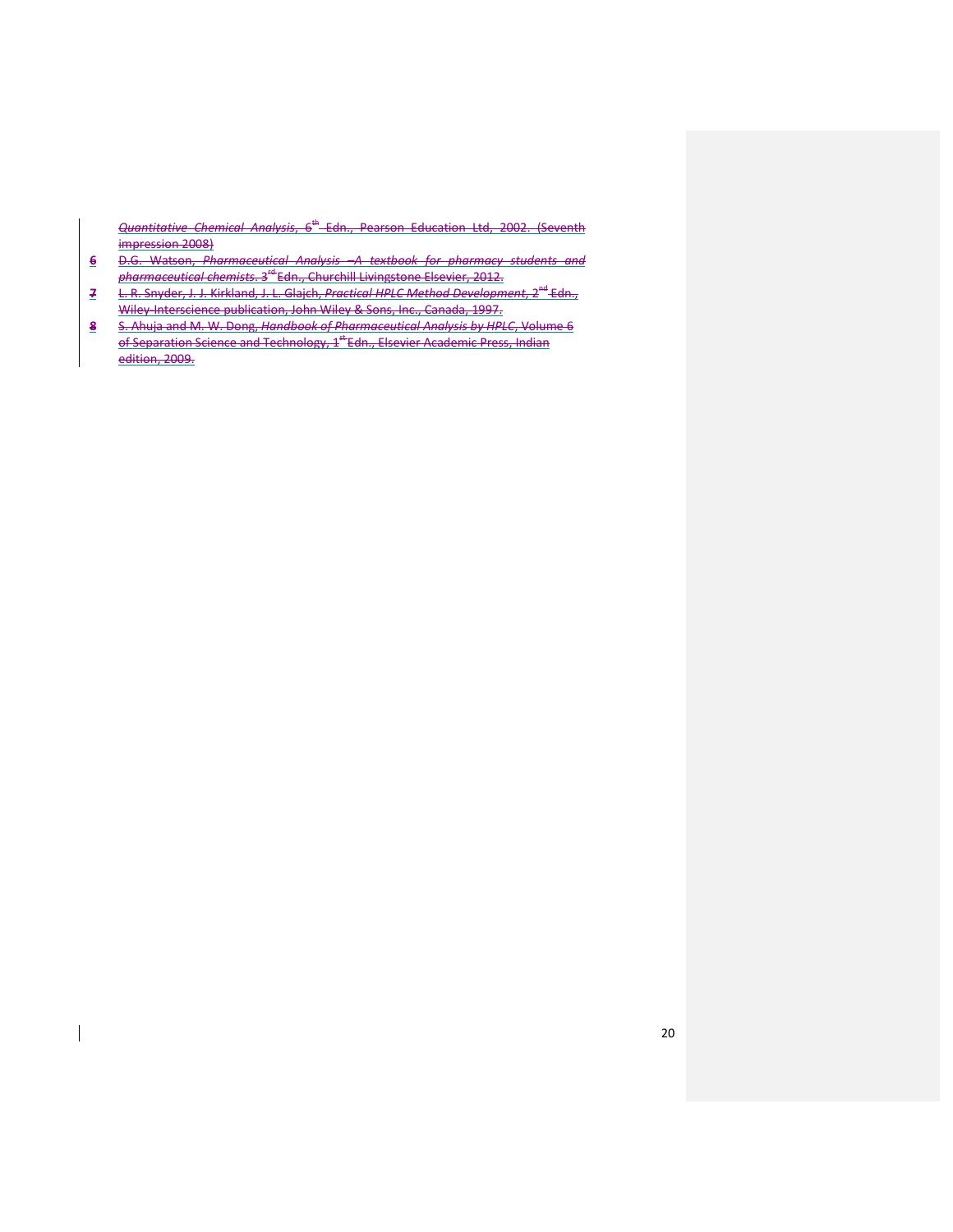Quantitative Chemical Analysis, 6<sup>th</sup> Edn., Pearson Education Ltd, 2002. (Seventh impression 2008)

- 6 D.G. Watson, Pharmaceutical Analysis –A textbook for pharmacy students and pharmaceutical chemists. 3rd Edn., Churchill Livingstone Elsevier, 2012.
- 7 L. R. Snyder, J. J. Kirkland, J. L. Glajch, Practical HPLC Method Development, 2<sup>nd</sup> Edn., Wiley-Interscience publication, John Wiley & Sons, Inc., Canada, 1997.
- 8 S. Ahuja and M. W. Dong, Handbook of Pharmaceutical Analysis by HPLC, Volume 6 of Separation Science and Technology, 1<sup>st</sup> Edn., Elsevier Academic Press, Indian edition, 2009.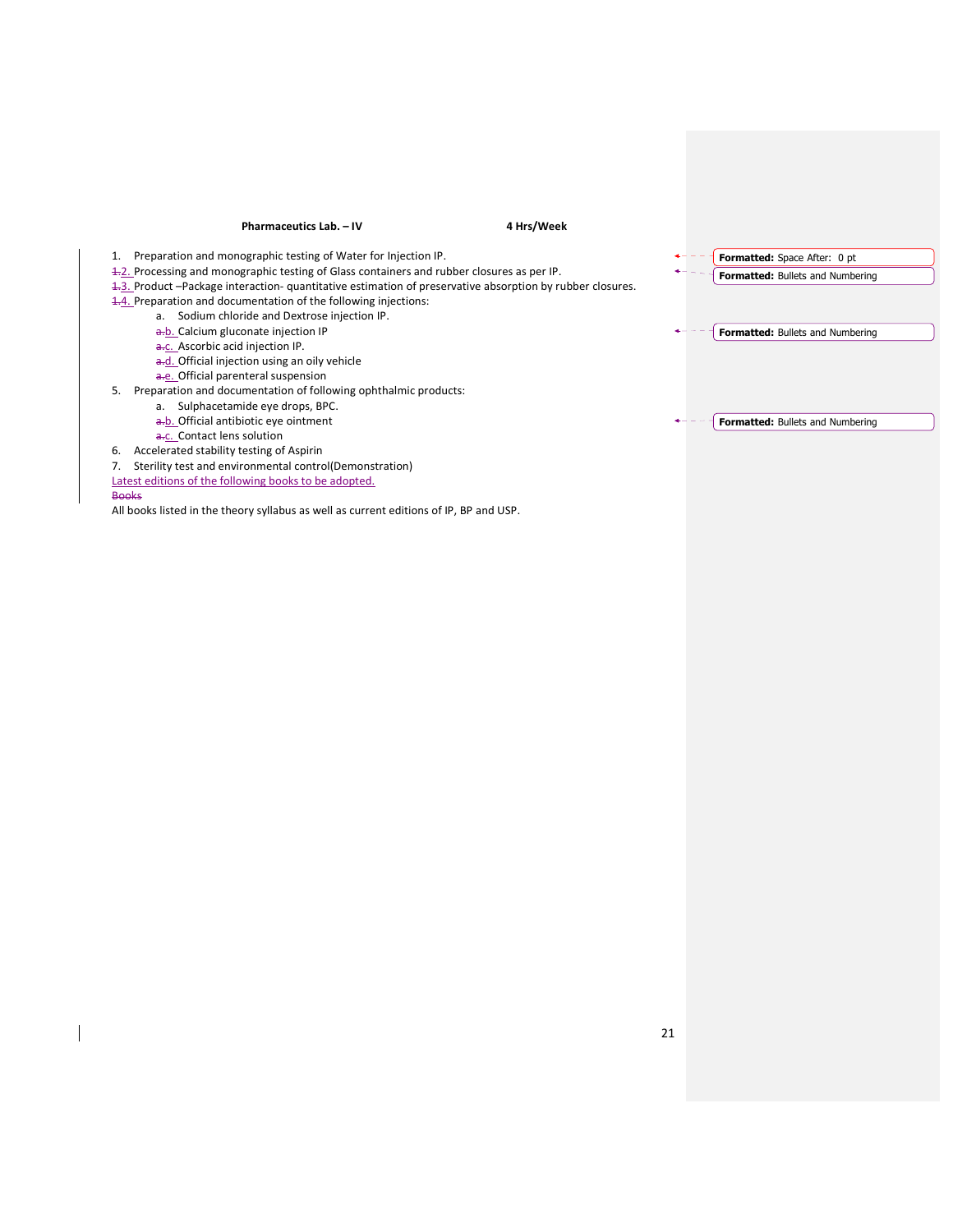### Pharmaceutics Lab. – IV 4 Hrs/Week 1. Preparation and monographic testing of Water for Injection IP. 1.2. Processing and monographic testing of Glass containers and rubber closures as per IP. 1.3. Product –Package interaction- quantitative estimation of preservative absorption by rubber closures. 1.4. Preparation and documentation of the following injections: a. Sodium chloride and Dextrose injection IP. a.b. Calcium gluconate injection IP a.c. Ascorbic acid injection IP. a.d. Official injection using an oily vehicle a.e. Official parenteral suspension 5. Preparation and documentation of following ophthalmic products: a. Sulphacetamide eye drops, BPC. a.b. Official antibiotic eye ointment a.c. Contact lens solution 6. Accelerated stability testing of Aspirin 7. Sterility test and environmental control(Demonstration) Latest editions of the following books to be adopted. Formatted: Space After: 0 pt Formatted: Bullets and Numbering Formatted: Bullets and Numbering Formatted: Bullets and Numbering

**Books** 

All books listed in the theory syllabus as well as current editions of IP, BP and USP.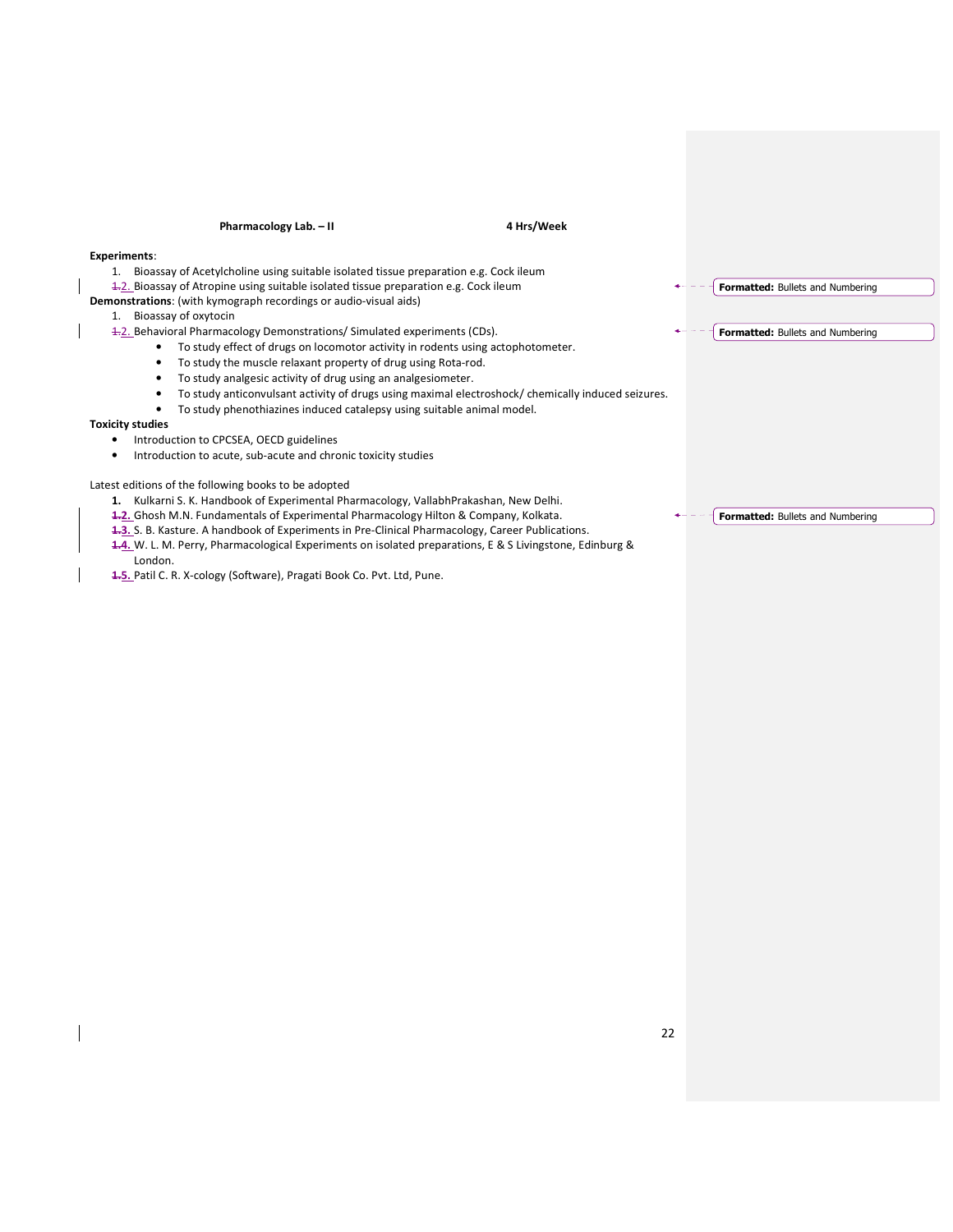| Pharmacology Lab. - II<br>4 Hrs/Week                                                                     |                                         |
|----------------------------------------------------------------------------------------------------------|-----------------------------------------|
| <b>Experiments:</b>                                                                                      |                                         |
| Bioassay of Acetylcholine using suitable isolated tissue preparation e.g. Cock ileum<br>1.               |                                         |
| 4.2. Bioassay of Atropine using suitable isolated tissue preparation e.g. Cock ileum                     | <b>Formatted: Bullets and Numbering</b> |
| Demonstrations: (with kymograph recordings or audio-visual aids)                                         |                                         |
| Bioassay of oxytocin<br>1.                                                                               |                                         |
| 4.2. Behavioral Pharmacology Demonstrations/ Simulated experiments (CDs).                                | Formatted: Bullets and Numbering        |
| To study effect of drugs on locomotor activity in rodents using actophotometer.<br>٠                     |                                         |
| To study the muscle relaxant property of drug using Rota-rod.                                            |                                         |
| To study analgesic activity of drug using an analgesiometer.                                             |                                         |
| To study anticonvulsant activity of drugs using maximal electroshock/ chemically induced seizures.       |                                         |
| To study phenothiazines induced catalepsy using suitable animal model.                                   |                                         |
| <b>Toxicity studies</b>                                                                                  |                                         |
| Introduction to CPCSEA, OECD guidelines                                                                  |                                         |
| Introduction to acute, sub-acute and chronic toxicity studies                                            |                                         |
| Latest editions of the following books to be adopted                                                     |                                         |
| Kulkarni S. K. Handbook of Experimental Pharmacology, VallabhPrakashan, New Delhi.<br>1.                 |                                         |
| <b>1-2.</b> Ghosh M.N. Fundamentals of Experimental Pharmacology Hilton & Company, Kolkata.              | Formatted: Bullets and Numbering        |
| 4.3. S. B. Kasture. A handbook of Experiments in Pre-Clinical Pharmacology, Career Publications.         |                                         |
| 4.4. W. L. M. Perry, Pharmacological Experiments on isolated preparations, E & S Livingstone, Edinburg & |                                         |
| London.                                                                                                  |                                         |
| 4.5. Patil C. R. X-cology (Software), Pragati Book Co. Pvt. Ltd, Pune.                                   |                                         |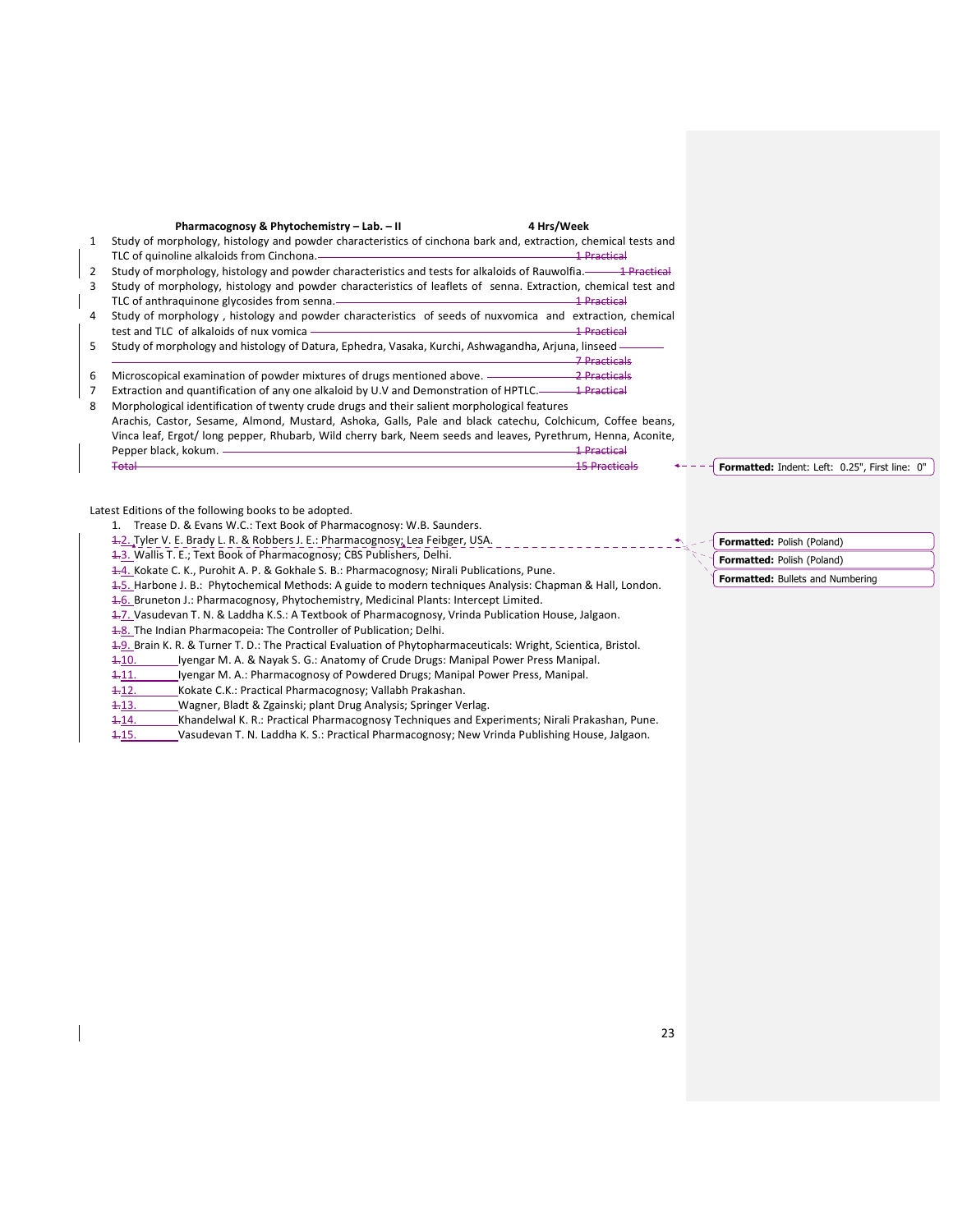|    | Pharmacognosy & Phytochemistry - Lab. - II<br>4 Hrs/Week                                                                                                                         |
|----|----------------------------------------------------------------------------------------------------------------------------------------------------------------------------------|
| 1  | Study of morphology, histology and powder characteristics of cinchona bark and, extraction, chemical tests and                                                                   |
|    | <u> 1989 - Johann Stein, marwolaethau a bhann an t-Amhair an t-Amhair an t-Amhair an t-Amhair an t-Amhair an t-A</u><br>TLC of quinoline alkaloids from Cinchona.<br>1 Practical |
| 2  | Study of morphology, histology and powder characteristics and tests for alkaloids of Rauwolfia.—— 1 Practical                                                                    |
| ٩  | Study of morphology, histology and powder characteristics of leaflets of senna. Extraction, chemical test and                                                                    |
|    | <u> 1 Practical</u><br>TLC of anthraguinone glycosides from senna.—                                                                                                              |
| 4  | Study of morphology, histology and powder characteristics of seeds of nuxvomica and extraction, chemical                                                                         |
|    | <del>1 Practical</del>                                                                                                                                                           |
| 5. | Study of morphology and histology of Datura, Ephedra, Vasaka, Kurchi, Ashwagandha, Arjuna, linseed —                                                                             |
|    | 7 Bracticale                                                                                                                                                                     |
| 6  |                                                                                                                                                                                  |
|    |                                                                                                                                                                                  |
| 8  | Morphological identification of twenty crude drugs and their salient morphological features                                                                                      |
|    | Arachis, Castor, Sesame, Almond, Mustard, Ashoka, Galls, Pale and black catechu, Colchicum, Coffee beans,                                                                        |
|    | Vinca leaf, Ergot/Iong pepper, Rhubarb, Wild cherry bark, Neem seeds and leaves, Pyrethrum, Henna, Aconite,                                                                      |
|    | Pepper black, kokum. -<br><del>1 Practical</del>                                                                                                                                 |
|    |                                                                                                                                                                                  |
|    |                                                                                                                                                                                  |

Latest Editions of the following books to be adopted.

- 1. Trease D. & Evans W.C.: Text Book of Pharmacognosy: W.B. Saunders.
- 1.2. Tyler V. E. Brady L. R. & Robbers J. E.: Pharmacognosy; Lea Feibger, USA.
- 1.3. Wallis T. E.; Text Book of Pharmacognosy; CBS Publishers, Delhi.

1.4. Kokate C. K., Purohit A. P. & Gokhale S. B.: Pharmacognosy; Nirali Publications, Pune.

1.5. Harbone J. B.: Phytochemical Methods: A guide to modern techniques Analysis: Chapman & Hall, London.

1.6. Bruneton J.: Pharmacognosy, Phytochemistry, Medicinal Plants: Intercept Limited.

1.7. Vasudevan T. N. & Laddha K.S.: A Textbook of Pharmacognosy, Vrinda Publication House, Jalgaon.

1.8. The Indian Pharmacopeia: The Controller of Publication; Delhi.

1.9. Brain K. R. & Turner T. D.: The Practical Evaluation of Phytopharmaceuticals: Wright, Scientica, Bristol.

1-10. Iyengar M. A. & Nayak S. G.: Anatomy of Crude Drugs: Manipal Power Press Manipal.

- 1-11. Iyengar M. A.: Pharmacognosy of Powdered Drugs; Manipal Power Press, Manipal.
- 1.12. Kokate C.K.: Practical Pharmacognosy; Vallabh Prakashan.
- 1-13. Wagner, Bladt & Zgainski; plant Drug Analysis; Springer Verlag.
- 1-14. Khandelwal K. R.: Practical Pharmacognosy Techniques and Experiments; Nirali Prakashan, Pune.
- 1.15. Vasudevan T. N. Laddha K. S.: Practical Pharmacognosy; New Vrinda Publishing House, Jalgaon.

Formatted: Polish (Poland) Formatted: Polish (Poland)

Formatted: Indent: Left: 0.25", First line: 0"

Formatted: Bullets and Numbering

- 23
-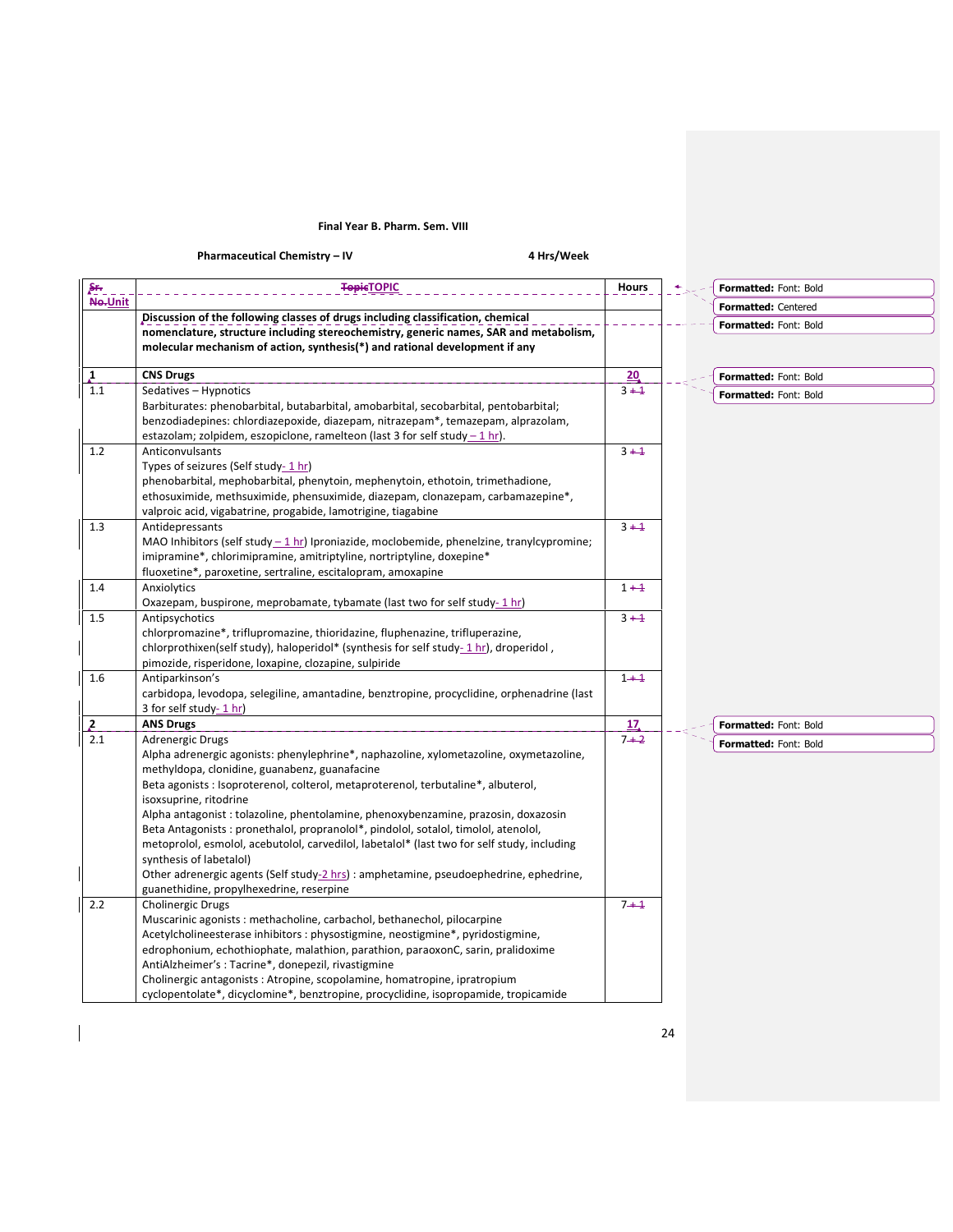## Final Year B. Pharm. Sem. VIII

Pharmaceutical Chemistry – IV **4 Hrs** / Week

 $\overline{\phantom{a}}$ 

| Sr.             | <b>TopicTOPIC</b>                                                                                                    | <b>Hours</b> | Formatted: Font: Bold |
|-----------------|----------------------------------------------------------------------------------------------------------------------|--------------|-----------------------|
| No-Unit         |                                                                                                                      |              | Formatted: Centered   |
|                 | Discussion of the following classes of drugs including classification, chemical                                      |              | Formatted: Font: Bold |
|                 | nomenclature, structure including stereochemistry, generic names, SAR and metabolism,                                |              |                       |
|                 | molecular mechanism of action, synthesis(*) and rational development if any                                          |              |                       |
| $\mathbf{I}$    | <b>CNS Drugs</b>                                                                                                     | 20           | Formatted: Font: Bold |
| 1.1             | Sedatives - Hypnotics                                                                                                | $3 + 1$      | Formatted: Font: Bold |
|                 | Barbiturates: phenobarbital, butabarbital, amobarbital, secobarbital, pentobarbital;                                 |              |                       |
|                 | benzodiadepines: chlordiazepoxide, diazepam, nitrazepam*, temazepam, alprazolam,                                     |              |                       |
|                 | estazolam; zolpidem, eszopiclone, ramelteon (last 3 for self study $-1$ hr).                                         |              |                       |
| 1.2             | Anticonvulsants                                                                                                      | $3 + 1$      |                       |
|                 | Types of seizures (Self study-1hr)<br>phenobarbital, mephobarbital, phenytoin, mephenytoin, ethotoin, trimethadione, |              |                       |
|                 | ethosuximide, methsuximide, phensuximide, diazepam, clonazepam, carbamazepine*,                                      |              |                       |
|                 | valproic acid, vigabatrine, progabide, lamotrigine, tiagabine                                                        |              |                       |
| 1.3             | Antidepressants                                                                                                      | $3 + 1$      |                       |
|                 | MAO Inhibitors (self study $-1$ hr) Iproniazide, moclobemide, phenelzine, tranylcypromine;                           |              |                       |
|                 | imipramine*, chlorimipramine, amitriptyline, nortriptyline, doxepine*                                                |              |                       |
|                 | fluoxetine*, paroxetine, sertraline, escitalopram, amoxapine                                                         |              |                       |
| 1.4             | Anxiolytics                                                                                                          | $1 + 1$      |                       |
|                 | Oxazepam, buspirone, meprobamate, tybamate (last two for self study- 1 hr)                                           |              |                       |
| 1.5             | Antipsychotics                                                                                                       | $3 + 1$      |                       |
|                 | chlorpromazine*, triflupromazine, thioridazine, fluphenazine, trifluperazine,                                        |              |                       |
|                 | chlorprothixen(self study), haloperidol* (synthesis for self study-1 hr), droperidol,                                |              |                       |
|                 | pimozide, risperidone, loxapine, clozapine, sulpiride                                                                |              |                       |
| 1.6             | Antiparkinson's<br>carbidopa, levodopa, selegiline, amantadine, benztropine, procyclidine, orphenadrine (last        | $1 + 1$      |                       |
|                 | 3 for self study- 1 hr)                                                                                              |              |                       |
|                 | <b>ANS Drugs</b>                                                                                                     | 17           | Formatted: Font: Bold |
| $\frac{2}{2.1}$ | Adrenergic Drugs                                                                                                     | $7 + 2$      | Formatted: Font: Bold |
|                 | Alpha adrenergic agonists: phenylephrine*, naphazoline, xylometazoline, oxymetazoline,                               |              |                       |
|                 | methyldopa, clonidine, guanabenz, guanafacine                                                                        |              |                       |
|                 | Beta agonists : Isoproterenol, colterol, metaproterenol, terbutaline*, albuterol,                                    |              |                       |
|                 | isoxsuprine, ritodrine                                                                                               |              |                       |
|                 | Alpha antagonist : tolazoline, phentolamine, phenoxybenzamine, prazosin, doxazosin                                   |              |                       |
|                 | Beta Antagonists : pronethalol, propranolol*, pindolol, sotalol, timolol, atenolol,                                  |              |                       |
|                 | metoprolol, esmolol, acebutolol, carvedilol, labetalol* (last two for self study, including                          |              |                       |
|                 | synthesis of labetalol)<br>Other adrenergic agents (Self study-2 hrs) : amphetamine, pseudoephedrine, ephedrine,     |              |                       |
|                 | guanethidine, propylhexedrine, reserpine                                                                             |              |                       |
| 2.2             | Cholinergic Drugs                                                                                                    | $7 + 1$      |                       |
|                 | Muscarinic agonists: methacholine, carbachol, bethanechol, pilocarpine                                               |              |                       |
|                 | Acetylcholineesterase inhibitors : physostigmine, neostigmine*, pyridostigmine,                                      |              |                       |
|                 | edrophonium, echothiophate, malathion, parathion, paraoxonC, sarin, pralidoxime                                      |              |                       |
|                 | AntiAlzheimer's: Tacrine*, donepezil, rivastigmine                                                                   |              |                       |
|                 | Cholinergic antagonists: Atropine, scopolamine, homatropine, ipratropium                                             |              |                       |
|                 | cyclopentolate*, dicyclomine*, benztropine, procyclidine, isopropamide, tropicamide                                  |              |                       |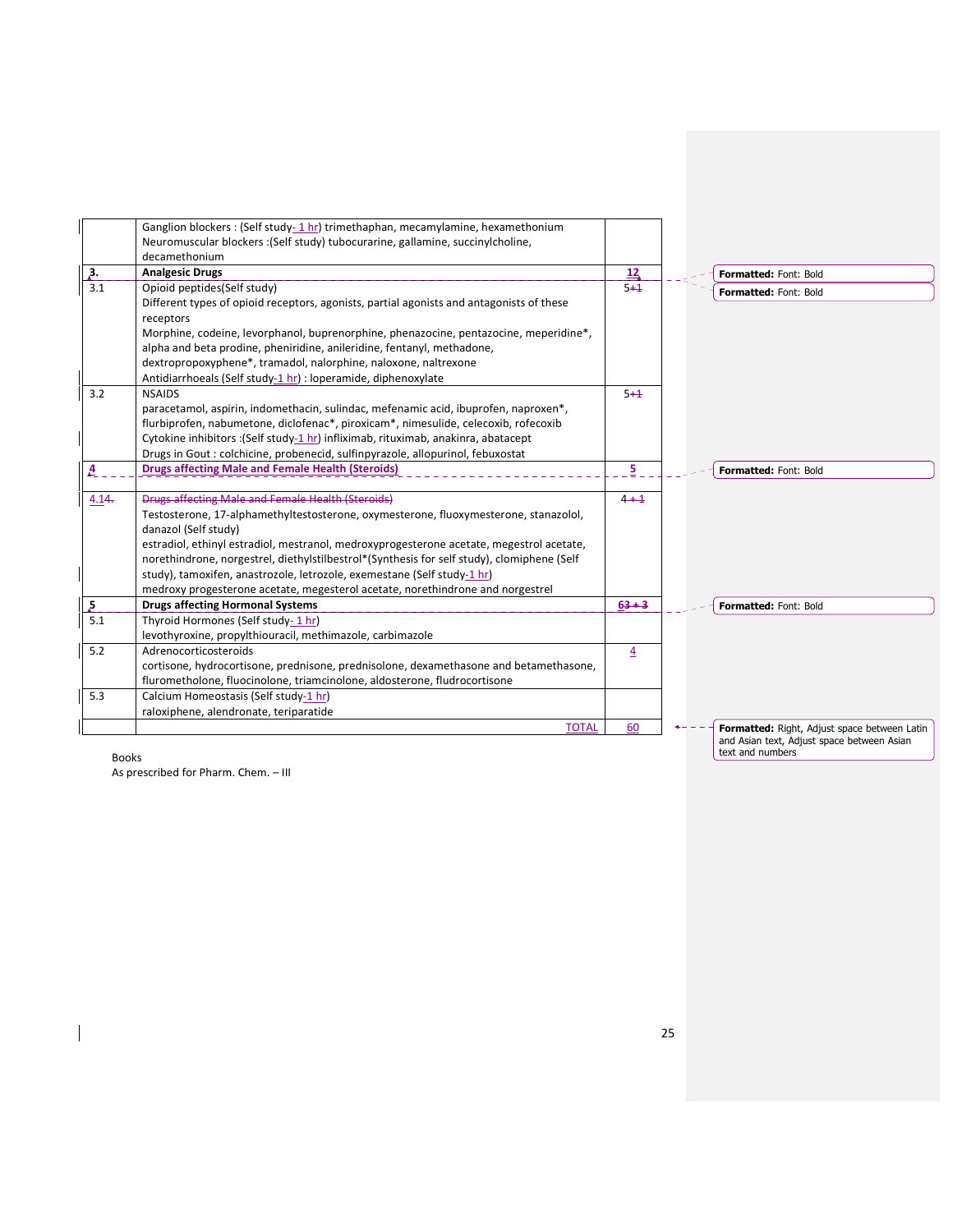| Ganglion blockers : (Self study- 1 hr) trimethaphan, mecamylamine, hexamethonium<br>Neuromuscular blockers : (Self study) tubocurarine, gallamine, succinylcholine,<br>decamethonium<br>3.<br><b>Analgesic Drugs</b><br>12<br><b>Formatted: Font: Bold</b><br>3.1<br>Opioid peptides(Self study)<br>$5 + 1$<br><b>Formatted: Font: Bold</b><br>Different types of opioid receptors, agonists, partial agonists and antagonists of these<br>receptors<br>Morphine, codeine, levorphanol, buprenorphine, phenazocine, pentazocine, meperidine*,<br>alpha and beta prodine, pheniridine, anileridine, fentanyl, methadone,<br>dextropropoxyphene*, tramadol, nalorphine, naloxone, naltrexone<br>Antidiarrhoeals (Self study-1 hr) : loperamide, diphenoxylate<br>3.2<br><b>NSAIDS</b><br>$5 + 1$<br>paracetamol, aspirin, indomethacin, sulindac, mefenamic acid, ibuprofen, naproxen*,<br>flurbiprofen, nabumetone, diclofenac*, piroxicam*, nimesulide, celecoxib, rofecoxib<br>Cytokine inhibitors : (Self study-1 hr) infliximab, rituximab, anakinra, abatacept<br>Drugs in Gout: colchicine, probenecid, sulfinpyrazole, allopurinol, febuxostat<br>5<br><b>Drugs affecting Male and Female Health (Steroids)</b><br>A<br><b>Formatted: Font: Bold</b><br><b>Drugs affecting Male and Female Health (Steroids)</b><br>$4 + 1$<br>4.14.<br>Testosterone, 17-alphamethyltestosterone, oxymesterone, fluoxymesterone, stanazolol,<br>danazol (Self study)<br>estradiol, ethinyl estradiol, mestranol, medroxyprogesterone acetate, megestrol acetate,<br>norethindrone, norgestrel, diethylstilbestrol*(Synthesis for self study), clomiphene (Self<br>study), tamoxifen, anastrozole, letrozole, exemestane (Self study-1 hr)<br>medroxy progesterone acetate, megesterol acetate, norethindrone and norgestrel<br>5<br><b>Drugs affecting Hormonal Systems</b><br>$63 + 3$<br>Formatted: Font: Bold<br>5.1<br>Thyroid Hormones (Self study- 1 hr)<br>levothyroxine, propylthiouracil, methimazole, carbimazole<br>5.2<br>Adrenocorticosteroids<br>$\overline{4}$<br>cortisone, hydrocortisone, prednisone, prednisolone, dexamethasone and betamethasone,<br>flurometholone, fluocinolone, triamcinolone, aldosterone, fludrocortisone<br>5.3<br>Calcium Homeostasis (Self study-1 hr)<br>raloxiphene, alendronate, teriparatide<br><b>TOTAL</b><br>60<br>Formatted: Right, Adjust space between Latin<br>and Asian text, Adjust space between Asian<br>text and numbers<br><b>Doolic</b> |  |  |
|----------------------------------------------------------------------------------------------------------------------------------------------------------------------------------------------------------------------------------------------------------------------------------------------------------------------------------------------------------------------------------------------------------------------------------------------------------------------------------------------------------------------------------------------------------------------------------------------------------------------------------------------------------------------------------------------------------------------------------------------------------------------------------------------------------------------------------------------------------------------------------------------------------------------------------------------------------------------------------------------------------------------------------------------------------------------------------------------------------------------------------------------------------------------------------------------------------------------------------------------------------------------------------------------------------------------------------------------------------------------------------------------------------------------------------------------------------------------------------------------------------------------------------------------------------------------------------------------------------------------------------------------------------------------------------------------------------------------------------------------------------------------------------------------------------------------------------------------------------------------------------------------------------------------------------------------------------------------------------------------------------------------------------------------------------------------------------------------------------------------------------------------------------------------------------------------------------------------------------------------------------------------------------------------------------------------------------------------------------------------------------------------------------------------------------------------------------------------------------------------|--|--|
|                                                                                                                                                                                                                                                                                                                                                                                                                                                                                                                                                                                                                                                                                                                                                                                                                                                                                                                                                                                                                                                                                                                                                                                                                                                                                                                                                                                                                                                                                                                                                                                                                                                                                                                                                                                                                                                                                                                                                                                                                                                                                                                                                                                                                                                                                                                                                                                                                                                                                              |  |  |
|                                                                                                                                                                                                                                                                                                                                                                                                                                                                                                                                                                                                                                                                                                                                                                                                                                                                                                                                                                                                                                                                                                                                                                                                                                                                                                                                                                                                                                                                                                                                                                                                                                                                                                                                                                                                                                                                                                                                                                                                                                                                                                                                                                                                                                                                                                                                                                                                                                                                                              |  |  |
|                                                                                                                                                                                                                                                                                                                                                                                                                                                                                                                                                                                                                                                                                                                                                                                                                                                                                                                                                                                                                                                                                                                                                                                                                                                                                                                                                                                                                                                                                                                                                                                                                                                                                                                                                                                                                                                                                                                                                                                                                                                                                                                                                                                                                                                                                                                                                                                                                                                                                              |  |  |
|                                                                                                                                                                                                                                                                                                                                                                                                                                                                                                                                                                                                                                                                                                                                                                                                                                                                                                                                                                                                                                                                                                                                                                                                                                                                                                                                                                                                                                                                                                                                                                                                                                                                                                                                                                                                                                                                                                                                                                                                                                                                                                                                                                                                                                                                                                                                                                                                                                                                                              |  |  |
|                                                                                                                                                                                                                                                                                                                                                                                                                                                                                                                                                                                                                                                                                                                                                                                                                                                                                                                                                                                                                                                                                                                                                                                                                                                                                                                                                                                                                                                                                                                                                                                                                                                                                                                                                                                                                                                                                                                                                                                                                                                                                                                                                                                                                                                                                                                                                                                                                                                                                              |  |  |
|                                                                                                                                                                                                                                                                                                                                                                                                                                                                                                                                                                                                                                                                                                                                                                                                                                                                                                                                                                                                                                                                                                                                                                                                                                                                                                                                                                                                                                                                                                                                                                                                                                                                                                                                                                                                                                                                                                                                                                                                                                                                                                                                                                                                                                                                                                                                                                                                                                                                                              |  |  |
|                                                                                                                                                                                                                                                                                                                                                                                                                                                                                                                                                                                                                                                                                                                                                                                                                                                                                                                                                                                                                                                                                                                                                                                                                                                                                                                                                                                                                                                                                                                                                                                                                                                                                                                                                                                                                                                                                                                                                                                                                                                                                                                                                                                                                                                                                                                                                                                                                                                                                              |  |  |
|                                                                                                                                                                                                                                                                                                                                                                                                                                                                                                                                                                                                                                                                                                                                                                                                                                                                                                                                                                                                                                                                                                                                                                                                                                                                                                                                                                                                                                                                                                                                                                                                                                                                                                                                                                                                                                                                                                                                                                                                                                                                                                                                                                                                                                                                                                                                                                                                                                                                                              |  |  |
|                                                                                                                                                                                                                                                                                                                                                                                                                                                                                                                                                                                                                                                                                                                                                                                                                                                                                                                                                                                                                                                                                                                                                                                                                                                                                                                                                                                                                                                                                                                                                                                                                                                                                                                                                                                                                                                                                                                                                                                                                                                                                                                                                                                                                                                                                                                                                                                                                                                                                              |  |  |
|                                                                                                                                                                                                                                                                                                                                                                                                                                                                                                                                                                                                                                                                                                                                                                                                                                                                                                                                                                                                                                                                                                                                                                                                                                                                                                                                                                                                                                                                                                                                                                                                                                                                                                                                                                                                                                                                                                                                                                                                                                                                                                                                                                                                                                                                                                                                                                                                                                                                                              |  |  |
|                                                                                                                                                                                                                                                                                                                                                                                                                                                                                                                                                                                                                                                                                                                                                                                                                                                                                                                                                                                                                                                                                                                                                                                                                                                                                                                                                                                                                                                                                                                                                                                                                                                                                                                                                                                                                                                                                                                                                                                                                                                                                                                                                                                                                                                                                                                                                                                                                                                                                              |  |  |
|                                                                                                                                                                                                                                                                                                                                                                                                                                                                                                                                                                                                                                                                                                                                                                                                                                                                                                                                                                                                                                                                                                                                                                                                                                                                                                                                                                                                                                                                                                                                                                                                                                                                                                                                                                                                                                                                                                                                                                                                                                                                                                                                                                                                                                                                                                                                                                                                                                                                                              |  |  |
|                                                                                                                                                                                                                                                                                                                                                                                                                                                                                                                                                                                                                                                                                                                                                                                                                                                                                                                                                                                                                                                                                                                                                                                                                                                                                                                                                                                                                                                                                                                                                                                                                                                                                                                                                                                                                                                                                                                                                                                                                                                                                                                                                                                                                                                                                                                                                                                                                                                                                              |  |  |
|                                                                                                                                                                                                                                                                                                                                                                                                                                                                                                                                                                                                                                                                                                                                                                                                                                                                                                                                                                                                                                                                                                                                                                                                                                                                                                                                                                                                                                                                                                                                                                                                                                                                                                                                                                                                                                                                                                                                                                                                                                                                                                                                                                                                                                                                                                                                                                                                                                                                                              |  |  |
|                                                                                                                                                                                                                                                                                                                                                                                                                                                                                                                                                                                                                                                                                                                                                                                                                                                                                                                                                                                                                                                                                                                                                                                                                                                                                                                                                                                                                                                                                                                                                                                                                                                                                                                                                                                                                                                                                                                                                                                                                                                                                                                                                                                                                                                                                                                                                                                                                                                                                              |  |  |
|                                                                                                                                                                                                                                                                                                                                                                                                                                                                                                                                                                                                                                                                                                                                                                                                                                                                                                                                                                                                                                                                                                                                                                                                                                                                                                                                                                                                                                                                                                                                                                                                                                                                                                                                                                                                                                                                                                                                                                                                                                                                                                                                                                                                                                                                                                                                                                                                                                                                                              |  |  |
|                                                                                                                                                                                                                                                                                                                                                                                                                                                                                                                                                                                                                                                                                                                                                                                                                                                                                                                                                                                                                                                                                                                                                                                                                                                                                                                                                                                                                                                                                                                                                                                                                                                                                                                                                                                                                                                                                                                                                                                                                                                                                                                                                                                                                                                                                                                                                                                                                                                                                              |  |  |
|                                                                                                                                                                                                                                                                                                                                                                                                                                                                                                                                                                                                                                                                                                                                                                                                                                                                                                                                                                                                                                                                                                                                                                                                                                                                                                                                                                                                                                                                                                                                                                                                                                                                                                                                                                                                                                                                                                                                                                                                                                                                                                                                                                                                                                                                                                                                                                                                                                                                                              |  |  |
|                                                                                                                                                                                                                                                                                                                                                                                                                                                                                                                                                                                                                                                                                                                                                                                                                                                                                                                                                                                                                                                                                                                                                                                                                                                                                                                                                                                                                                                                                                                                                                                                                                                                                                                                                                                                                                                                                                                                                                                                                                                                                                                                                                                                                                                                                                                                                                                                                                                                                              |  |  |
|                                                                                                                                                                                                                                                                                                                                                                                                                                                                                                                                                                                                                                                                                                                                                                                                                                                                                                                                                                                                                                                                                                                                                                                                                                                                                                                                                                                                                                                                                                                                                                                                                                                                                                                                                                                                                                                                                                                                                                                                                                                                                                                                                                                                                                                                                                                                                                                                                                                                                              |  |  |
|                                                                                                                                                                                                                                                                                                                                                                                                                                                                                                                                                                                                                                                                                                                                                                                                                                                                                                                                                                                                                                                                                                                                                                                                                                                                                                                                                                                                                                                                                                                                                                                                                                                                                                                                                                                                                                                                                                                                                                                                                                                                                                                                                                                                                                                                                                                                                                                                                                                                                              |  |  |
|                                                                                                                                                                                                                                                                                                                                                                                                                                                                                                                                                                                                                                                                                                                                                                                                                                                                                                                                                                                                                                                                                                                                                                                                                                                                                                                                                                                                                                                                                                                                                                                                                                                                                                                                                                                                                                                                                                                                                                                                                                                                                                                                                                                                                                                                                                                                                                                                                                                                                              |  |  |
|                                                                                                                                                                                                                                                                                                                                                                                                                                                                                                                                                                                                                                                                                                                                                                                                                                                                                                                                                                                                                                                                                                                                                                                                                                                                                                                                                                                                                                                                                                                                                                                                                                                                                                                                                                                                                                                                                                                                                                                                                                                                                                                                                                                                                                                                                                                                                                                                                                                                                              |  |  |
|                                                                                                                                                                                                                                                                                                                                                                                                                                                                                                                                                                                                                                                                                                                                                                                                                                                                                                                                                                                                                                                                                                                                                                                                                                                                                                                                                                                                                                                                                                                                                                                                                                                                                                                                                                                                                                                                                                                                                                                                                                                                                                                                                                                                                                                                                                                                                                                                                                                                                              |  |  |
|                                                                                                                                                                                                                                                                                                                                                                                                                                                                                                                                                                                                                                                                                                                                                                                                                                                                                                                                                                                                                                                                                                                                                                                                                                                                                                                                                                                                                                                                                                                                                                                                                                                                                                                                                                                                                                                                                                                                                                                                                                                                                                                                                                                                                                                                                                                                                                                                                                                                                              |  |  |
|                                                                                                                                                                                                                                                                                                                                                                                                                                                                                                                                                                                                                                                                                                                                                                                                                                                                                                                                                                                                                                                                                                                                                                                                                                                                                                                                                                                                                                                                                                                                                                                                                                                                                                                                                                                                                                                                                                                                                                                                                                                                                                                                                                                                                                                                                                                                                                                                                                                                                              |  |  |
|                                                                                                                                                                                                                                                                                                                                                                                                                                                                                                                                                                                                                                                                                                                                                                                                                                                                                                                                                                                                                                                                                                                                                                                                                                                                                                                                                                                                                                                                                                                                                                                                                                                                                                                                                                                                                                                                                                                                                                                                                                                                                                                                                                                                                                                                                                                                                                                                                                                                                              |  |  |
|                                                                                                                                                                                                                                                                                                                                                                                                                                                                                                                                                                                                                                                                                                                                                                                                                                                                                                                                                                                                                                                                                                                                                                                                                                                                                                                                                                                                                                                                                                                                                                                                                                                                                                                                                                                                                                                                                                                                                                                                                                                                                                                                                                                                                                                                                                                                                                                                                                                                                              |  |  |
|                                                                                                                                                                                                                                                                                                                                                                                                                                                                                                                                                                                                                                                                                                                                                                                                                                                                                                                                                                                                                                                                                                                                                                                                                                                                                                                                                                                                                                                                                                                                                                                                                                                                                                                                                                                                                                                                                                                                                                                                                                                                                                                                                                                                                                                                                                                                                                                                                                                                                              |  |  |
|                                                                                                                                                                                                                                                                                                                                                                                                                                                                                                                                                                                                                                                                                                                                                                                                                                                                                                                                                                                                                                                                                                                                                                                                                                                                                                                                                                                                                                                                                                                                                                                                                                                                                                                                                                                                                                                                                                                                                                                                                                                                                                                                                                                                                                                                                                                                                                                                                                                                                              |  |  |
|                                                                                                                                                                                                                                                                                                                                                                                                                                                                                                                                                                                                                                                                                                                                                                                                                                                                                                                                                                                                                                                                                                                                                                                                                                                                                                                                                                                                                                                                                                                                                                                                                                                                                                                                                                                                                                                                                                                                                                                                                                                                                                                                                                                                                                                                                                                                                                                                                                                                                              |  |  |
|                                                                                                                                                                                                                                                                                                                                                                                                                                                                                                                                                                                                                                                                                                                                                                                                                                                                                                                                                                                                                                                                                                                                                                                                                                                                                                                                                                                                                                                                                                                                                                                                                                                                                                                                                                                                                                                                                                                                                                                                                                                                                                                                                                                                                                                                                                                                                                                                                                                                                              |  |  |
|                                                                                                                                                                                                                                                                                                                                                                                                                                                                                                                                                                                                                                                                                                                                                                                                                                                                                                                                                                                                                                                                                                                                                                                                                                                                                                                                                                                                                                                                                                                                                                                                                                                                                                                                                                                                                                                                                                                                                                                                                                                                                                                                                                                                                                                                                                                                                                                                                                                                                              |  |  |
|                                                                                                                                                                                                                                                                                                                                                                                                                                                                                                                                                                                                                                                                                                                                                                                                                                                                                                                                                                                                                                                                                                                                                                                                                                                                                                                                                                                                                                                                                                                                                                                                                                                                                                                                                                                                                                                                                                                                                                                                                                                                                                                                                                                                                                                                                                                                                                                                                                                                                              |  |  |
|                                                                                                                                                                                                                                                                                                                                                                                                                                                                                                                                                                                                                                                                                                                                                                                                                                                                                                                                                                                                                                                                                                                                                                                                                                                                                                                                                                                                                                                                                                                                                                                                                                                                                                                                                                                                                                                                                                                                                                                                                                                                                                                                                                                                                                                                                                                                                                                                                                                                                              |  |  |

Books

 $\overline{\phantom{a}}$ 

As prescribed for Pharm. Chem. – III

25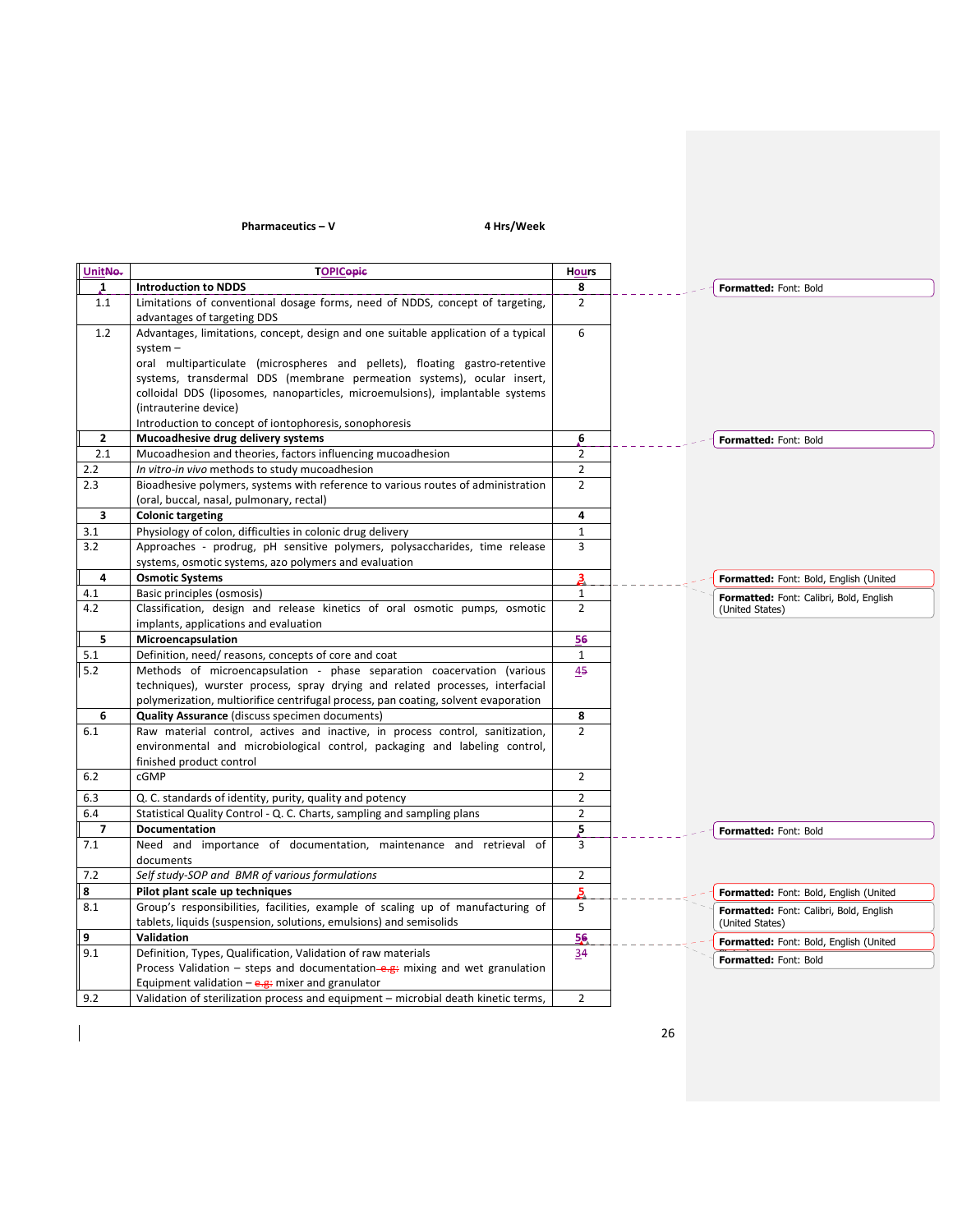## $Pharmaceutics - V$  4 Hrs/Week

 $\begin{array}{c} \rule{0pt}{2ex} \rule{0pt}{2ex} \rule{0pt}{2ex} \rule{0pt}{2ex} \rule{0pt}{2ex} \rule{0pt}{2ex} \rule{0pt}{2ex} \rule{0pt}{2ex} \rule{0pt}{2ex} \rule{0pt}{2ex} \rule{0pt}{2ex} \rule{0pt}{2ex} \rule{0pt}{2ex} \rule{0pt}{2ex} \rule{0pt}{2ex} \rule{0pt}{2ex} \rule{0pt}{2ex} \rule{0pt}{2ex} \rule{0pt}{2ex} \rule{0pt}{2ex} \rule{0pt}{2ex} \rule{0pt}{2ex} \rule{0pt}{2ex} \rule{0pt}{$ 

| UnitNo.        | <b>TOPICopic</b>                                                                                                              | <b>Hours</b>       |                                         |
|----------------|-------------------------------------------------------------------------------------------------------------------------------|--------------------|-----------------------------------------|
| $\mathbf{1}$   | <b>Introduction to NDDS</b>                                                                                                   | 8                  | Formatted: Font: Bold                   |
| 1.1            | Limitations of conventional dosage forms, need of NDDS, concept of targeting,<br>advantages of targeting DDS                  | $\overline{2}$     |                                         |
| 1.2            | Advantages, limitations, concept, design and one suitable application of a typical                                            | 6                  |                                         |
|                | $s$ ystem $-$                                                                                                                 |                    |                                         |
|                | oral multiparticulate (microspheres and pellets), floating gastro-retentive                                                   |                    |                                         |
|                | systems, transdermal DDS (membrane permeation systems), ocular insert,                                                        |                    |                                         |
|                | colloidal DDS (liposomes, nanoparticles, microemulsions), implantable systems<br>(intrauterine device)                        |                    |                                         |
|                | Introduction to concept of iontophoresis, sonophoresis                                                                        |                    |                                         |
| $\overline{2}$ | Mucoadhesive drug delivery systems                                                                                            | b.                 | Formatted: Font: Bold                   |
| 2.1            | Mucoadhesion and theories, factors influencing mucoadhesion                                                                   | $\overline{2}$     |                                         |
| 2.2            | In vitro-in vivo methods to study mucoadhesion                                                                                | $\overline{2}$     |                                         |
| 2.3            | Bioadhesive polymers, systems with reference to various routes of administration                                              | $\overline{2}$     |                                         |
|                | (oral, buccal, nasal, pulmonary, rectal)                                                                                      |                    |                                         |
| 3              | <b>Colonic targeting</b>                                                                                                      | 4                  |                                         |
| 3.1            | Physiology of colon, difficulties in colonic drug delivery                                                                    | $\mathbf{1}$       |                                         |
| 3.2            | Approaches - prodrug, pH sensitive polymers, polysaccharides, time release                                                    | 3                  |                                         |
|                | systems, osmotic systems, azo polymers and evaluation                                                                         |                    |                                         |
| 4              | <b>Osmotic Systems</b>                                                                                                        | 3                  | Formatted: Font: Bold, English (United  |
| 4.1            | Basic principles (osmosis)                                                                                                    | $\mathbf{1}$       | Formatted: Font: Calibri, Bold, English |
| 4.2            | Classification, design and release kinetics of oral osmotic pumps, osmotic                                                    | $\overline{2}$     | (United States)                         |
|                | implants, applications and evaluation                                                                                         |                    |                                         |
| 5              | Microencapsulation                                                                                                            | 56                 |                                         |
| 5.1<br>5.2     | Definition, need/reasons, concepts of core and coat<br>Methods of microencapsulation - phase separation coacervation (various | $\mathbf{1}$<br>45 |                                         |
|                | techniques), wurster process, spray drying and related processes, interfacial                                                 |                    |                                         |
|                | polymerization, multiorifice centrifugal process, pan coating, solvent evaporation                                            |                    |                                         |
| 6              | <b>Quality Assurance</b> (discuss specimen documents)                                                                         | 8                  |                                         |
| 6.1            | Raw material control, actives and inactive, in process control, sanitization,                                                 | $\overline{2}$     |                                         |
|                | environmental and microbiological control, packaging and labeling control,                                                    |                    |                                         |
|                | finished product control                                                                                                      |                    |                                         |
| 6.2            | cGMP                                                                                                                          | $\overline{2}$     |                                         |
| 6.3            | Q. C. standards of identity, purity, quality and potency                                                                      | $\overline{2}$     |                                         |
| 6.4            | Statistical Quality Control - Q. C. Charts, sampling and sampling plans                                                       | $\overline{2}$     |                                         |
| $\overline{7}$ | Documentation                                                                                                                 | 5                  | Formatted: Font: Bold                   |
| 7.1            | Need and importance of documentation, maintenance and retrieval of                                                            | 3                  |                                         |
|                | documents                                                                                                                     |                    |                                         |
| 7.2            | Self study-SOP and BMR of various formulations                                                                                | $\overline{2}$     |                                         |
| 8              | Pilot plant scale up techniques                                                                                               | 5.                 | Formatted: Font: Bold, English (United  |
| 8.1            | Group's responsibilities, facilities, example of scaling up of manufacturing of                                               | 5                  | Formatted: Font: Calibri, Bold, English |
| 9              | tablets, liquids (suspension, solutions, emulsions) and semisolids<br>Validation                                              |                    | (United States)                         |
| 9.1            | Definition, Types, Qualification, Validation of raw materials                                                                 | 56<br>34           | Formatted: Font: Bold, English (United  |
|                | Process Validation – steps and documentation–e.g: mixing and wet granulation                                                  |                    | Formatted: Font: Bold                   |
|                | Equipment validation $-\frac{e}{g}$ mixer and granulator                                                                      |                    |                                         |
| 9.2            | Validation of sterilization process and equipment - microbial death kinetic terms,                                            | $\overline{2}$     |                                         |
|                |                                                                                                                               |                    |                                         |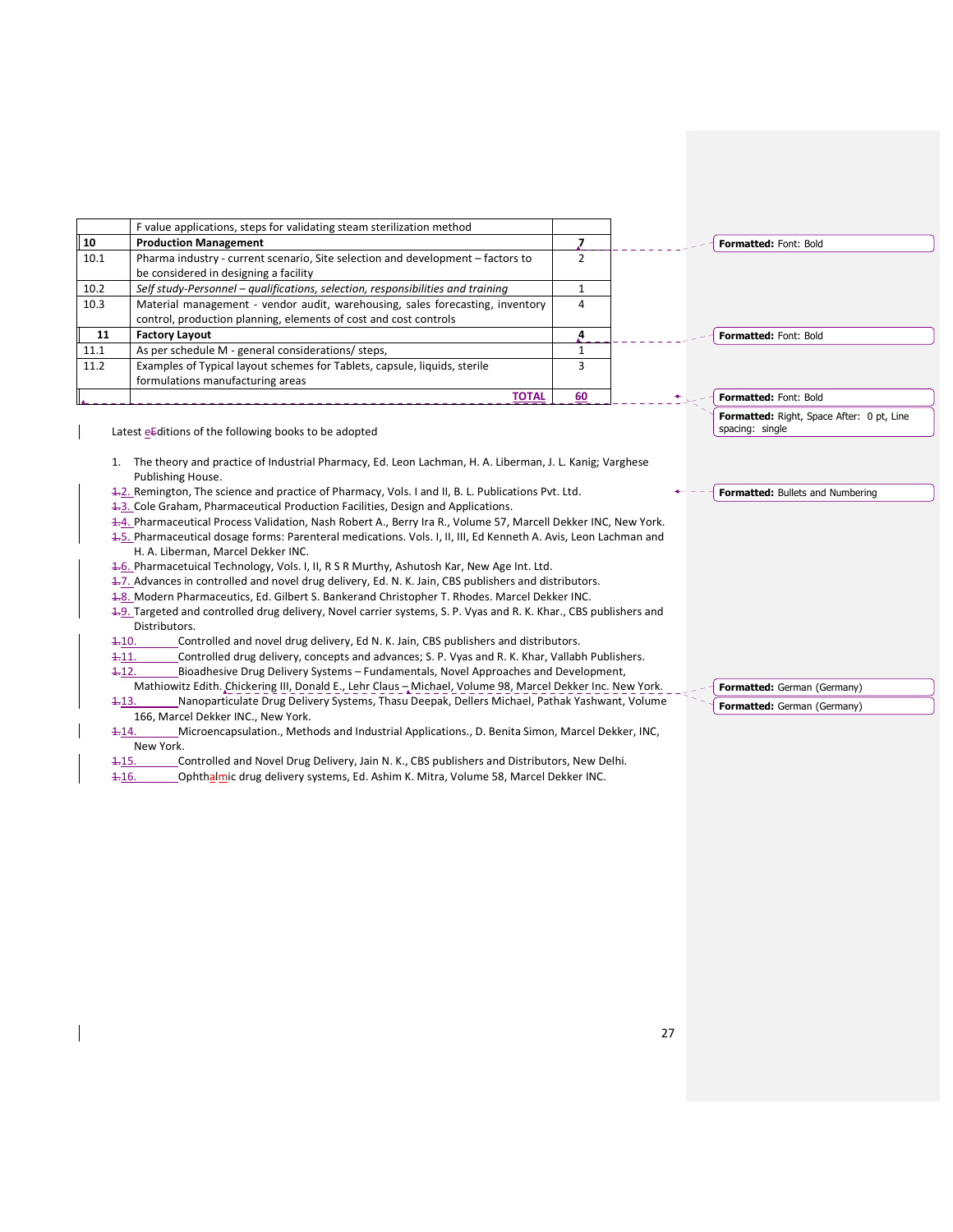|              | F value applications, steps for validating steam sterilization method           |    |                                           |
|--------------|---------------------------------------------------------------------------------|----|-------------------------------------------|
| $ 10\rangle$ | <b>Production Management</b>                                                    |    | <b>Formatted: Font: Bold</b>              |
| 10.1         | Pharma industry - current scenario, Site selection and development – factors to |    |                                           |
|              | be considered in designing a facility                                           |    |                                           |
| 10.2         | Self study-Personnel – qualifications, selection, responsibilities and training |    |                                           |
| 10.3         | Material management - vendor audit, warehousing, sales forecasting, inventory   | 4  |                                           |
|              | control, production planning, elements of cost and cost controls                |    |                                           |
| 11           | <b>Factory Layout</b>                                                           |    | <b>Formatted: Font: Bold</b>              |
| 11.1         | As per schedule M - general considerations/ steps,                              |    |                                           |
| 11.2         | Examples of Typical layout schemes for Tablets, capsule, liquids, sterile       |    |                                           |
|              | formulations manufacturing areas                                                |    |                                           |
|              | <b>TOTAL</b>                                                                    | 60 | <b>Formatted: Font: Bold</b>              |
|              |                                                                                 |    | Formatted: Right, Space After: 0 pt, Line |

Latest  $eE$ ditions of the following books to be adopted

- 1. The theory and practice of Industrial Pharmacy, Ed. Leon Lachman, H. A. Liberman, J. L. Kanig; Varghese Publishing House.
- 1.2. Remington, The science and practice of Pharmacy, Vols. I and II, B. L. Publications Pvt. Ltd.
- 1.3. Cole Graham, Pharmaceutical Production Facilities, Design and Applications.
- 1.4. Pharmaceutical Process Validation, Nash Robert A., Berry Ira R., Volume 57, Marcell Dekker INC, New York.
- 1.5. Pharmaceutical dosage forms: Parenteral medications. Vols. I, II, III, Ed Kenneth A. Avis, Leon Lachman and H. A. Liberman, Marcel Dekker INC.
- 1.6. Pharmacetuical Technology, Vols. I, II, R S R Murthy, Ashutosh Kar, New Age Int. Ltd.
- 1-7. Advances in controlled and novel drug delivery, Ed. N. K. Jain, CBS publishers and distributors.
- 1-8. Modern Pharmaceutics, Ed. Gilbert S. Bankerand Christopher T. Rhodes. Marcel Dekker INC.
- 1.9. Targeted and controlled drug delivery, Novel carrier systems, S. P. Vyas and R. K. Khar., CBS publishers and Distributors.
- 1.10. Controlled and novel drug delivery, Ed N. K. Jain, CBS publishers and distributors.
- 1.11. Controlled drug delivery, concepts and advances; S. P. Vyas and R. K. Khar, Vallabh Publishers. 1.12. Bioadhesive Drug Delivery Systems – Fundamentals, Novel Approaches and Development,
- Mathiowitz Edith. Chickering III, Donald E., Lehr Claus Michael, Volume 98, Marcel Dekker Inc. New York.
- 1.13. Nanoparticulate Drug Delivery Systems, Thasu Deepak, Dellers Michael, Pathak Yashwant, Volume 166, Marcel Dekker INC., New York.
- 1.14. Microencapsulation., Methods and Industrial Applications., D. Benita Simon, Marcel Dekker, INC, New York.
- 1.15. Controlled and Novel Drug Delivery, Jain N. K., CBS publishers and Distributors, New Delhi.
- 1-16. Ophthalmic drug delivery systems, Ed. Ashim K. Mitra, Volume 58, Marcel Dekker INC.

Formatted: Bullets and Numbering

spacing: single

Formatted: German (Germany) Formatted: German (Germany)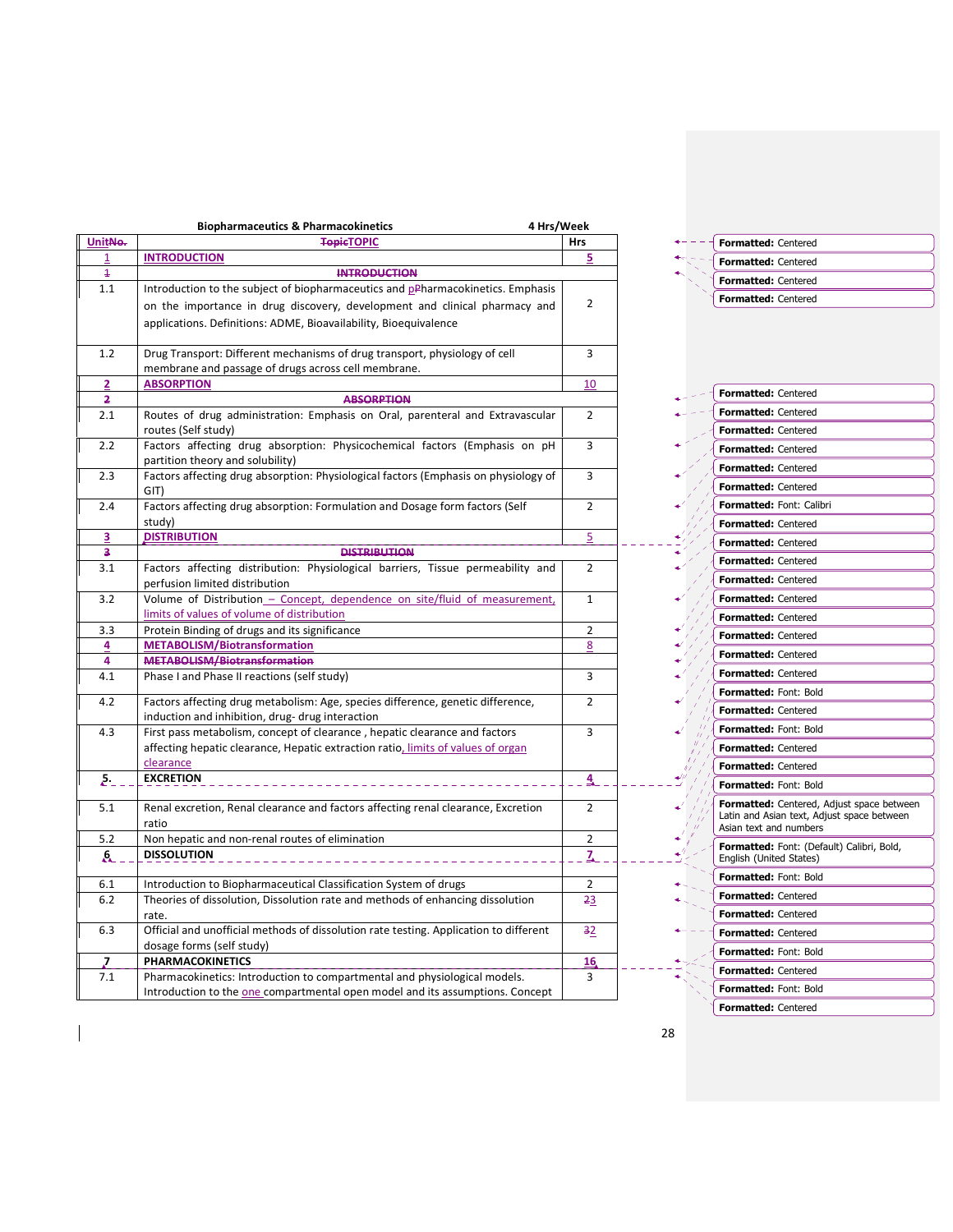|                | <b>Biopharmaceutics &amp; Pharmacokinetics</b><br>4 Hrs/Week                          |                |
|----------------|---------------------------------------------------------------------------------------|----------------|
| UnitNe-        | <b>TepicTOPIC</b>                                                                     | <b>Hrs</b>     |
| 1              | <b>INTRODUCTION</b>                                                                   | 5              |
| $\overline{1}$ | <b>INTRODUCTION</b>                                                                   |                |
| 1.1            | Introduction to the subject of biopharmaceutics and pPharmacokinetics. Emphasis       |                |
|                | on the importance in drug discovery, development and clinical pharmacy and            | 2              |
|                | applications. Definitions: ADME, Bioavailability, Bioequivalence                      |                |
|                |                                                                                       |                |
| 1.2            | Drug Transport: Different mechanisms of drug transport, physiology of cell            | 3              |
|                | membrane and passage of drugs across cell membrane.                                   |                |
| 2              | <b>ABSORPTION</b>                                                                     | 10             |
| 5              | <b>ABSORPTION</b>                                                                     |                |
| 2.1            | Routes of drug administration: Emphasis on Oral, parenteral and Extravascular         | $\overline{2}$ |
|                | routes (Self study)                                                                   |                |
| 2.2            | Factors affecting drug absorption: Physicochemical factors (Emphasis on pH            | 3              |
|                | partition theory and solubility)                                                      |                |
| 2.3            | Factors affecting drug absorption: Physiological factors (Emphasis on physiology of   | 3              |
|                | GIT)                                                                                  |                |
| 2.4            | Factors affecting drug absorption: Formulation and Dosage form factors (Self          | 2              |
|                | study)                                                                                |                |
| 3              | <b>DISTRIBUTION</b>                                                                   | 5              |
| з              | <b>DISTRIBUTION</b>                                                                   |                |
| 3.1            | Factors affecting distribution: Physiological barriers, Tissue permeability and       | $\overline{2}$ |
|                | perfusion limited distribution                                                        |                |
| 3.2            | Volume of Distribution - Concept, dependence on site/fluid of measurement,            | $\mathbf{1}$   |
|                | limits of values of volume of distribution                                            |                |
| 3.3            | Protein Binding of drugs and its significance                                         | 2              |
| 4              | <b>METABOLISM/Biotransformation</b>                                                   | 8              |
| 4              | METABOLISM/Biotransformation                                                          |                |
| 4.1            | Phase I and Phase II reactions (self study)                                           | 3              |
| 4.2            | Factors affecting drug metabolism: Age, species difference, genetic difference,       | $\overline{2}$ |
|                | induction and inhibition, drug- drug interaction                                      |                |
| 4.3            | First pass metabolism, concept of clearance, hepatic clearance and factors            | 3              |
|                | affecting hepatic clearance, Hepatic extraction ratio, limits of values of organ      |                |
|                | clearance                                                                             |                |
| 5.             | <b>EXCRETION</b>                                                                      | 4              |
|                |                                                                                       |                |
| 5.1            | Renal excretion, Renal clearance and factors affecting renal clearance, Excretion     | $\overline{2}$ |
|                | ratio                                                                                 |                |
| 5.2            | Non hepatic and non-renal routes of elimination                                       | 2              |
| A              | <b>DISSOLUTION</b>                                                                    | z              |
|                |                                                                                       |                |
| 6.1            | Introduction to Biopharmaceutical Classification System of drugs                      | $\overline{2}$ |
| 6.2            | Theories of dissolution, Dissolution rate and methods of enhancing dissolution        | $-23$          |
|                | rate.                                                                                 |                |
| 6.3            | Official and unofficial methods of dissolution rate testing. Application to different | 32             |
|                | dosage forms (self study)                                                             |                |
| 7              | <b>PHARMACOKINETICS</b>                                                               | 16             |
| 7.1            | Pharmacokinetics: Introduction to compartmental and physiological models.             | 3              |
|                | Introduction to the one compartmental open model and its assumptions. Concept         |                |

|  | Formatted: Centered        |
|--|----------------------------|
|  | <b>Formatted: Centered</b> |
|  | <b>Formatted: Centered</b> |
|  | <b>Formatted: Centered</b> |

l,

 $\frac{1}{2}$ 

 $\mathbf{A} = \mathbf{A} \mathbf{A} + \mathbf{A} \mathbf{A} + \mathbf{A} \mathbf{A}$ 

رمبو<br>بر ÷. ¢.

 $\frac{4}{4}$ 

| <b>Formatted: Centered</b>                                                                                               |
|--------------------------------------------------------------------------------------------------------------------------|
| <b>Formatted: Centered</b>                                                                                               |
| <b>Formatted: Centered</b>                                                                                               |
| <b>Formatted: Centered</b>                                                                                               |
| <b>Formatted: Centered</b>                                                                                               |
| <b>Formatted: Centered</b>                                                                                               |
| Formatted: Font: Calibri                                                                                                 |
| <b>Formatted: Centered</b>                                                                                               |
| <b>Formatted: Centered</b>                                                                                               |
| <b>Formatted: Centered</b>                                                                                               |
| <b>Formatted: Centered</b>                                                                                               |
| <b>Formatted: Centered</b>                                                                                               |
| <b>Formatted: Centered</b>                                                                                               |
| <b>Formatted: Centered</b>                                                                                               |
| <b>Formatted: Centered</b>                                                                                               |
| <b>Formatted: Centered</b>                                                                                               |
| Formatted: Font: Bold                                                                                                    |
| <b>Formatted: Centered</b>                                                                                               |
| Formatted: Font: Bold                                                                                                    |
| Formatted: Centered                                                                                                      |
| <b>Formatted: Centered</b>                                                                                               |
| <b>Formatted: Font: Bold</b>                                                                                             |
| <b>Formatted:</b> Centered, Adjust space between<br>Latin and Asian text, Adjust space between<br>Asian text and numbers |
| Formatted: Font: (Default) Calibri, Bold,<br>English (United States)                                                     |
| Formatted: Font: Bold                                                                                                    |
| <b>Formatted: Centered</b>                                                                                               |
| <b>Formatted: Centered</b>                                                                                               |
| <b>Formatted: Centered</b>                                                                                               |
| Formatted: Font: Bold                                                                                                    |
| <b>Formatted: Centered</b>                                                                                               |
| <b>Formatted: Font: Bold</b>                                                                                             |
| <b>Formatted: Centered</b>                                                                                               |
|                                                                                                                          |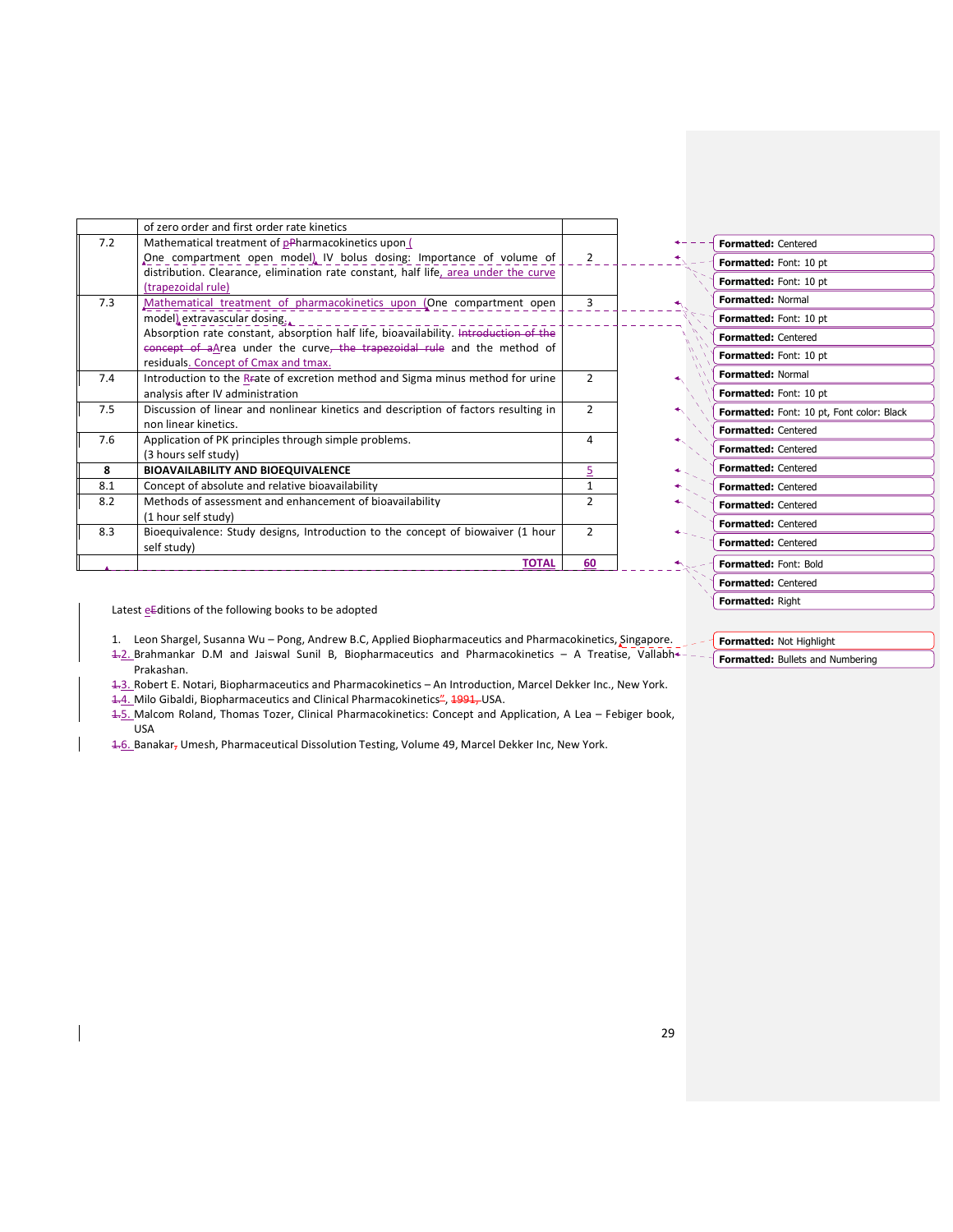|     | of zero order and first order rate kinetics                                                 |                |
|-----|---------------------------------------------------------------------------------------------|----------------|
| 7.2 | Mathematical treatment of pPharmacokinetics upon (                                          |                |
|     | One compartment open model) IV bolus dosing: Importance of volume of                        | $\mathbf{2}$   |
|     | distribution. Clearance, elimination rate constant, half life, area under the curve         |                |
|     | (trapezoidal rule)                                                                          |                |
| 7.3 | Mathematical treatment of pharmacokinetics upon (One compartment open                       | $\mathbf{3}$   |
|     | model) extravascular dosing.                                                                |                |
|     | Absorption rate constant, absorption half life, bioavailability. Introduction of the        |                |
|     | concept of aArea under the curve, the trapezoidal rule and the method of                    |                |
|     | residuals. Concept of Cmax and tmax.                                                        |                |
| 7.4 | Introduction to the R <sub>F</sub> ate of excretion method and Sigma minus method for urine | $\overline{2}$ |
|     | analysis after IV administration                                                            |                |
| 7.5 | Discussion of linear and nonlinear kinetics and description of factors resulting in         | $\mathcal{P}$  |
|     | non linear kinetics.                                                                        |                |
| 7.6 | Application of PK principles through simple problems.                                       | 4              |
|     | (3 hours self study)                                                                        |                |
| 8   | <b>BIOAVAILABILITY AND BIOEQUIVALENCE</b>                                                   | 5              |
| 8.1 | Concept of absolute and relative bioavailability                                            | $\mathbf{1}$   |
| 8.2 | Methods of assessment and enhancement of bioavailability                                    | $\overline{2}$ |
|     | (1 hour self study)                                                                         |                |
| 8.3 | Bioequivalence: Study designs, Introduction to the concept of biowaiver (1 hour             | $\mathcal{P}$  |
|     | self study)                                                                                 |                |
|     | <b>TOTAL</b>                                                                                | 60             |

| <b>Formatted: Centered</b> |                                           |
|----------------------------|-------------------------------------------|
| Formatted: Font: 10 pt     |                                           |
| Formatted: Font: 10 pt     |                                           |
| Formatted: Normal          |                                           |
| Formatted: Font: 10 pt     |                                           |
| <b>Formatted: Centered</b> |                                           |
| Formatted: Font: 10 pt     |                                           |
| <b>Formatted: Normal</b>   |                                           |
| Formatted: Font: 10 pt     |                                           |
|                            | Formatted: Font: 10 pt, Font color: Black |
| <b>Formatted: Centered</b> |                                           |
| <b>Formatted: Centered</b> |                                           |
| <b>Formatted: Centered</b> |                                           |
| <b>Formatted: Centered</b> |                                           |
| <b>Formatted: Centered</b> |                                           |
| <b>Formatted: Centered</b> |                                           |
| <b>Formatted: Centered</b> |                                           |
| Formatted: Font: Bold      |                                           |
| Formatted: Centered        |                                           |
| Formatted: Right           |                                           |

Latest eEditions of the following books to be adopted

1. Leon Shargel, Susanna Wu - Pong, Andrew B.C, Applied Biopharmaceutics and Pharmacokinetics, Singapore.

1.2. Brahmankar D.M and Jaiswal Sunil B, Biopharmaceutics and Pharmacokinetics – A Treatise, Vallabh Prakashan.

1.3. Robert E. Notari, Biopharmaceutics and Pharmacokinetics – An Introduction, Marcel Dekker Inc., New York.

1.4. Milo Gibaldi, Biopharmaceutics and Clinical Pharmacokinetics<sup>2</sup>, 1991, USA.

1.5. Malcom Roland, Thomas Tozer, Clinical Pharmacokinetics: Concept and Application, A Lea – Febiger book, USA

1-6. Banakar, Umesh, Pharmaceutical Dissolution Testing, Volume 49, Marcel Dekker Inc, New York.

Formatted: Not Highlight Formatted: Bullets and Numbering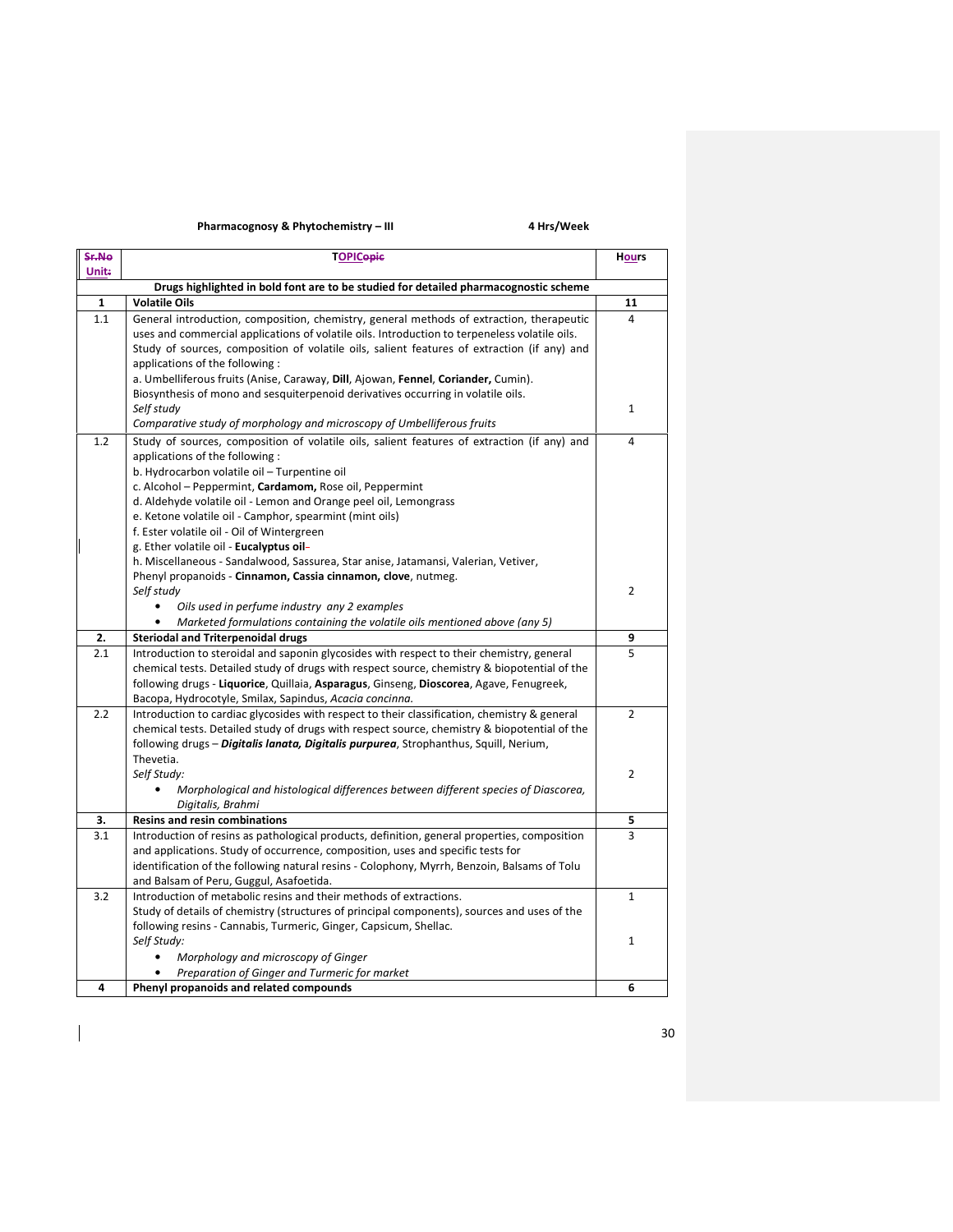## Pharmacognosy & Phytochemistry – III 4 Hrs/Week

| Sr.No        | <b>TOPICopic</b>                                                                                                        | <b>Hours</b>   |  |
|--------------|-------------------------------------------------------------------------------------------------------------------------|----------------|--|
| <b>Unit:</b> |                                                                                                                         |                |  |
|              | Drugs highlighted in bold font are to be studied for detailed pharmacognostic scheme                                    |                |  |
| 1            | <b>Volatile Oils</b>                                                                                                    | 11             |  |
| 1.1          | General introduction, composition, chemistry, general methods of extraction, therapeutic                                | 4              |  |
|              | uses and commercial applications of volatile oils. Introduction to terpeneless volatile oils.                           |                |  |
|              | Study of sources, composition of volatile oils, salient features of extraction (if any) and                             |                |  |
|              | applications of the following:                                                                                          |                |  |
|              | a. Umbelliferous fruits (Anise, Caraway, Dill, Ajowan, Fennel, Coriander, Cumin).                                       |                |  |
|              | Biosynthesis of mono and sesquiterpenoid derivatives occurring in volatile oils.                                        |                |  |
|              | Self study                                                                                                              | 1              |  |
|              | Comparative study of morphology and microscopy of Umbelliferous fruits                                                  |                |  |
| 1.2          | Study of sources, composition of volatile oils, salient features of extraction (if any) and                             | 4              |  |
|              | applications of the following:                                                                                          |                |  |
|              | b. Hydrocarbon volatile oil - Turpentine oil                                                                            |                |  |
|              | c. Alcohol - Peppermint, Cardamom, Rose oil, Peppermint                                                                 |                |  |
|              | d. Aldehyde volatile oil - Lemon and Orange peel oil, Lemongrass                                                        |                |  |
|              | e. Ketone volatile oil - Camphor, spearmint (mint oils)                                                                 |                |  |
|              | f. Ester volatile oil - Oil of Wintergreen                                                                              |                |  |
|              | g. Ether volatile oil - Eucalyptus oil-                                                                                 |                |  |
|              | h. Miscellaneous - Sandalwood, Sassurea, Star anise, Jatamansi, Valerian, Vetiver,                                      |                |  |
|              | Phenyl propanoids - Cinnamon, Cassia cinnamon, clove, nutmeg.                                                           | $\overline{2}$ |  |
|              | Self study                                                                                                              |                |  |
|              | Oils used in perfume industry any 2 examples                                                                            |                |  |
|              | Marketed formulations containing the volatile oils mentioned above (any 5)<br><b>Steriodal and Triterpenoidal drugs</b> |                |  |
| 2.<br>2.1    | Introduction to steroidal and saponin glycosides with respect to their chemistry, general                               | 9<br>5         |  |
|              | chemical tests. Detailed study of drugs with respect source, chemistry & biopotential of the                            |                |  |
|              | following drugs - Liquorice, Quillaia, Asparagus, Ginseng, Dioscorea, Agave, Fenugreek,                                 |                |  |
|              | Bacopa, Hydrocotyle, Smilax, Sapindus, Acacia concinna.                                                                 |                |  |
| 2.2          | Introduction to cardiac glycosides with respect to their classification, chemistry & general                            | $\overline{2}$ |  |
|              | chemical tests. Detailed study of drugs with respect source, chemistry & biopotential of the                            |                |  |
|              | following drugs - Digitalis lanata, Digitalis purpurea, Strophanthus, Squill, Nerium,                                   |                |  |
|              | Thevetia.                                                                                                               |                |  |
|              | Self Study:                                                                                                             | $\overline{2}$ |  |
|              | Morphological and histological differences between different species of Diascorea,                                      |                |  |
|              | Digitalis, Brahmi                                                                                                       |                |  |
| 3.           | <b>Resins and resin combinations</b>                                                                                    | 5              |  |
| 3.1          | Introduction of resins as pathological products, definition, general properties, composition                            | 3              |  |
|              | and applications. Study of occurrence, composition, uses and specific tests for                                         |                |  |
|              | identification of the following natural resins - Colophony, Myrrh, Benzoin, Balsams of Tolu                             |                |  |
|              | and Balsam of Peru, Guggul, Asafoetida.                                                                                 |                |  |
| 3.2          | Introduction of metabolic resins and their methods of extractions.                                                      | $\mathbf{1}$   |  |
|              | Study of details of chemistry (structures of principal components), sources and uses of the                             |                |  |
|              | following resins - Cannabis, Turmeric, Ginger, Capsicum, Shellac.                                                       |                |  |
|              | Self Study:                                                                                                             | $\mathbf{1}$   |  |
|              | Morphology and microscopy of Ginger                                                                                     |                |  |
|              | Preparation of Ginger and Turmeric for market                                                                           |                |  |
| 4            | Phenyl propanoids and related compounds                                                                                 | 6              |  |

 $\begin{array}{c} \rule{0pt}{2ex} \rule{0pt}{2ex} \rule{0pt}{2ex} \rule{0pt}{2ex} \rule{0pt}{2ex} \rule{0pt}{2ex} \rule{0pt}{2ex} \rule{0pt}{2ex} \rule{0pt}{2ex} \rule{0pt}{2ex} \rule{0pt}{2ex} \rule{0pt}{2ex} \rule{0pt}{2ex} \rule{0pt}{2ex} \rule{0pt}{2ex} \rule{0pt}{2ex} \rule{0pt}{2ex} \rule{0pt}{2ex} \rule{0pt}{2ex} \rule{0pt}{2ex} \rule{0pt}{2ex} \rule{0pt}{2ex} \rule{0pt}{2ex} \rule{0pt}{$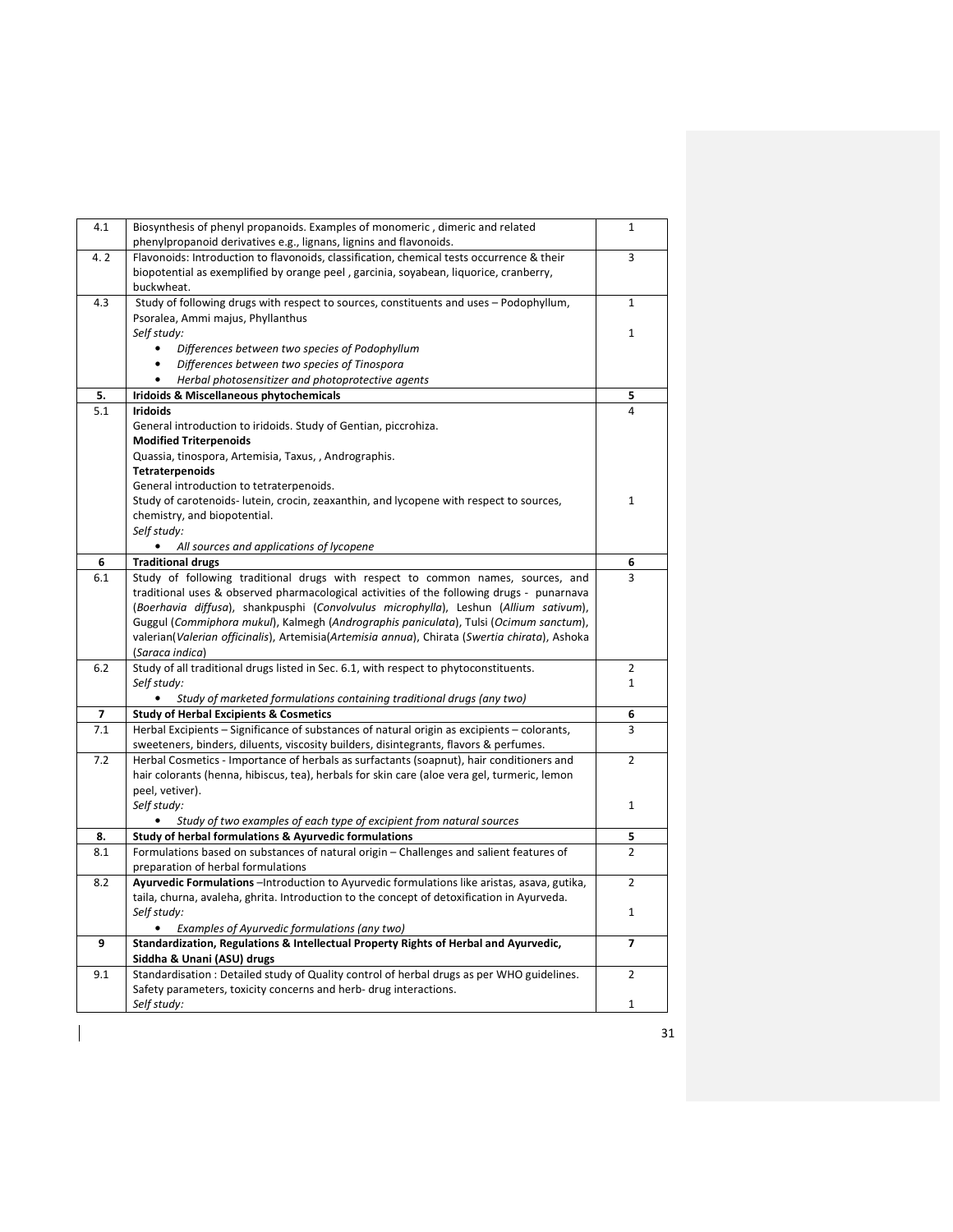| 4.1<br>Biosynthesis of phenyl propanoids. Examples of monomeric, dimeric and related<br>1<br>phenylpropanoid derivatives e.g., lignans, lignins and flavonoids.<br>4.2<br>Flavonoids: Introduction to flavonoids, classification, chemical tests occurrence & their<br>3<br>biopotential as exemplified by orange peel, garcinia, soyabean, liquorice, cranberry,<br>buckwheat.<br>4.3<br>Study of following drugs with respect to sources, constituents and uses - Podophyllum,<br>$\mathbf{1}$<br>Psoralea, Ammi majus, Phyllanthus<br>Self study:<br>1<br>Differences between two species of Podophyllum<br>$\bullet$<br>Differences between two species of Tinospora<br>Herbal photosensitizer and photoprotective agents<br>5.<br>Iridoids & Miscellaneous phytochemicals<br>5<br>5.1<br><b>Iridoids</b><br>4<br>General introduction to iridoids. Study of Gentian, piccrohiza.<br><b>Modified Triterpenoids</b><br>Quassia, tinospora, Artemisia, Taxus, , Andrographis.<br>Tetraterpenoids<br>General introduction to tetraterpenoids.<br>Study of carotenoids- lutein, crocin, zeaxanthin, and lycopene with respect to sources,<br>1<br>chemistry, and biopotential.<br>Self study:<br>All sources and applications of lycopene<br>$\bullet$<br>6<br><b>Traditional drugs</b><br>6<br>6.1<br>Study of following traditional drugs with respect to common names, sources, and<br>3<br>traditional uses & observed pharmacological activities of the following drugs - punarnava<br>(Boerhavia diffusa), shankpusphi (Convolvulus microphylla), Leshun (Allium sativum),<br>Guggul (Commiphora mukul), Kalmegh (Andrographis paniculata), Tulsi (Ocimum sanctum),<br>valerian(Valerian officinalis), Artemisia(Artemisia annua), Chirata (Swertia chirata), Ashoka<br>(Saraca indica)<br>Study of all traditional drugs listed in Sec. 6.1, with respect to phytoconstituents.<br>6.2<br>$\overline{2}$<br>Self study:<br>$\mathbf{1}$<br>$\bullet$<br>Study of marketed formulations containing traditional drugs (any two)<br>$\overline{\mathbf{z}}$<br><b>Study of Herbal Excipients &amp; Cosmetics</b><br>6<br>Herbal Excipients - Significance of substances of natural origin as excipients - colorants,<br>7.1<br>3<br>sweeteners, binders, diluents, viscosity builders, disintegrants, flavors & perfumes.<br>7.2<br>Herbal Cosmetics - Importance of herbals as surfactants (soapnut), hair conditioners and<br>$\overline{2}$<br>hair colorants (henna, hibiscus, tea), herbals for skin care (aloe vera gel, turmeric, lemon<br>peel, vetiver).<br>Self study:<br>1<br>Study of two examples of each type of excipient from natural sources<br>Study of herbal formulations & Ayurvedic formulations<br>8.<br>5<br>Formulations based on substances of natural origin - Challenges and salient features of<br>8.1<br>$\overline{2}$<br>preparation of herbal formulations<br>Ayurvedic Formulations - Introduction to Ayurvedic formulations like aristas, asava, gutika,<br>8.2<br>$\overline{2}$<br>taila, churna, avaleha, ghrita. Introduction to the concept of detoxification in Ayurveda.<br>Self study:<br>1<br>Examples of Ayurvedic formulations (any two)<br>Standardization, Regulations & Intellectual Property Rights of Herbal and Ayurvedic,<br>9<br>7<br>Siddha & Unani (ASU) drugs<br>Standardisation: Detailed study of Quality control of herbal drugs as per WHO guidelines.<br>9.1<br>$\overline{2}$<br>Safety parameters, toxicity concerns and herb- drug interactions.<br>Self study:<br>$\mathbf{1}$ |  |  |
|------------------------------------------------------------------------------------------------------------------------------------------------------------------------------------------------------------------------------------------------------------------------------------------------------------------------------------------------------------------------------------------------------------------------------------------------------------------------------------------------------------------------------------------------------------------------------------------------------------------------------------------------------------------------------------------------------------------------------------------------------------------------------------------------------------------------------------------------------------------------------------------------------------------------------------------------------------------------------------------------------------------------------------------------------------------------------------------------------------------------------------------------------------------------------------------------------------------------------------------------------------------------------------------------------------------------------------------------------------------------------------------------------------------------------------------------------------------------------------------------------------------------------------------------------------------------------------------------------------------------------------------------------------------------------------------------------------------------------------------------------------------------------------------------------------------------------------------------------------------------------------------------------------------------------------------------------------------------------------------------------------------------------------------------------------------------------------------------------------------------------------------------------------------------------------------------------------------------------------------------------------------------------------------------------------------------------------------------------------------------------------------------------------------------------------------------------------------------------------------------------------------------------------------------------------------------------------------------------------------------------------------------------------------------------------------------------------------------------------------------------------------------------------------------------------------------------------------------------------------------------------------------------------------------------------------------------------------------------------------------------------------------------------------------------------------------------------------------------------------------------------------------------------------------------------------------------------------------------------------------------------------------------------------------------------------------------------------------------------------------------------------------------------------------------------------------------------------------------------------------------------------------------------------------------|--|--|
|                                                                                                                                                                                                                                                                                                                                                                                                                                                                                                                                                                                                                                                                                                                                                                                                                                                                                                                                                                                                                                                                                                                                                                                                                                                                                                                                                                                                                                                                                                                                                                                                                                                                                                                                                                                                                                                                                                                                                                                                                                                                                                                                                                                                                                                                                                                                                                                                                                                                                                                                                                                                                                                                                                                                                                                                                                                                                                                                                                                                                                                                                                                                                                                                                                                                                                                                                                                                                                                                                                                                                      |  |  |
|                                                                                                                                                                                                                                                                                                                                                                                                                                                                                                                                                                                                                                                                                                                                                                                                                                                                                                                                                                                                                                                                                                                                                                                                                                                                                                                                                                                                                                                                                                                                                                                                                                                                                                                                                                                                                                                                                                                                                                                                                                                                                                                                                                                                                                                                                                                                                                                                                                                                                                                                                                                                                                                                                                                                                                                                                                                                                                                                                                                                                                                                                                                                                                                                                                                                                                                                                                                                                                                                                                                                                      |  |  |
|                                                                                                                                                                                                                                                                                                                                                                                                                                                                                                                                                                                                                                                                                                                                                                                                                                                                                                                                                                                                                                                                                                                                                                                                                                                                                                                                                                                                                                                                                                                                                                                                                                                                                                                                                                                                                                                                                                                                                                                                                                                                                                                                                                                                                                                                                                                                                                                                                                                                                                                                                                                                                                                                                                                                                                                                                                                                                                                                                                                                                                                                                                                                                                                                                                                                                                                                                                                                                                                                                                                                                      |  |  |
|                                                                                                                                                                                                                                                                                                                                                                                                                                                                                                                                                                                                                                                                                                                                                                                                                                                                                                                                                                                                                                                                                                                                                                                                                                                                                                                                                                                                                                                                                                                                                                                                                                                                                                                                                                                                                                                                                                                                                                                                                                                                                                                                                                                                                                                                                                                                                                                                                                                                                                                                                                                                                                                                                                                                                                                                                                                                                                                                                                                                                                                                                                                                                                                                                                                                                                                                                                                                                                                                                                                                                      |  |  |
|                                                                                                                                                                                                                                                                                                                                                                                                                                                                                                                                                                                                                                                                                                                                                                                                                                                                                                                                                                                                                                                                                                                                                                                                                                                                                                                                                                                                                                                                                                                                                                                                                                                                                                                                                                                                                                                                                                                                                                                                                                                                                                                                                                                                                                                                                                                                                                                                                                                                                                                                                                                                                                                                                                                                                                                                                                                                                                                                                                                                                                                                                                                                                                                                                                                                                                                                                                                                                                                                                                                                                      |  |  |
|                                                                                                                                                                                                                                                                                                                                                                                                                                                                                                                                                                                                                                                                                                                                                                                                                                                                                                                                                                                                                                                                                                                                                                                                                                                                                                                                                                                                                                                                                                                                                                                                                                                                                                                                                                                                                                                                                                                                                                                                                                                                                                                                                                                                                                                                                                                                                                                                                                                                                                                                                                                                                                                                                                                                                                                                                                                                                                                                                                                                                                                                                                                                                                                                                                                                                                                                                                                                                                                                                                                                                      |  |  |
|                                                                                                                                                                                                                                                                                                                                                                                                                                                                                                                                                                                                                                                                                                                                                                                                                                                                                                                                                                                                                                                                                                                                                                                                                                                                                                                                                                                                                                                                                                                                                                                                                                                                                                                                                                                                                                                                                                                                                                                                                                                                                                                                                                                                                                                                                                                                                                                                                                                                                                                                                                                                                                                                                                                                                                                                                                                                                                                                                                                                                                                                                                                                                                                                                                                                                                                                                                                                                                                                                                                                                      |  |  |
|                                                                                                                                                                                                                                                                                                                                                                                                                                                                                                                                                                                                                                                                                                                                                                                                                                                                                                                                                                                                                                                                                                                                                                                                                                                                                                                                                                                                                                                                                                                                                                                                                                                                                                                                                                                                                                                                                                                                                                                                                                                                                                                                                                                                                                                                                                                                                                                                                                                                                                                                                                                                                                                                                                                                                                                                                                                                                                                                                                                                                                                                                                                                                                                                                                                                                                                                                                                                                                                                                                                                                      |  |  |
|                                                                                                                                                                                                                                                                                                                                                                                                                                                                                                                                                                                                                                                                                                                                                                                                                                                                                                                                                                                                                                                                                                                                                                                                                                                                                                                                                                                                                                                                                                                                                                                                                                                                                                                                                                                                                                                                                                                                                                                                                                                                                                                                                                                                                                                                                                                                                                                                                                                                                                                                                                                                                                                                                                                                                                                                                                                                                                                                                                                                                                                                                                                                                                                                                                                                                                                                                                                                                                                                                                                                                      |  |  |
|                                                                                                                                                                                                                                                                                                                                                                                                                                                                                                                                                                                                                                                                                                                                                                                                                                                                                                                                                                                                                                                                                                                                                                                                                                                                                                                                                                                                                                                                                                                                                                                                                                                                                                                                                                                                                                                                                                                                                                                                                                                                                                                                                                                                                                                                                                                                                                                                                                                                                                                                                                                                                                                                                                                                                                                                                                                                                                                                                                                                                                                                                                                                                                                                                                                                                                                                                                                                                                                                                                                                                      |  |  |
|                                                                                                                                                                                                                                                                                                                                                                                                                                                                                                                                                                                                                                                                                                                                                                                                                                                                                                                                                                                                                                                                                                                                                                                                                                                                                                                                                                                                                                                                                                                                                                                                                                                                                                                                                                                                                                                                                                                                                                                                                                                                                                                                                                                                                                                                                                                                                                                                                                                                                                                                                                                                                                                                                                                                                                                                                                                                                                                                                                                                                                                                                                                                                                                                                                                                                                                                                                                                                                                                                                                                                      |  |  |
|                                                                                                                                                                                                                                                                                                                                                                                                                                                                                                                                                                                                                                                                                                                                                                                                                                                                                                                                                                                                                                                                                                                                                                                                                                                                                                                                                                                                                                                                                                                                                                                                                                                                                                                                                                                                                                                                                                                                                                                                                                                                                                                                                                                                                                                                                                                                                                                                                                                                                                                                                                                                                                                                                                                                                                                                                                                                                                                                                                                                                                                                                                                                                                                                                                                                                                                                                                                                                                                                                                                                                      |  |  |
|                                                                                                                                                                                                                                                                                                                                                                                                                                                                                                                                                                                                                                                                                                                                                                                                                                                                                                                                                                                                                                                                                                                                                                                                                                                                                                                                                                                                                                                                                                                                                                                                                                                                                                                                                                                                                                                                                                                                                                                                                                                                                                                                                                                                                                                                                                                                                                                                                                                                                                                                                                                                                                                                                                                                                                                                                                                                                                                                                                                                                                                                                                                                                                                                                                                                                                                                                                                                                                                                                                                                                      |  |  |
|                                                                                                                                                                                                                                                                                                                                                                                                                                                                                                                                                                                                                                                                                                                                                                                                                                                                                                                                                                                                                                                                                                                                                                                                                                                                                                                                                                                                                                                                                                                                                                                                                                                                                                                                                                                                                                                                                                                                                                                                                                                                                                                                                                                                                                                                                                                                                                                                                                                                                                                                                                                                                                                                                                                                                                                                                                                                                                                                                                                                                                                                                                                                                                                                                                                                                                                                                                                                                                                                                                                                                      |  |  |
|                                                                                                                                                                                                                                                                                                                                                                                                                                                                                                                                                                                                                                                                                                                                                                                                                                                                                                                                                                                                                                                                                                                                                                                                                                                                                                                                                                                                                                                                                                                                                                                                                                                                                                                                                                                                                                                                                                                                                                                                                                                                                                                                                                                                                                                                                                                                                                                                                                                                                                                                                                                                                                                                                                                                                                                                                                                                                                                                                                                                                                                                                                                                                                                                                                                                                                                                                                                                                                                                                                                                                      |  |  |
|                                                                                                                                                                                                                                                                                                                                                                                                                                                                                                                                                                                                                                                                                                                                                                                                                                                                                                                                                                                                                                                                                                                                                                                                                                                                                                                                                                                                                                                                                                                                                                                                                                                                                                                                                                                                                                                                                                                                                                                                                                                                                                                                                                                                                                                                                                                                                                                                                                                                                                                                                                                                                                                                                                                                                                                                                                                                                                                                                                                                                                                                                                                                                                                                                                                                                                                                                                                                                                                                                                                                                      |  |  |
|                                                                                                                                                                                                                                                                                                                                                                                                                                                                                                                                                                                                                                                                                                                                                                                                                                                                                                                                                                                                                                                                                                                                                                                                                                                                                                                                                                                                                                                                                                                                                                                                                                                                                                                                                                                                                                                                                                                                                                                                                                                                                                                                                                                                                                                                                                                                                                                                                                                                                                                                                                                                                                                                                                                                                                                                                                                                                                                                                                                                                                                                                                                                                                                                                                                                                                                                                                                                                                                                                                                                                      |  |  |
|                                                                                                                                                                                                                                                                                                                                                                                                                                                                                                                                                                                                                                                                                                                                                                                                                                                                                                                                                                                                                                                                                                                                                                                                                                                                                                                                                                                                                                                                                                                                                                                                                                                                                                                                                                                                                                                                                                                                                                                                                                                                                                                                                                                                                                                                                                                                                                                                                                                                                                                                                                                                                                                                                                                                                                                                                                                                                                                                                                                                                                                                                                                                                                                                                                                                                                                                                                                                                                                                                                                                                      |  |  |
|                                                                                                                                                                                                                                                                                                                                                                                                                                                                                                                                                                                                                                                                                                                                                                                                                                                                                                                                                                                                                                                                                                                                                                                                                                                                                                                                                                                                                                                                                                                                                                                                                                                                                                                                                                                                                                                                                                                                                                                                                                                                                                                                                                                                                                                                                                                                                                                                                                                                                                                                                                                                                                                                                                                                                                                                                                                                                                                                                                                                                                                                                                                                                                                                                                                                                                                                                                                                                                                                                                                                                      |  |  |
|                                                                                                                                                                                                                                                                                                                                                                                                                                                                                                                                                                                                                                                                                                                                                                                                                                                                                                                                                                                                                                                                                                                                                                                                                                                                                                                                                                                                                                                                                                                                                                                                                                                                                                                                                                                                                                                                                                                                                                                                                                                                                                                                                                                                                                                                                                                                                                                                                                                                                                                                                                                                                                                                                                                                                                                                                                                                                                                                                                                                                                                                                                                                                                                                                                                                                                                                                                                                                                                                                                                                                      |  |  |
|                                                                                                                                                                                                                                                                                                                                                                                                                                                                                                                                                                                                                                                                                                                                                                                                                                                                                                                                                                                                                                                                                                                                                                                                                                                                                                                                                                                                                                                                                                                                                                                                                                                                                                                                                                                                                                                                                                                                                                                                                                                                                                                                                                                                                                                                                                                                                                                                                                                                                                                                                                                                                                                                                                                                                                                                                                                                                                                                                                                                                                                                                                                                                                                                                                                                                                                                                                                                                                                                                                                                                      |  |  |
|                                                                                                                                                                                                                                                                                                                                                                                                                                                                                                                                                                                                                                                                                                                                                                                                                                                                                                                                                                                                                                                                                                                                                                                                                                                                                                                                                                                                                                                                                                                                                                                                                                                                                                                                                                                                                                                                                                                                                                                                                                                                                                                                                                                                                                                                                                                                                                                                                                                                                                                                                                                                                                                                                                                                                                                                                                                                                                                                                                                                                                                                                                                                                                                                                                                                                                                                                                                                                                                                                                                                                      |  |  |
|                                                                                                                                                                                                                                                                                                                                                                                                                                                                                                                                                                                                                                                                                                                                                                                                                                                                                                                                                                                                                                                                                                                                                                                                                                                                                                                                                                                                                                                                                                                                                                                                                                                                                                                                                                                                                                                                                                                                                                                                                                                                                                                                                                                                                                                                                                                                                                                                                                                                                                                                                                                                                                                                                                                                                                                                                                                                                                                                                                                                                                                                                                                                                                                                                                                                                                                                                                                                                                                                                                                                                      |  |  |
|                                                                                                                                                                                                                                                                                                                                                                                                                                                                                                                                                                                                                                                                                                                                                                                                                                                                                                                                                                                                                                                                                                                                                                                                                                                                                                                                                                                                                                                                                                                                                                                                                                                                                                                                                                                                                                                                                                                                                                                                                                                                                                                                                                                                                                                                                                                                                                                                                                                                                                                                                                                                                                                                                                                                                                                                                                                                                                                                                                                                                                                                                                                                                                                                                                                                                                                                                                                                                                                                                                                                                      |  |  |
|                                                                                                                                                                                                                                                                                                                                                                                                                                                                                                                                                                                                                                                                                                                                                                                                                                                                                                                                                                                                                                                                                                                                                                                                                                                                                                                                                                                                                                                                                                                                                                                                                                                                                                                                                                                                                                                                                                                                                                                                                                                                                                                                                                                                                                                                                                                                                                                                                                                                                                                                                                                                                                                                                                                                                                                                                                                                                                                                                                                                                                                                                                                                                                                                                                                                                                                                                                                                                                                                                                                                                      |  |  |
|                                                                                                                                                                                                                                                                                                                                                                                                                                                                                                                                                                                                                                                                                                                                                                                                                                                                                                                                                                                                                                                                                                                                                                                                                                                                                                                                                                                                                                                                                                                                                                                                                                                                                                                                                                                                                                                                                                                                                                                                                                                                                                                                                                                                                                                                                                                                                                                                                                                                                                                                                                                                                                                                                                                                                                                                                                                                                                                                                                                                                                                                                                                                                                                                                                                                                                                                                                                                                                                                                                                                                      |  |  |
|                                                                                                                                                                                                                                                                                                                                                                                                                                                                                                                                                                                                                                                                                                                                                                                                                                                                                                                                                                                                                                                                                                                                                                                                                                                                                                                                                                                                                                                                                                                                                                                                                                                                                                                                                                                                                                                                                                                                                                                                                                                                                                                                                                                                                                                                                                                                                                                                                                                                                                                                                                                                                                                                                                                                                                                                                                                                                                                                                                                                                                                                                                                                                                                                                                                                                                                                                                                                                                                                                                                                                      |  |  |
|                                                                                                                                                                                                                                                                                                                                                                                                                                                                                                                                                                                                                                                                                                                                                                                                                                                                                                                                                                                                                                                                                                                                                                                                                                                                                                                                                                                                                                                                                                                                                                                                                                                                                                                                                                                                                                                                                                                                                                                                                                                                                                                                                                                                                                                                                                                                                                                                                                                                                                                                                                                                                                                                                                                                                                                                                                                                                                                                                                                                                                                                                                                                                                                                                                                                                                                                                                                                                                                                                                                                                      |  |  |
|                                                                                                                                                                                                                                                                                                                                                                                                                                                                                                                                                                                                                                                                                                                                                                                                                                                                                                                                                                                                                                                                                                                                                                                                                                                                                                                                                                                                                                                                                                                                                                                                                                                                                                                                                                                                                                                                                                                                                                                                                                                                                                                                                                                                                                                                                                                                                                                                                                                                                                                                                                                                                                                                                                                                                                                                                                                                                                                                                                                                                                                                                                                                                                                                                                                                                                                                                                                                                                                                                                                                                      |  |  |
|                                                                                                                                                                                                                                                                                                                                                                                                                                                                                                                                                                                                                                                                                                                                                                                                                                                                                                                                                                                                                                                                                                                                                                                                                                                                                                                                                                                                                                                                                                                                                                                                                                                                                                                                                                                                                                                                                                                                                                                                                                                                                                                                                                                                                                                                                                                                                                                                                                                                                                                                                                                                                                                                                                                                                                                                                                                                                                                                                                                                                                                                                                                                                                                                                                                                                                                                                                                                                                                                                                                                                      |  |  |
|                                                                                                                                                                                                                                                                                                                                                                                                                                                                                                                                                                                                                                                                                                                                                                                                                                                                                                                                                                                                                                                                                                                                                                                                                                                                                                                                                                                                                                                                                                                                                                                                                                                                                                                                                                                                                                                                                                                                                                                                                                                                                                                                                                                                                                                                                                                                                                                                                                                                                                                                                                                                                                                                                                                                                                                                                                                                                                                                                                                                                                                                                                                                                                                                                                                                                                                                                                                                                                                                                                                                                      |  |  |
|                                                                                                                                                                                                                                                                                                                                                                                                                                                                                                                                                                                                                                                                                                                                                                                                                                                                                                                                                                                                                                                                                                                                                                                                                                                                                                                                                                                                                                                                                                                                                                                                                                                                                                                                                                                                                                                                                                                                                                                                                                                                                                                                                                                                                                                                                                                                                                                                                                                                                                                                                                                                                                                                                                                                                                                                                                                                                                                                                                                                                                                                                                                                                                                                                                                                                                                                                                                                                                                                                                                                                      |  |  |
|                                                                                                                                                                                                                                                                                                                                                                                                                                                                                                                                                                                                                                                                                                                                                                                                                                                                                                                                                                                                                                                                                                                                                                                                                                                                                                                                                                                                                                                                                                                                                                                                                                                                                                                                                                                                                                                                                                                                                                                                                                                                                                                                                                                                                                                                                                                                                                                                                                                                                                                                                                                                                                                                                                                                                                                                                                                                                                                                                                                                                                                                                                                                                                                                                                                                                                                                                                                                                                                                                                                                                      |  |  |
|                                                                                                                                                                                                                                                                                                                                                                                                                                                                                                                                                                                                                                                                                                                                                                                                                                                                                                                                                                                                                                                                                                                                                                                                                                                                                                                                                                                                                                                                                                                                                                                                                                                                                                                                                                                                                                                                                                                                                                                                                                                                                                                                                                                                                                                                                                                                                                                                                                                                                                                                                                                                                                                                                                                                                                                                                                                                                                                                                                                                                                                                                                                                                                                                                                                                                                                                                                                                                                                                                                                                                      |  |  |
|                                                                                                                                                                                                                                                                                                                                                                                                                                                                                                                                                                                                                                                                                                                                                                                                                                                                                                                                                                                                                                                                                                                                                                                                                                                                                                                                                                                                                                                                                                                                                                                                                                                                                                                                                                                                                                                                                                                                                                                                                                                                                                                                                                                                                                                                                                                                                                                                                                                                                                                                                                                                                                                                                                                                                                                                                                                                                                                                                                                                                                                                                                                                                                                                                                                                                                                                                                                                                                                                                                                                                      |  |  |
|                                                                                                                                                                                                                                                                                                                                                                                                                                                                                                                                                                                                                                                                                                                                                                                                                                                                                                                                                                                                                                                                                                                                                                                                                                                                                                                                                                                                                                                                                                                                                                                                                                                                                                                                                                                                                                                                                                                                                                                                                                                                                                                                                                                                                                                                                                                                                                                                                                                                                                                                                                                                                                                                                                                                                                                                                                                                                                                                                                                                                                                                                                                                                                                                                                                                                                                                                                                                                                                                                                                                                      |  |  |
|                                                                                                                                                                                                                                                                                                                                                                                                                                                                                                                                                                                                                                                                                                                                                                                                                                                                                                                                                                                                                                                                                                                                                                                                                                                                                                                                                                                                                                                                                                                                                                                                                                                                                                                                                                                                                                                                                                                                                                                                                                                                                                                                                                                                                                                                                                                                                                                                                                                                                                                                                                                                                                                                                                                                                                                                                                                                                                                                                                                                                                                                                                                                                                                                                                                                                                                                                                                                                                                                                                                                                      |  |  |
|                                                                                                                                                                                                                                                                                                                                                                                                                                                                                                                                                                                                                                                                                                                                                                                                                                                                                                                                                                                                                                                                                                                                                                                                                                                                                                                                                                                                                                                                                                                                                                                                                                                                                                                                                                                                                                                                                                                                                                                                                                                                                                                                                                                                                                                                                                                                                                                                                                                                                                                                                                                                                                                                                                                                                                                                                                                                                                                                                                                                                                                                                                                                                                                                                                                                                                                                                                                                                                                                                                                                                      |  |  |
|                                                                                                                                                                                                                                                                                                                                                                                                                                                                                                                                                                                                                                                                                                                                                                                                                                                                                                                                                                                                                                                                                                                                                                                                                                                                                                                                                                                                                                                                                                                                                                                                                                                                                                                                                                                                                                                                                                                                                                                                                                                                                                                                                                                                                                                                                                                                                                                                                                                                                                                                                                                                                                                                                                                                                                                                                                                                                                                                                                                                                                                                                                                                                                                                                                                                                                                                                                                                                                                                                                                                                      |  |  |
|                                                                                                                                                                                                                                                                                                                                                                                                                                                                                                                                                                                                                                                                                                                                                                                                                                                                                                                                                                                                                                                                                                                                                                                                                                                                                                                                                                                                                                                                                                                                                                                                                                                                                                                                                                                                                                                                                                                                                                                                                                                                                                                                                                                                                                                                                                                                                                                                                                                                                                                                                                                                                                                                                                                                                                                                                                                                                                                                                                                                                                                                                                                                                                                                                                                                                                                                                                                                                                                                                                                                                      |  |  |
|                                                                                                                                                                                                                                                                                                                                                                                                                                                                                                                                                                                                                                                                                                                                                                                                                                                                                                                                                                                                                                                                                                                                                                                                                                                                                                                                                                                                                                                                                                                                                                                                                                                                                                                                                                                                                                                                                                                                                                                                                                                                                                                                                                                                                                                                                                                                                                                                                                                                                                                                                                                                                                                                                                                                                                                                                                                                                                                                                                                                                                                                                                                                                                                                                                                                                                                                                                                                                                                                                                                                                      |  |  |
|                                                                                                                                                                                                                                                                                                                                                                                                                                                                                                                                                                                                                                                                                                                                                                                                                                                                                                                                                                                                                                                                                                                                                                                                                                                                                                                                                                                                                                                                                                                                                                                                                                                                                                                                                                                                                                                                                                                                                                                                                                                                                                                                                                                                                                                                                                                                                                                                                                                                                                                                                                                                                                                                                                                                                                                                                                                                                                                                                                                                                                                                                                                                                                                                                                                                                                                                                                                                                                                                                                                                                      |  |  |
|                                                                                                                                                                                                                                                                                                                                                                                                                                                                                                                                                                                                                                                                                                                                                                                                                                                                                                                                                                                                                                                                                                                                                                                                                                                                                                                                                                                                                                                                                                                                                                                                                                                                                                                                                                                                                                                                                                                                                                                                                                                                                                                                                                                                                                                                                                                                                                                                                                                                                                                                                                                                                                                                                                                                                                                                                                                                                                                                                                                                                                                                                                                                                                                                                                                                                                                                                                                                                                                                                                                                                      |  |  |
|                                                                                                                                                                                                                                                                                                                                                                                                                                                                                                                                                                                                                                                                                                                                                                                                                                                                                                                                                                                                                                                                                                                                                                                                                                                                                                                                                                                                                                                                                                                                                                                                                                                                                                                                                                                                                                                                                                                                                                                                                                                                                                                                                                                                                                                                                                                                                                                                                                                                                                                                                                                                                                                                                                                                                                                                                                                                                                                                                                                                                                                                                                                                                                                                                                                                                                                                                                                                                                                                                                                                                      |  |  |
|                                                                                                                                                                                                                                                                                                                                                                                                                                                                                                                                                                                                                                                                                                                                                                                                                                                                                                                                                                                                                                                                                                                                                                                                                                                                                                                                                                                                                                                                                                                                                                                                                                                                                                                                                                                                                                                                                                                                                                                                                                                                                                                                                                                                                                                                                                                                                                                                                                                                                                                                                                                                                                                                                                                                                                                                                                                                                                                                                                                                                                                                                                                                                                                                                                                                                                                                                                                                                                                                                                                                                      |  |  |
|                                                                                                                                                                                                                                                                                                                                                                                                                                                                                                                                                                                                                                                                                                                                                                                                                                                                                                                                                                                                                                                                                                                                                                                                                                                                                                                                                                                                                                                                                                                                                                                                                                                                                                                                                                                                                                                                                                                                                                                                                                                                                                                                                                                                                                                                                                                                                                                                                                                                                                                                                                                                                                                                                                                                                                                                                                                                                                                                                                                                                                                                                                                                                                                                                                                                                                                                                                                                                                                                                                                                                      |  |  |
|                                                                                                                                                                                                                                                                                                                                                                                                                                                                                                                                                                                                                                                                                                                                                                                                                                                                                                                                                                                                                                                                                                                                                                                                                                                                                                                                                                                                                                                                                                                                                                                                                                                                                                                                                                                                                                                                                                                                                                                                                                                                                                                                                                                                                                                                                                                                                                                                                                                                                                                                                                                                                                                                                                                                                                                                                                                                                                                                                                                                                                                                                                                                                                                                                                                                                                                                                                                                                                                                                                                                                      |  |  |
|                                                                                                                                                                                                                                                                                                                                                                                                                                                                                                                                                                                                                                                                                                                                                                                                                                                                                                                                                                                                                                                                                                                                                                                                                                                                                                                                                                                                                                                                                                                                                                                                                                                                                                                                                                                                                                                                                                                                                                                                                                                                                                                                                                                                                                                                                                                                                                                                                                                                                                                                                                                                                                                                                                                                                                                                                                                                                                                                                                                                                                                                                                                                                                                                                                                                                                                                                                                                                                                                                                                                                      |  |  |
|                                                                                                                                                                                                                                                                                                                                                                                                                                                                                                                                                                                                                                                                                                                                                                                                                                                                                                                                                                                                                                                                                                                                                                                                                                                                                                                                                                                                                                                                                                                                                                                                                                                                                                                                                                                                                                                                                                                                                                                                                                                                                                                                                                                                                                                                                                                                                                                                                                                                                                                                                                                                                                                                                                                                                                                                                                                                                                                                                                                                                                                                                                                                                                                                                                                                                                                                                                                                                                                                                                                                                      |  |  |
|                                                                                                                                                                                                                                                                                                                                                                                                                                                                                                                                                                                                                                                                                                                                                                                                                                                                                                                                                                                                                                                                                                                                                                                                                                                                                                                                                                                                                                                                                                                                                                                                                                                                                                                                                                                                                                                                                                                                                                                                                                                                                                                                                                                                                                                                                                                                                                                                                                                                                                                                                                                                                                                                                                                                                                                                                                                                                                                                                                                                                                                                                                                                                                                                                                                                                                                                                                                                                                                                                                                                                      |  |  |

 $\overline{\phantom{a}}$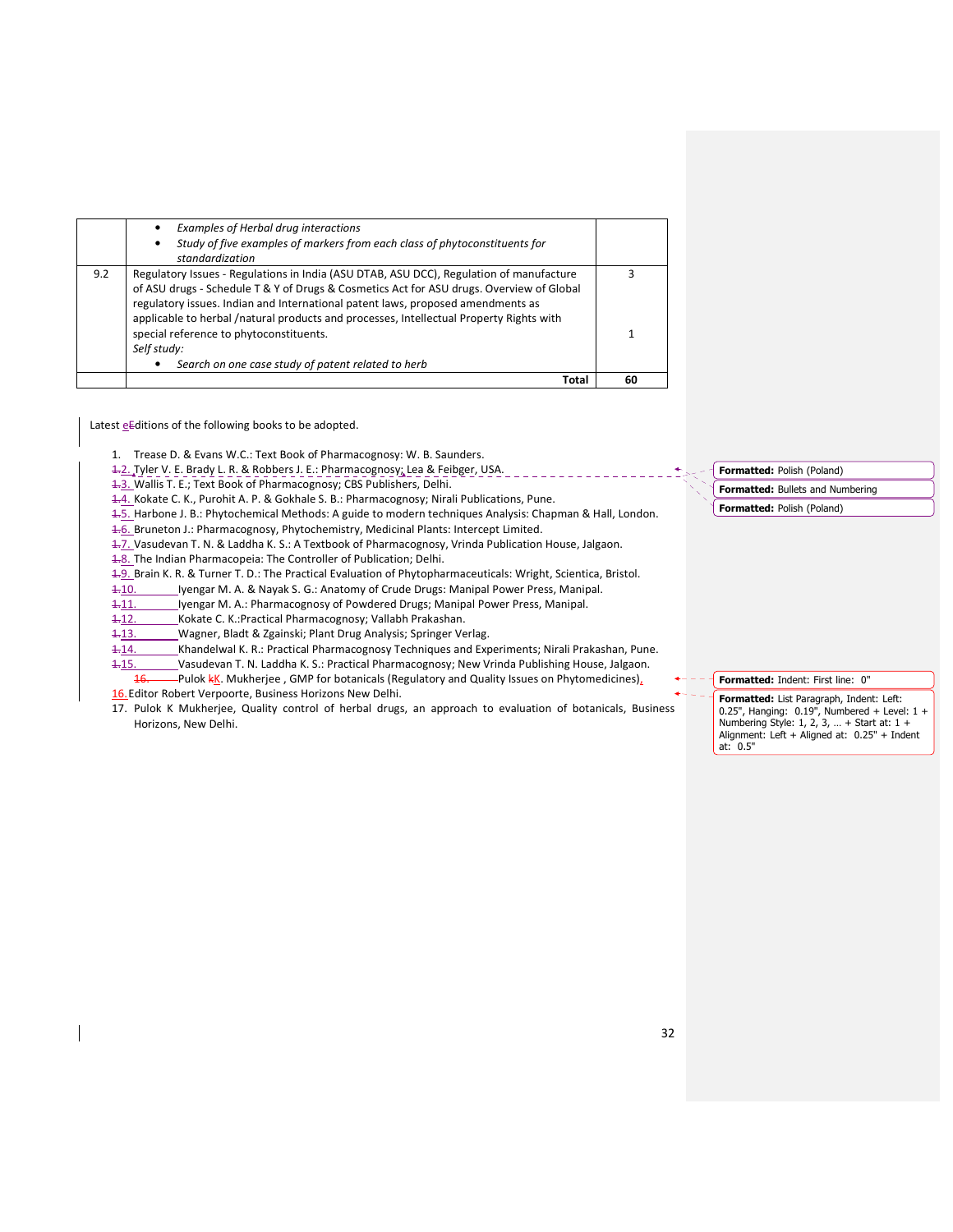|     | special reference to phytoconstituents.<br>Self study:<br>Search on one case study of patent related to herb |   |
|-----|--------------------------------------------------------------------------------------------------------------|---|
|     |                                                                                                              |   |
|     |                                                                                                              |   |
|     |                                                                                                              |   |
|     | applicable to herbal /natural products and processes, Intellectual Property Rights with                      |   |
|     | regulatory issues. Indian and International patent laws, proposed amendments as                              |   |
|     | of ASU drugs - Schedule T & Y of Drugs & Cosmetics Act for ASU drugs. Overview of Global                     |   |
| 9.2 | Regulatory Issues - Regulations in India (ASU DTAB, ASU DCC), Regulation of manufacture                      | ς |
|     | standardization                                                                                              |   |
|     | Study of five examples of markers from each class of phytoconstituents for<br>٠                              |   |
|     | Examples of Herbal drug interactions                                                                         |   |

Latest eEditions of the following books to be adopted.

1. Trease D. & Evans W.C.: Text Book of Pharmacognosy: W. B. Saunders.

1.2. Tyler V. E. Brady L. R. & Robbers J. E.: Pharmacognosy; Lea & Feibger, USA.

1.3. Wallis T. E.; Text Book of Pharmacognosy; CBS Publishers, Delhi.

1.4. Kokate C. K., Purohit A. P. & Gokhale S. B.: Pharmacognosy; Nirali Publications, Pune.

1.5. Harbone J. B.: Phytochemical Methods: A guide to modern techniques Analysis: Chapman & Hall, London.

4.6. Bruneton J.: Pharmacognosy, Phytochemistry, Medicinal Plants: Intercept Limited.

1.7. Vasudevan T. N. & Laddha K. S.: A Textbook of Pharmacognosy, Vrinda Publication House, Jalgaon.

1.8. The Indian Pharmacopeia: The Controller of Publication; Delhi.

1.9. Brain K. R. & Turner T. D.: The Practical Evaluation of Phytopharmaceuticals: Wright, Scientica, Bristol.

1-10. Iyengar M. A. & Nayak S. G.: Anatomy of Crude Drugs: Manipal Power Press, Manipal.

1.11. Iyengar M. A.: Pharmacognosy of Powdered Drugs; Manipal Power Press, Manipal.

1.12. Kokate C. K.: Practical Pharmacognosy; Vallabh Prakashan.

1-13. Wagner, Bladt & Zgainski; Plant Drug Analysis; Springer Verlag.

1.14. Khandelwal K. R.: Practical Pharmacognosy Techniques and Experiments; Nirali Prakashan, Pune.

1.15. Vasudevan T. N. Laddha K. S.: Practical Pharmacognosy; New Vrinda Publishing House, Jalgaon. Pulok kK. Mukherjee, GMP for botanicals (Regulatory and Quality Issues on Phytomedicines),

16. Editor Robert Verpoorte, Business Horizons New Delhi.

17. Pulok K Mukherjee, Quality control of herbal drugs, an approach to evaluation of botanicals, Business Horizons, New Delhi.

### Formatted: Polish (Poland)

- Formatted: Bullets and Numbering
- Formatted: Polish (Poland)

### Formatted: Indent: First line: 0"

Formatted: List Paragraph, Indent: Left: 0.25", Hanging: 0.19", Numbered + Level: 1 + Numbering Style: 1, 2, 3, … + Start at: 1 + Alignment: Left + Aligned at: 0.25" + Indent at: 0.5"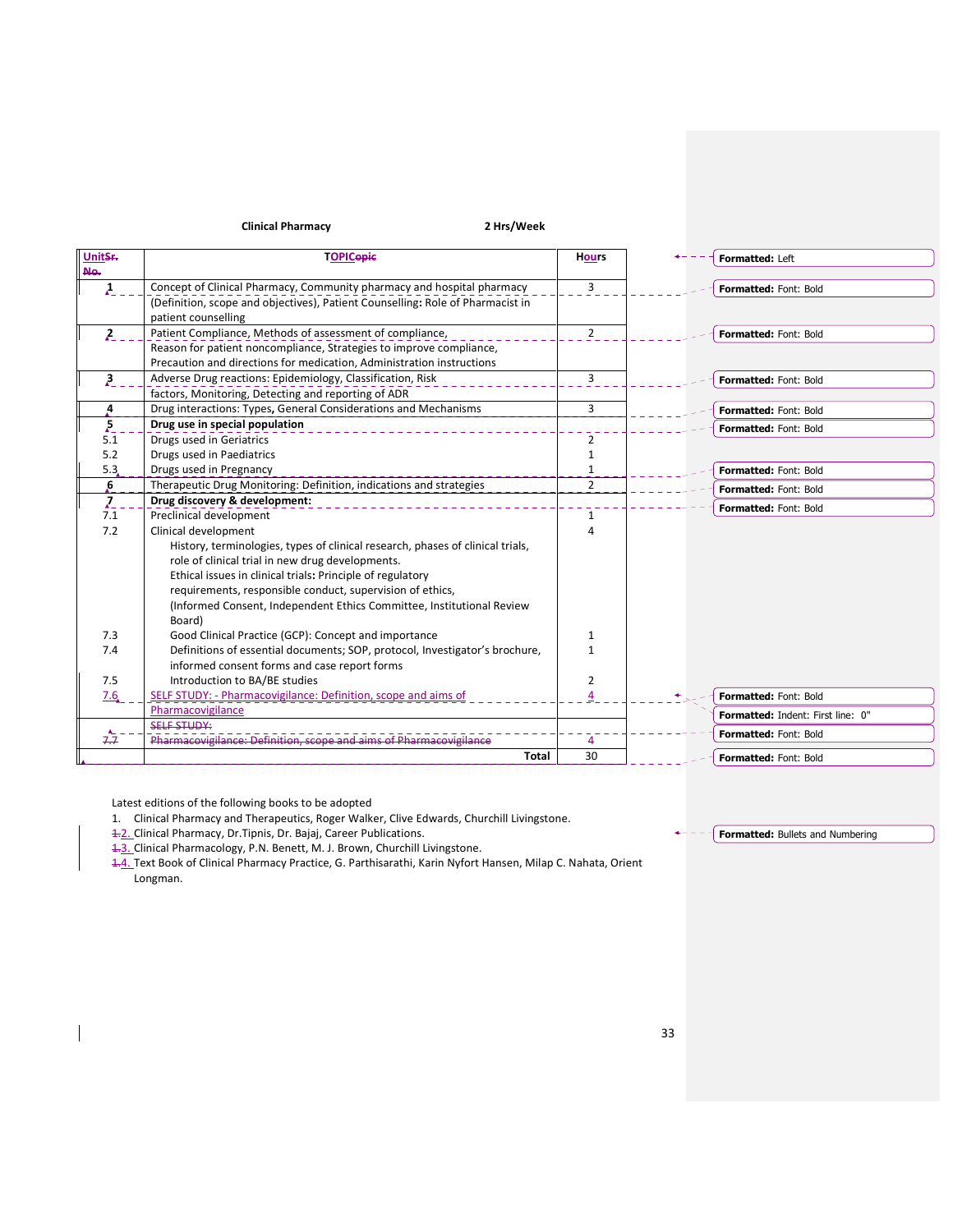## Clinical Pharmacy 2 Hrs/Week

| UnitSr.                | <b>TOPICopic</b>                                                               | <b>Hours</b>   | Formatted: Left                          |
|------------------------|--------------------------------------------------------------------------------|----------------|------------------------------------------|
| Ne.                    |                                                                                |                |                                          |
| $\boldsymbol{\lambda}$ | Concept of Clinical Pharmacy, Community pharmacy and hospital pharmacy         | 3              | Formatted: Font: Bold                    |
|                        | (Definition, scope and objectives), Patient Counselling: Role of Pharmacist in |                |                                          |
|                        | patient counselling                                                            |                |                                          |
| 2                      | Patient Compliance, Methods of assessment of compliance,                       | $\overline{2}$ | Formatted: Font: Bold                    |
|                        | Reason for patient noncompliance, Strategies to improve compliance,            |                |                                          |
|                        | Precaution and directions for medication, Administration instructions          |                |                                          |
| 3 <sup>2</sup>         | Adverse Drug reactions: Epidemiology, Classification, Risk                     | 3              | Formatted: Font: Bold                    |
|                        | factors, Monitoring, Detecting and reporting of ADR                            |                |                                          |
| 4                      | Drug interactions: Types, General Considerations and Mechanisms                | 3              | Formatted: Font: Bold                    |
| $\sum_{n=1}^{\infty}$  | Drug use in special population                                                 |                | <b>Formatted: Font: Bold</b>             |
| 5.1                    | Drugs used in Geriatrics                                                       | 2              |                                          |
| 5.2                    | Drugs used in Paediatrics                                                      | 1              |                                          |
| 5.3                    | Drugs used in Pregnancy                                                        | 1              | Formatted: Font: Bold                    |
| 6                      | Therapeutic Drug Monitoring: Definition, indications and strategies            | $\overline{2}$ | <b>Formatted: Font: Bold</b>             |
| 7                      | Drug discovery & development:                                                  |                | <b>Formatted: Font: Bold</b>             |
| 7.1                    | Preclinical development                                                        | 1              |                                          |
| 7.2                    | Clinical development                                                           | $\Delta$       |                                          |
|                        | History, terminologies, types of clinical research, phases of clinical trials, |                |                                          |
|                        | role of clinical trial in new drug developments.                               |                |                                          |
|                        | Ethical issues in clinical trials: Principle of regulatory                     |                |                                          |
|                        | requirements, responsible conduct, supervision of ethics,                      |                |                                          |
|                        | (Informed Consent, Independent Ethics Committee, Institutional Review          |                |                                          |
|                        | Board)                                                                         |                |                                          |
| 7.3                    | Good Clinical Practice (GCP): Concept and importance                           | 1              |                                          |
| 7.4                    | Definitions of essential documents; SOP, protocol, Investigator's brochure,    | 1              |                                          |
|                        | informed consent forms and case report forms                                   |                |                                          |
| 7.5                    | Introduction to BA/BE studies                                                  | 2              |                                          |
| 7.6                    | SELF STUDY: - Pharmacovigilance: Definition, scope and aims of                 |                | Formatted: Font: Bold                    |
|                        | Pharmacovigilance                                                              |                | <b>Formatted: Indent: First line: 0"</b> |
|                        | <b>SELF STUDY:</b>                                                             |                | <b>Formatted: Font: Bold</b>             |
| 7.7                    | Pharmacovigilance: Definition.                                                 | 4              |                                          |
|                        | <b>Total</b>                                                                   | 30             | <b>Formatted: Font: Bold</b>             |

Latest editions of the following books to be adopted

1. Clinical Pharmacy and Therapeutics, Roger Walker, Clive Edwards, Churchill Livingstone.

4.2. Clinical Pharmacy, Dr. Tipnis, Dr. Bajaj, Career Publications.

4.3. Clinical Pharmacology, P.N. Benett, M. J. Brown, Churchill Livingstone.

1.4. Text Book of Clinical Pharmacy Practice, G. Parthisarathi, Karin Nyfort Hansen, Milap C. Nahata, Orient Longman.

### **Formatted:** Bullets and Numbering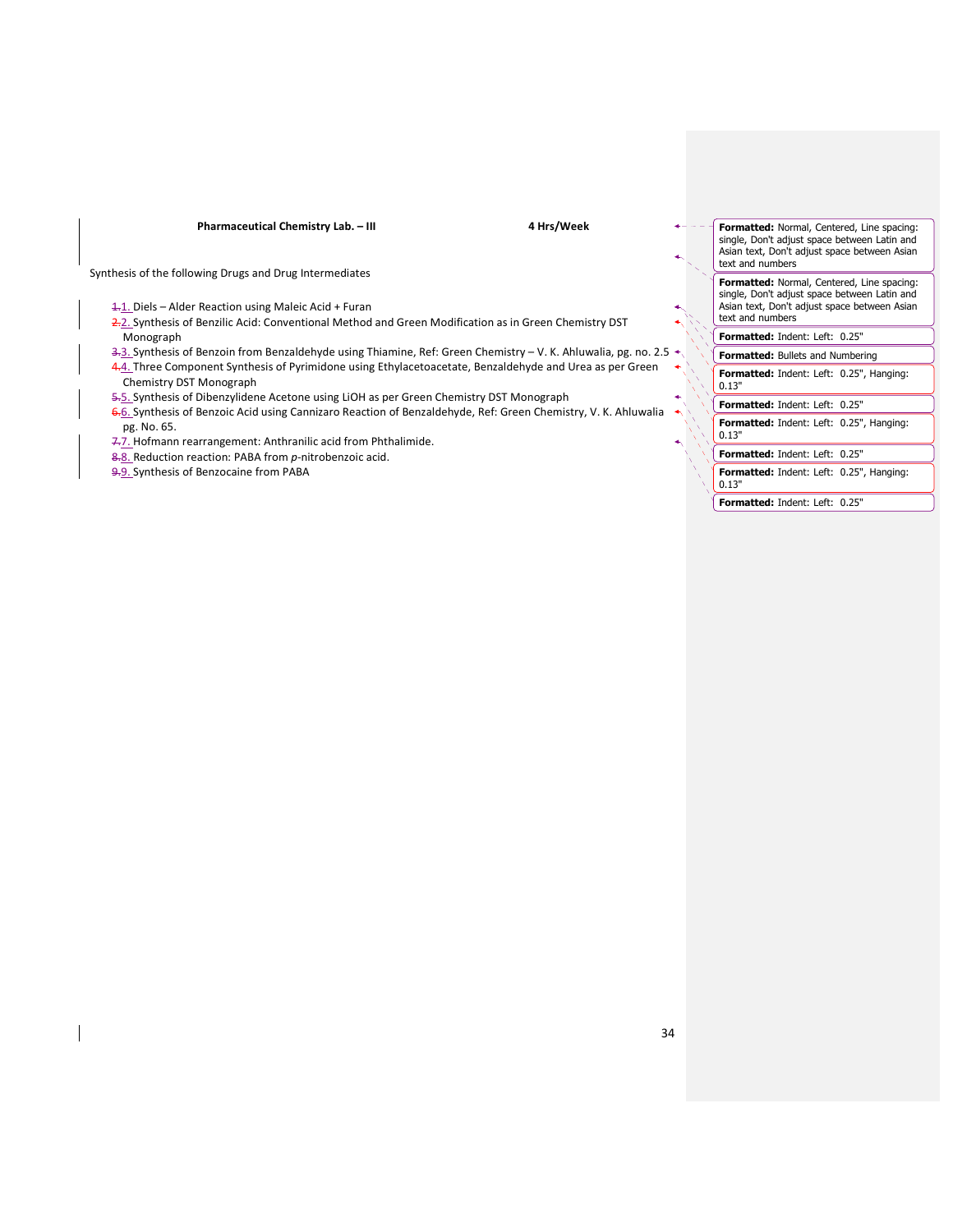Pharmaceutical Chemistry Lab. – III 4 Hrs/Week

Synthesis of the following Drugs and Drug Intermediates

1.1. Diels – Alder Reaction using Maleic Acid + Furan

2.2. Synthesis of Benzilic Acid: Conventional Method and Green Modification as in Green Chemistry DST Monograph

3-3. Synthesis of Benzoin from Benzaldehyde using Thiamine, Ref: Green Chemistry - V. K. Ahluwalia, pg. no. 2.5 4.4. Three Component Synthesis of Pyrimidone using Ethylacetoacetate, Benzaldehyde and Urea as per Green Chemistry DST Monograph

- 5.5. Synthesis of Dibenzylidene Acetone using LiOH as per Green Chemistry DST Monograph
- 6.6. Synthesis of Benzoic Acid using Cannizaro Reaction of Benzaldehyde, Ref: Green Chemistry, V. K. Ahluwalia pg. No. 65.
- 7.7. Hofmann rearrangement: Anthranilic acid from Phthalimide.
- 8.8. Reduction reaction: PABA from p-nitrobenzoic acid.
- 9.9. Synthesis of Benzocaine from PABA

Formatted: Normal, Centered, Line spacing: single, Don't adjust space between Latin and Asian text, Don't adjust space between Asian text and numbers Formatted: Normal, Centered, Line spacing: single, Don't adjust space between Latin and Asian text, Don't adjust space between Asian text and numbers Formatted: Indent: Left: 0.25" Formatted: Bullets and Numbering Formatted: Indent: Left: 0.25", Hanging: 0.13" Formatted: Indent: Left: 0.25" Formatted: Indent: Left: 0.25", Hanging: 0.13" Formatted: Indent: Left: 0.25" Formatted: Indent: Left: 0.25", Hanging: 0.13"

Formatted: Indent: Left: 0.25"

34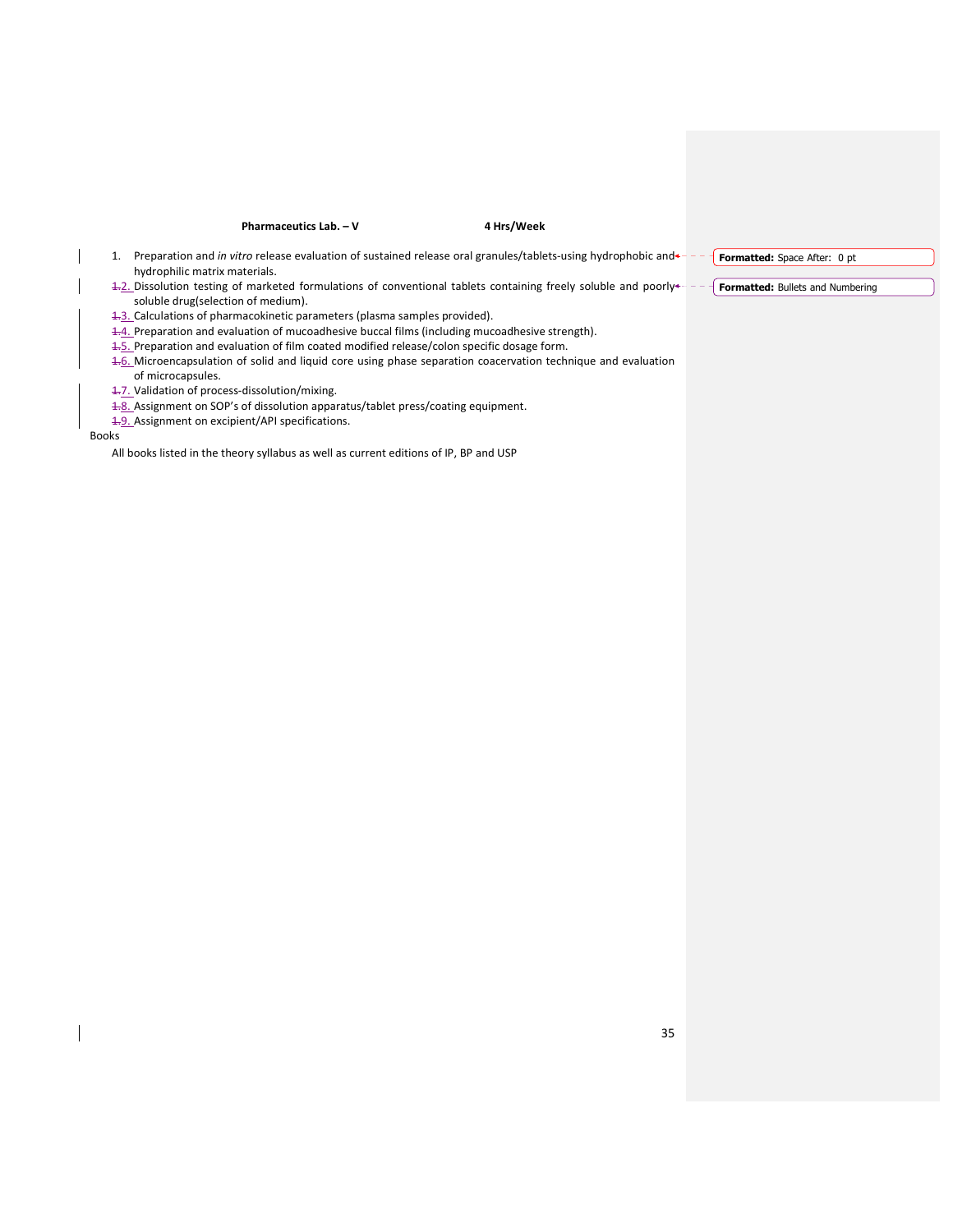### Pharmaceutics Lab. – V  $\blacksquare$  4 Hrs/Week

- 1. Preparation and in vitro release evaluation of sustained release oral granules/tablets-using hydrophobic and + - + Formatted: Space After: 0 pt hydrophilic matrix materials.
- 1.2. Dissolution testing of marketed formulations of conventional tablets containing freely soluble and poorly<sup>4---</sup> Formatted: Bullets and Numbering soluble drug(selection of medium).
- 1.3. Calculations of pharmacokinetic parameters (plasma samples provided).
- 1.4. Preparation and evaluation of mucoadhesive buccal films (including mucoadhesive strength).
- 1.5. Preparation and evaluation of film coated modified release/colon specific dosage form.
- 1.6. Microencapsulation of solid and liquid core using phase separation coacervation technique and evaluation of microcapsules.
- 1.7. Validation of process-dissolution/mixing.
- 1.8. Assignment on SOP's of dissolution apparatus/tablet press/coating equipment.
- 1.9. Assignment on excipient/API specifications.

Books

All books listed in the theory syllabus as well as current editions of IP, BP and USP